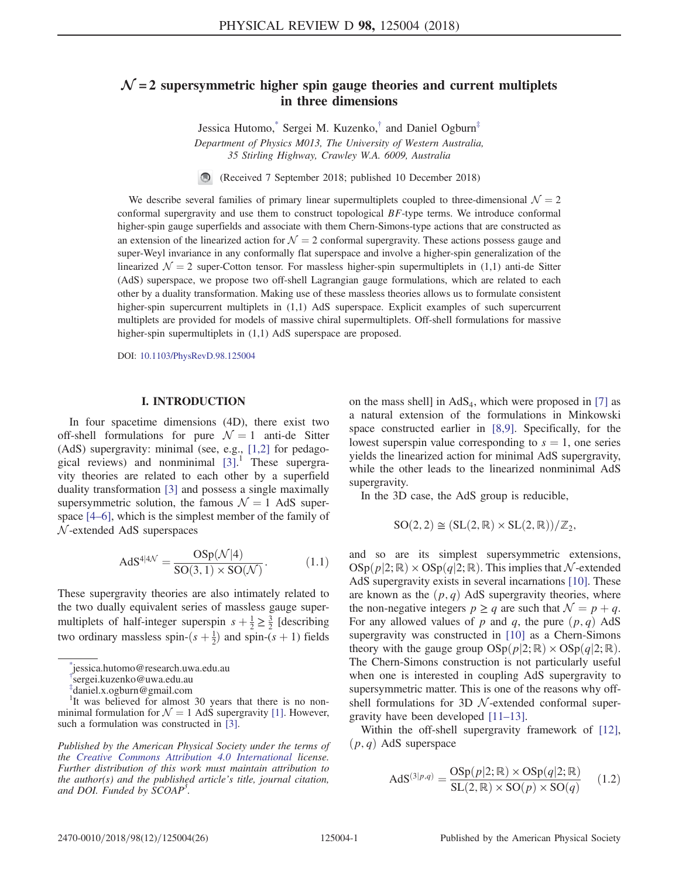# <span id="page-0-3"></span> $\mathcal{N}$  = 2 supersymmetric higher spin gauge theories and current multiplets in three dimensions

Jessica Hutomo,[\\*](#page-0-0) Sergei M. Kuzenko,[†](#page-0-1) and Daniel Ogburn[‡](#page-0-2) Department of Physics M013, The University of Western Australia, 35 Stirling Highway, Crawley W.A. 6009, Australia

 $\bigcirc$ (Received 7 September 2018; published 10 December 2018)

We describe several families of primary linear supermultiplets coupled to three-dimensional  $\mathcal{N} = 2$ conformal supergravity and use them to construct topological  $BF$ -type terms. We introduce conformal higher-spin gauge superfields and associate with them Chern-Simons-type actions that are constructed as an extension of the linearized action for  $\mathcal{N} = 2$  conformal supergravity. These actions possess gauge and super-Weyl invariance in any conformally flat superspace and involve a higher-spin generalization of the linearized  $\mathcal{N} = 2$  super-Cotton tensor. For massless higher-spin supermultiplets in (1,1) anti-de Sitter (AdS) superspace, we propose two off-shell Lagrangian gauge formulations, which are related to each other by a duality transformation. Making use of these massless theories allows us to formulate consistent higher-spin supercurrent multiplets in  $(1,1)$  AdS superspace. Explicit examples of such supercurrent multiplets are provided for models of massive chiral supermultiplets. Off-shell formulations for massive higher-spin supermultiplets in  $(1,1)$  AdS superspace are proposed.

DOI: [10.1103/PhysRevD.98.125004](https://doi.org/10.1103/PhysRevD.98.125004)

# I. INTRODUCTION

In four spacetime dimensions (4D), there exist two off-shell formulations for pure  $\mathcal{N} = 1$  anti-de Sitter (AdS) supergravity: minimal (see, e.g., [\[1,2\]](#page-24-0) for pedagogical reviews) and nonminimal [\[3\].](#page-24-1) <sup>1</sup> These supergravity theories are related to each other by a superfield duality transformation [\[3\]](#page-24-1) and possess a single maximally supersymmetric solution, the famous  $\mathcal{N} = 1$  AdS superspace [4–[6\]](#page-24-2), which is the simplest member of the family of N -extended AdS superspaces

$$
AdS^{4|4\mathcal{N}} = \frac{OSp(\mathcal{N}|4)}{SO(3,1) \times SO(\mathcal{N})}.
$$
 (1.1)

These supergravity theories are also intimately related to the two dually equivalent series of massless gauge supermultiplets of half-integer superspin  $s + \frac{1}{2} \ge \frac{3}{2}$  [describing<br>two ordinary massless spin  $(s + 1)$  and onin  $(s + 1)$  fields two ordinary massless spin- $(s + \frac{1}{2})$  and spin- $(s + 1)$  fields

<sup>1</sup>It was believed for almost 30 years that there is no nonminimal formulation for  $\mathcal{N} = 1$  AdS supergravity [\[1\].](#page-24-0) However, such a formulation was constructed in [\[3\]](#page-24-1).

Published by the American Physical Society under the terms of the [Creative Commons Attribution 4.0 International](https://creativecommons.org/licenses/by/4.0/) license. Further distribution of this work must maintain attribution to the author(s) and the published article's title, journal citation, and DOI. Funded by SCOAP<sup>3</sup>.

on the mass shell] in  $AdS_4$ , which were proposed in [\[7\]](#page-24-3) as a natural extension of the formulations in Minkowski space constructed earlier in [\[8,9\].](#page-24-4) Specifically, for the lowest superspin value corresponding to  $s = 1$ , one series yields the linearized action for minimal AdS supergravity, while the other leads to the linearized nonminimal AdS supergravity.

In the 3D case, the AdS group is reducible,

$$
SO(2,2) \cong (SL(2,\mathbb{R}) \times SL(2,\mathbb{R}))/\mathbb{Z}_2,
$$

and so are its simplest supersymmetric extensions,  $\mathrm{OSp}(p|2;\mathbb{R}) \times \mathrm{OSp}(q|2;\mathbb{R})$ . This implies that N-extended AdS supergravity exists in several incarnations [\[10\].](#page-24-5) These are known as the  $(p, q)$  AdS supergravity theories, where the non-negative integers  $p \geq q$  are such that  $\mathcal{N} = p + q$ . For any allowed values of p and q, the pure  $(p, q)$  AdS supergravity was constructed in [\[10\]](#page-24-5) as a Chern-Simons theory with the gauge group  $OSp(p|2; \mathbb{R}) \times OSp(q|2; \mathbb{R})$ . The Chern-Simons construction is not particularly useful when one is interested in coupling AdS supergravity to supersymmetric matter. This is one of the reasons why offshell formulations for 3D  $N$ -extended conformal supergravity have been developed [\[11](#page-24-6)–13].

Within the off-shell supergravity framework of [\[12\]](#page-24-7),  $(p, q)$  AdS superspace

$$
AdS^{(3|p,q)} = \frac{OSp(p|2; \mathbb{R}) \times OSp(q|2; \mathbb{R})}{SL(2, \mathbb{R}) \times SO(p) \times SO(q)} \qquad (1.2)
$$

<span id="page-0-0"></span>[<sup>\\*</sup>](#page-0-3) jessica.hutomo@research.uwa.edu.au

<span id="page-0-1"></span>[<sup>†</sup>](#page-0-3) sergei.kuzenko@uwa.edu.au

<span id="page-0-2"></span>[<sup>‡</sup>](#page-0-3) daniel.x.ogburn@gmail.com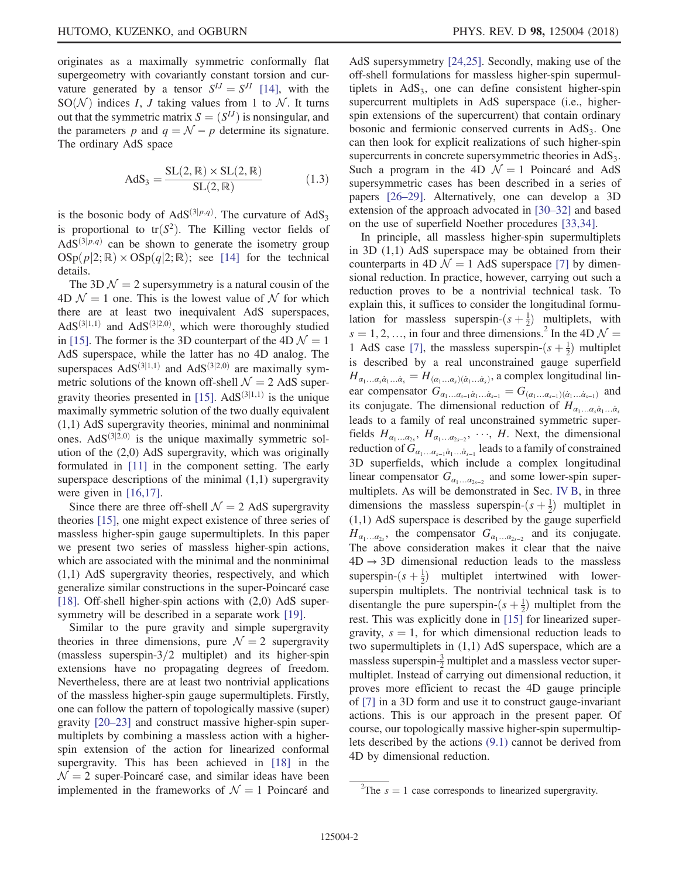originates as a maximally symmetric conformally flat supergeometry with covariantly constant torsion and curvature generated by a tensor  $S^{IJ} = S^{JI}$  [\[14\]](#page-24-8), with the  $SO(N)$  indices *I*, *J* taking values from 1 to *N*. It turns out that the symmetric matrix  $S = (S^{IJ})$  is nonsingular, and the parameters p and  $q = \mathcal{N} - p$  determine its signature. The ordinary AdS space

$$
AdS_3 = \frac{SL(2,\mathbb{R}) \times SL(2,\mathbb{R})}{SL(2,\mathbb{R})}
$$
(1.3)

is the bosonic body of  $AdS^{(3|p,q)}$ . The curvature of  $AdS_3$ is proportional to  $tr(S^2)$ . The Killing vector fields of  $AdS<sup>(3|p,q)</sup>$  can be shown to generate the isometry group  $\text{OSp}(p|2;\mathbb{R}) \times \text{OSp}(q|2;\mathbb{R})$ ; see [\[14\]](#page-24-8) for the technical details.

The 3D  $\mathcal{N} = 2$  supersymmetry is a natural cousin of the 4D  $\mathcal{N} = 1$  one. This is the lowest value of  $\mathcal N$  for which there are at least two inequivalent AdS superspaces,  $AdS^{(3|1,1)}$  and  $AdS^{(3|2,0)}$ , which were thoroughly studied in [\[15\]](#page-24-9). The former is the 3D counterpart of the 4D  $\mathcal{N} = 1$ AdS superspace, while the latter has no 4D analog. The superspaces  $AdS^{(3|1,1)}$  and  $AdS^{(3|2,0)}$  are maximally symmetric solutions of the known off-shell  $\mathcal{N} = 2$  AdS super-gravity theories presented in [\[15\].](#page-24-9) AdS $(3|1,1)$  is the unique maximally symmetric solution of the two dually equivalent (1,1) AdS supergravity theories, minimal and nonminimal ones.  $AdS^{(3|2,0)}$  is the unique maximally symmetric solution of the (2,0) AdS supergravity, which was originally formulated in [\[11\]](#page-24-6) in the component setting. The early superspace descriptions of the minimal  $(1,1)$  supergravity were given in [\[16,17\]](#page-24-10).

Since there are three off-shell  $\mathcal{N} = 2$  AdS supergravity theories [\[15\],](#page-24-9) one might expect existence of three series of massless higher-spin gauge supermultiplets. In this paper we present two series of massless higher-spin actions, which are associated with the minimal and the nonminimal (1,1) AdS supergravity theories, respectively, and which generalize similar constructions in the super-Poincaré case [\[18\]](#page-24-11). Off-shell higher-spin actions with (2,0) AdS super-symmetry will be described in a separate work [\[19\]](#page-25-0).

Similar to the pure gravity and simple supergravity theories in three dimensions, pure  $\mathcal{N} = 2$  supergravity (massless superspin- $3/2$  multiplet) and its higher-spin extensions have no propagating degrees of freedom. Nevertheless, there are at least two nontrivial applications of the massless higher-spin gauge supermultiplets. Firstly, one can follow the pattern of topologically massive (super) gravity [\[20](#page-25-1)–23] and construct massive higher-spin supermultiplets by combining a massless action with a higherspin extension of the action for linearized conformal supergravity. This has been achieved in [\[18\]](#page-24-11) in the  $\mathcal{N} = 2$  super-Poincaré case, and similar ideas have been implemented in the frameworks of  $\mathcal{N} = 1$  Poincaré and AdS supersymmetry [\[24,25\]](#page-25-2). Secondly, making use of the off-shell formulations for massless higher-spin supermultiplets in  $AdS<sub>3</sub>$ , one can define consistent higher-spin supercurrent multiplets in AdS superspace (i.e., higherspin extensions of the supercurrent) that contain ordinary bosonic and fermionic conserved currents in  $AdS<sub>3</sub>$ . One can then look for explicit realizations of such higher-spin supercurrents in concrete supersymmetric theories in  $AdS<sub>3</sub>$ . Such a program in the 4D  $\mathcal{N} = 1$  Poincaré and AdS supersymmetric cases has been described in a series of papers [26–[29\].](#page-25-3) Alternatively, one can develop a 3D extension of the approach advocated in [\[30](#page-25-4)–32] and based on the use of superfield Noether procedures [\[33,34\].](#page-25-5)

In principle, all massless higher-spin supermultiplets in 3D (1,1) AdS superspace may be obtained from their counterparts in 4D  $\mathcal{N} = 1$  AdS superspace [\[7\]](#page-24-3) by dimensional reduction. In practice, however, carrying out such a reduction proves to be a nontrivial technical task. To explain this, it suffices to consider the longitudinal formulation for massless superspin- $(s + \frac{1}{2})$  multiplets, with  $\frac{1}{2}$ ) multiplets, with  $s = 1, 2, ...,$  in four and three dimensions.<sup>2</sup> In the 4D  $\mathcal{N} =$ <br>1. AdS, case, [7], the massless superspin  $(s + 1)$  multiplet 1 AdS case [\[7\],](#page-24-3) the massless superspin- $(s + \frac{1}{2})$  multiplet<br>is described by a real unconstrained gauge superfield is described by a real unconstrained gauge superfield  $H_{\alpha_1...\alpha_s\dot{\alpha}_1...\dot{\alpha}_s} = H_{(\alpha_1...\alpha_s)(\dot{\alpha}_1...\dot{\alpha}_s)}$ , a complex longitudinal linear compensator  $G_{\alpha_1...\alpha_{s-1}\dot{\alpha}_1...\dot{\alpha}_{s-1}} = G_{(\alpha_1...\alpha_{s-1})(\dot{\alpha}_1...\dot{\alpha}_{s-1})}$  and its conjugate. The dimensional reduction of  $H_{\alpha_1...\alpha_s\dot{\alpha}_1...\dot{\alpha}_s}$ leads to a family of real unconstrained symmetric superfields  $H_{\alpha_1...\alpha_2}$ ,  $H_{\alpha_1...\alpha_{2s-2}}$ ,  $\cdots$ ,  $H$ . Next, the dimensional reduction of  $G$ reduction of  $G_{\alpha_1...\alpha_{s-1}\dot{\alpha}_1...\dot{\alpha}_{s-1}}$  leads to a family of constrained 3D superfields, which include a complex longitudinal linear compensator  $G_{\alpha_1...\alpha_{2s-2}}$  and some lower-spin supermultiplets. As will be demonstrated in Sec. [IV B,](#page-9-0) in three dimensions the massless superspin- $(s + \frac{1}{2})$  multiplet in<br>(1.1) AdS superspace is described by the gauge superfield (1,1) AdS superspace is described by the gauge superfield  $H_{\alpha_1...\alpha_2}$ , the compensator  $G_{\alpha_1...\alpha_2}$  and its conjugate. The above consideration makes it clear that the naive  $4D \rightarrow 3D$  dimensional reduction leads to the massless superspin- $(s + \frac{1}{2})$  multiplet intertwined with lower-<br>superspin multiplets. The nontrivial technical task is to superspin multiplets. The nontrivial technical task is to disentangle the pure superspin- $(s + \frac{1}{2})$  multiplet from the rest. This was explicitly done in [15] for linearized super rest. This was explicitly done in [\[15\]](#page-24-9) for linearized supergravity,  $s = 1$ , for which dimensional reduction leads to two supermultiplets in (1,1) AdS superspace, which are a massless superspin- $\frac{3}{2}$  multiplet and a massless vector supermultiplet. Instead of carrying out dimensional reduction, it proves more efficient to recast the 4D gauge principle of [\[7\]](#page-24-3) in a 3D form and use it to construct gauge-invariant actions. This is our approach in the present paper. Of course, our topologically massive higher-spin supermultiplets described by the actions [\(9.1\)](#page-19-0) cannot be derived from 4D by dimensional reduction.

<sup>&</sup>lt;sup>2</sup>The  $s = 1$  case corresponds to linearized supergravity.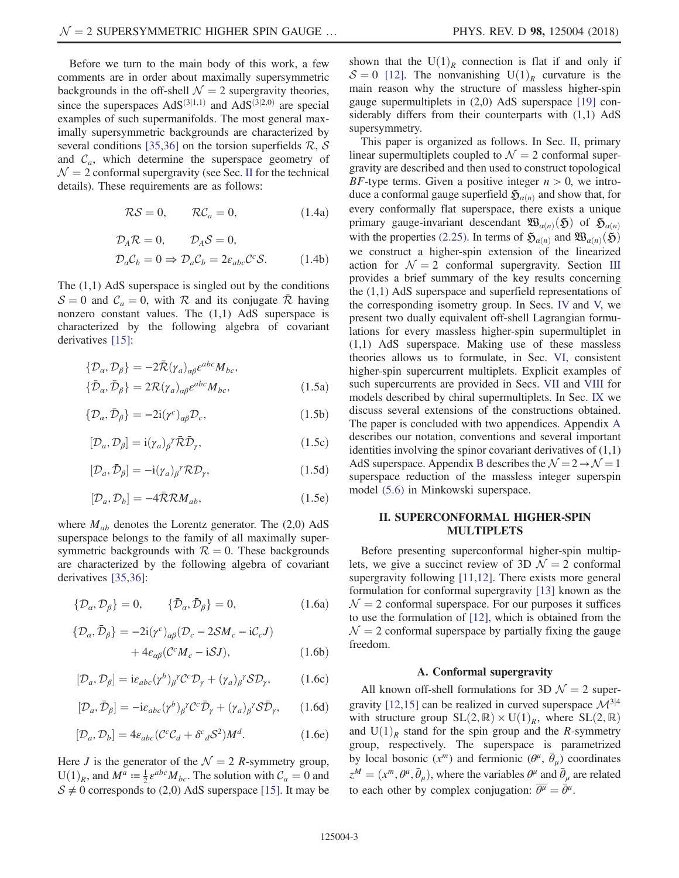Before we turn to the main body of this work, a few comments are in order about maximally supersymmetric backgrounds in the off-shell  $\mathcal{N} = 2$  supergravity theories, since the superspaces  $AdS^{(3|1,1)}$  and  $AdS^{(3|2,0)}$  are special examples of such supermanifolds. The most general maximally supersymmetric backgrounds are characterized by several conditions [\[35,36\]](#page-25-6) on the torsion superfields  $\mathcal{R}, \mathcal{S}$ and  $C_a$ , which determine the superspace geometry of  $\mathcal{N} = 2$  conformal supergravity (see Sec. [II](#page-2-0) for the technical details). These requirements are as follows:

$$
\mathcal{RS} = 0, \qquad \mathcal{RC}_a = 0, \tag{1.4a}
$$

$$
\mathcal{D}_A \mathcal{R} = 0, \qquad \mathcal{D}_A \mathcal{S} = 0,
$$
  

$$
\mathcal{D}_a \mathcal{C}_b = 0 \Rightarrow \mathcal{D}_a \mathcal{C}_b = 2 \varepsilon_{abc} \mathcal{C}^c \mathcal{S}.
$$
 (1.4b)

The  $(1,1)$  AdS superspace is singled out by the conditions  $S = 0$  and  $C_a = 0$ , with R and its conjugate R having nonzero constant values. The  $(1,1)$  AdS superspace is characterized by the following algebra of covariant derivatives [\[15\]:](#page-24-9)

<span id="page-2-1"></span>
$$
\begin{aligned} \{\mathcal{D}_{\alpha}, \mathcal{D}_{\beta}\} &= -2\bar{\mathcal{R}}(\gamma_{a})_{\alpha\beta} \varepsilon^{abc} M_{bc}, \\ \{\bar{\mathcal{D}}_{\alpha}, \bar{\mathcal{D}}_{\beta}\} &= 2\mathcal{R}(\gamma_{a})_{\alpha\beta} \varepsilon^{abc} M_{bc}, \end{aligned} \tag{1.5a}
$$

$$
\{\mathcal{D}_{\alpha}, \bar{\mathcal{D}}_{\beta}\} = -2i(\gamma^c)_{\alpha\beta} \mathcal{D}_c, \tag{1.5b}
$$

$$
[\mathcal{D}_a, \mathcal{D}_\beta] = \mathrm{i} (\gamma_a)_\beta{}^\gamma \bar{\mathcal{R}} \bar{\mathcal{D}}_\gamma,\tag{1.5c}
$$

$$
[\mathcal{D}_a, \bar{\mathcal{D}}_\beta] = -i(\gamma_a)_\beta{}^\gamma \mathcal{R} \mathcal{D}_\gamma,\tag{1.5d}
$$

$$
[\mathcal{D}_a, \mathcal{D}_b] = -4\bar{\mathcal{R}}\mathcal{R}M_{ab},\tag{1.5e}
$$

where  $M_{ab}$  denotes the Lorentz generator. The (2,0) AdS superspace belongs to the family of all maximally supersymmetric backgrounds with  $R = 0$ . These backgrounds are characterized by the following algebra of covariant derivatives [\[35,36\]:](#page-25-6)

$$
\{\mathcal{D}_{\alpha}, \mathcal{D}_{\beta}\} = 0, \qquad \{\bar{\mathcal{D}}_{\alpha}, \bar{\mathcal{D}}_{\beta}\} = 0, \tag{1.6a}
$$

$$
\begin{aligned} \{\mathcal{D}_{\alpha}, \bar{\mathcal{D}}_{\beta}\} &= -2\mathrm{i}(\gamma^c)_{\alpha\beta}(\mathcal{D}_c - 2\mathcal{S}M_c - \mathrm{i}\mathcal{C}_cJ) \\ &+ 4\varepsilon_{\alpha\beta}(\mathcal{C}^cM_c - \mathrm{i}\mathcal{S}J), \end{aligned} \tag{1.6b}
$$

$$
[\mathcal{D}_a, \mathcal{D}_\beta] = i\varepsilon_{abc} (\gamma^b)_\beta{}^{\gamma} \mathcal{C}^c \mathcal{D}_\gamma + (\gamma_a)_\beta{}^{\gamma} \mathcal{S} \mathcal{D}_\gamma,\tag{1.6c}
$$

$$
[\mathcal{D}_a, \bar{\mathcal{D}}_\beta] = -i\varepsilon_{abc} (\gamma^b)_\beta{}^{\gamma} \mathcal{C}^c \bar{\mathcal{D}}_\gamma + (\gamma_a)_\beta{}^{\gamma} \mathcal{S} \bar{\mathcal{D}}_\gamma, \qquad (1.6d)
$$

$$
[\mathcal{D}_a, \mathcal{D}_b] = 4\varepsilon_{abc} (\mathcal{C}^c \mathcal{C}_d + \delta^c{}_d S^2) M^d. \tag{1.6e}
$$

Here *J* is the generator of the  $\mathcal{N} = 2$  *R*-symmetry group,  $U(1)_R$ , and  $M^a := \frac{1}{2} \epsilon^{abc} M_{bc}$ . The solution with  $C_a = 0$  and  $S \neq 0$  corresponds to (2.0) AdS superspace [15]. It may be  $S \neq 0$  corresponds to (2,0) AdS superspace [\[15\]](#page-24-9). It may be shown that the  $U(1)<sub>R</sub>$  connection is flat if and only if  $S = 0$  [\[12\]](#page-24-7). The nonvanishing U(1)<sub>R</sub> curvature is the main reason why the structure of massless higher-spin gauge supermultiplets in (2,0) AdS superspace [\[19\]](#page-25-0) considerably differs from their counterparts with (1,1) AdS supersymmetry.

This paper is organized as follows. In Sec. [II,](#page-2-0) primary linear supermultiplets coupled to  $\mathcal{N} = 2$  conformal supergravity are described and then used to construct topological BF-type terms. Given a positive integer  $n > 0$ , we introduce a conformal gauge superfield  $\mathfrak{H}_{\alpha(n)}$  and show that, for every conformally flat superspace, there exists a unique primary gauge-invariant descendant  $\mathfrak{W}_{\alpha(n)}(\mathfrak{H})$  of  $\mathfrak{H}_{\alpha(n)}$ with the properties [\(2.25\).](#page-5-0) In terms of  $\mathfrak{H}_{\alpha(n)}$  and  $\mathfrak{W}_{\alpha(n)}(\mathfrak{H})$ we construct a higher-spin extension of the linearized action for  $\mathcal{N} = 2$  conformal supergravity. Section [III](#page-7-0) provides a brief summary of the key results concerning the (1,1) AdS superspace and superfield representations of the corresponding isometry group. In Secs. [IV](#page-8-0) and [V,](#page-10-0) we present two dually equivalent off-shell Lagrangian formulations for every massless higher-spin supermultiplet in (1,1) AdS superspace. Making use of these massless theories allows us to formulate, in Sec. [VI](#page-14-0), consistent higher-spin supercurrent multiplets. Explicit examples of such supercurrents are provided in Secs. [VII](#page-16-0) and [VIII](#page-18-0) for models described by chiral supermultiplets. In Sec. [IX](#page-19-1) we discuss several extensions of the constructions obtained. The paper is concluded with two appendices. Appendix [A](#page-21-0) describes our notation, conventions and several important identities involving the spinor covariant derivatives of  $(1,1)$ AdS superspace. Appendix [B](#page-21-1) describes the  $\mathcal{N} = 2 \rightarrow \mathcal{N} = 1$ superspace reduction of the massless integer superspin model [\(5.6\)](#page-11-0) in Minkowski superspace.

### <span id="page-2-0"></span>II. SUPERCONFORMAL HIGHER-SPIN MULTIPLETS

Before presenting superconformal higher-spin multiplets, we give a succinct review of 3D  $\mathcal{N} = 2$  conformal supergravity following [\[11,12\]](#page-24-6). There exists more general formulation for conformal supergravity [\[13\]](#page-24-12) known as the  $\mathcal{N} = 2$  conformal superspace. For our purposes it suffices to use the formulation of [\[12\]](#page-24-7), which is obtained from the  $\mathcal{N} = 2$  conformal superspace by partially fixing the gauge freedom.

#### A. Conformal supergravity

All known off-shell formulations for 3D  $\mathcal{N} = 2$  super-gravity [\[12,15\]](#page-24-7) can be realized in curved superspace  $\mathcal{M}^{3|4}$ with structure group  $SL(2, \mathbb{R}) \times U(1)_R$ , where  $SL(2, \mathbb{R})$ and  $U(1)<sub>R</sub>$  stand for the spin group and the R-symmetry group, respectively. The superspace is parametrized by local bosonic  $(x^m)$  and fermionic  $(\theta^{\mu}, \bar{\theta}_{\mu})$  coordinates  $z^M = (x^m, \theta^{\mu}, \bar{\theta}_{\mu})$ , where the variables  $\theta^{\mu}$  and  $\bar{\theta}_{\mu}$  are related to each other by complex conjugation;  $\overline{\theta^{\mu}} = \bar{\theta}^{\mu}$ to each other by complex conjugation:  $\overline{\theta^{\mu}} = \overline{\theta^{\mu}}$ .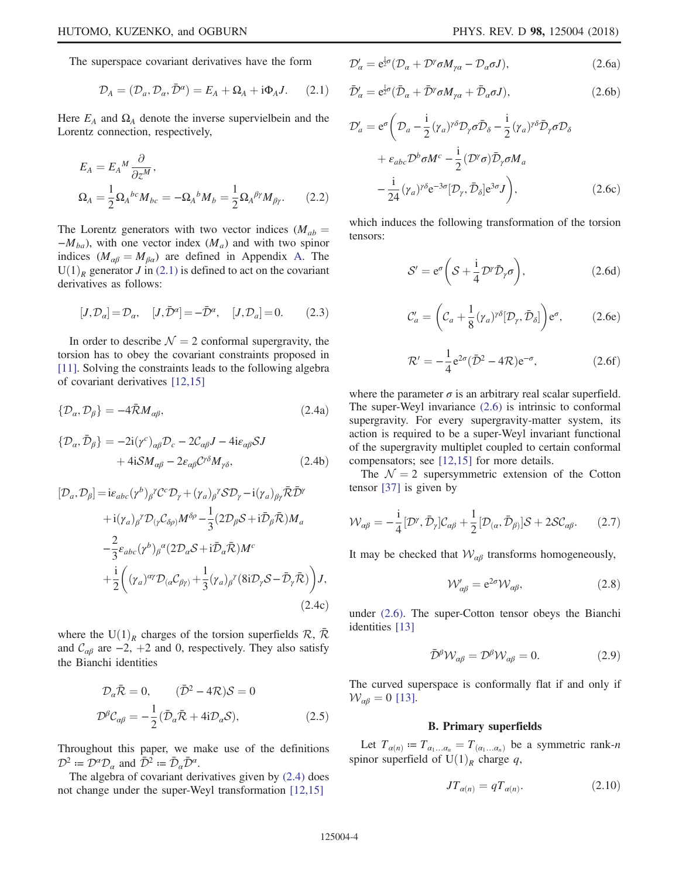<span id="page-3-0"></span>The superspace covariant derivatives have the form

$$
\mathcal{D}_A = (\mathcal{D}_a, \mathcal{D}_a, \bar{\mathcal{D}}^a) = E_A + \Omega_A + i\Phi_A J. \tag{2.1}
$$

Here  $E_A$  and  $\Omega_A$  denote the inverse supervielbein and the Lorentz connection, respectively,

$$
E_A = E_A{}^M \frac{\partial}{\partial z^M},
$$
  
\n
$$
\Omega_A = \frac{1}{2} \Omega_A{}^{bc} M_{bc} = -\Omega_A{}^b M_b = \frac{1}{2} \Omega_A{}^{\beta \gamma} M_{\beta \gamma}.
$$
 (2.2)

The Lorentz generators with two vector indices ( $M_{ab}$  =  $-M_{ba}$ ), with one vector index ( $M_a$ ) and with two spinor indices ( $M_{\alpha\beta} = M_{\beta\alpha}$ ) are defined in Appendix [A.](#page-21-0) The  $U(1)_R$  generator J in [\(2.1\)](#page-3-0) is defined to act on the covariant derivatives as follows:

$$
[J, \mathcal{D}_\alpha] = \mathcal{D}_\alpha, \quad [J, \bar{\mathcal{D}}^\alpha] = -\bar{\mathcal{D}}^\alpha, \quad [J, \mathcal{D}_\alpha] = 0. \tag{2.3}
$$

<span id="page-3-1"></span>In order to describe  $\mathcal{N} = 2$  conformal supergravity, the torsion has to obey the covariant constraints proposed in [\[11\]](#page-24-6). Solving the constraints leads to the following algebra of covariant derivatives [\[12,15\]](#page-24-7)

<span id="page-3-4"></span>
$$
\{\mathcal{D}_{\alpha}, \mathcal{D}_{\beta}\} = -4\bar{\mathcal{R}}M_{\alpha\beta},\tag{2.4a}
$$

$$
\begin{aligned} \{\mathcal{D}_{\alpha}, \bar{\mathcal{D}}_{\beta}\} &= -2\mathrm{i}(\gamma^c)_{\alpha\beta}\mathcal{D}_c - 2\mathcal{C}_{\alpha\beta}J - 4\mathrm{i}\varepsilon_{\alpha\beta}\mathcal{S}J \\ &+ 4\mathrm{i}\mathcal{S}M_{\alpha\beta} - 2\varepsilon_{\alpha\beta}\mathcal{C}^{\gamma\delta}M_{\gamma\delta}, \end{aligned} \tag{2.4b}
$$

$$
[\mathcal{D}_a, \mathcal{D}_\beta] = i \varepsilon_{abc} (\gamma^b)_\beta{}^{\gamma} C^c \mathcal{D}_\gamma + (\gamma_a)_\beta{}^{\gamma} \mathcal{S} \mathcal{D}_\gamma - i (\gamma_a)_{\beta \gamma} \bar{\mathcal{R}} \bar{\mathcal{D}}^{\gamma} + i (\gamma_a)_\beta{}^{\gamma} \mathcal{D}_{(\gamma} C_{\delta \rho)} M^{\delta \rho} - \frac{1}{3} (2 \mathcal{D}_\beta \mathcal{S} + i \bar{\mathcal{D}}_\beta \bar{\mathcal{R}}) M_a - \frac{2}{3} \varepsilon_{abc} (\gamma^b)_\beta{}^{\alpha} (2 \mathcal{D}_a \mathcal{S} + i \bar{\mathcal{D}}_a \bar{\mathcal{R}}) M^c + \frac{i}{2} \left( (\gamma_a)^{\alpha \gamma} \mathcal{D}_{(\alpha} C_{\beta \gamma)} + \frac{1}{3} (\gamma_a)_\beta{}^{\gamma} (8i \mathcal{D}_\gamma \mathcal{S} - \bar{\mathcal{D}}_\gamma \bar{\mathcal{R}}) \right) J, \tag{2.4c}
$$

where the U(1)<sub>R</sub> charges of the torsion superfields  $\mathcal{R}, \bar{\mathcal{R}}$ and  $C_{\alpha\beta}$  are  $-2$ ,  $+2$  and 0, respectively. They also satisfy the Bianchi identities

$$
\mathcal{D}_{\alpha}\bar{\mathcal{R}} = 0, \qquad (\bar{\mathcal{D}}^2 - 4\mathcal{R})\mathcal{S} = 0
$$
  

$$
\mathcal{D}^{\beta}\mathcal{C}_{\alpha\beta} = -\frac{1}{2}(\bar{\mathcal{D}}_{\alpha}\bar{\mathcal{R}} + 4i\mathcal{D}_{\alpha}\mathcal{S}), \qquad (2.5)
$$

<span id="page-3-2"></span>Throughout this paper, we make use of the definitions  $\mathcal{D}^2 \coloneqq \mathcal{D}^{\alpha} \mathcal{D}_{\alpha}$  and  $\bar{\mathcal{D}}^2 \coloneqq \bar{\mathcal{D}}_{\alpha} \bar{\mathcal{D}}^{\alpha}$ .

The algebra of covariant derivatives given by [\(2.4\)](#page-3-1) does not change under the super-Weyl transformation [\[12,15\]](#page-24-7)

$$
\mathcal{D}'_{\alpha} = e^{\frac{1}{2}\sigma} (\mathcal{D}_{\alpha} + \mathcal{D}^{\gamma} \sigma M_{\gamma\alpha} - \mathcal{D}_{\alpha} \sigma J), \qquad (2.6a)
$$

$$
\bar{\mathcal{D}}'_{\alpha} = e^{\frac{1}{2}\sigma} (\bar{\mathcal{D}}_{\alpha} + \bar{\mathcal{D}}^{\gamma} \sigma M_{\gamma\alpha} + \bar{\mathcal{D}}_{\alpha} \sigma J), \qquad (2.6b)
$$

$$
\mathcal{D}'_a = e^{\sigma} \left( \mathcal{D}_a - \frac{i}{2} (\gamma_a)^{\gamma \delta} \mathcal{D}_\gamma \sigma \bar{\mathcal{D}}_\delta - \frac{i}{2} (\gamma_a)^{\gamma \delta} \bar{\mathcal{D}}_\gamma \sigma \mathcal{D}_\delta \right. \n+ \varepsilon_{abc} \mathcal{D}^b \sigma M^c - \frac{i}{2} (\mathcal{D}^\gamma \sigma) \bar{\mathcal{D}}_\gamma \sigma M_a \n- \frac{i}{24} (\gamma_a)^{\gamma \delta} e^{-3\sigma} [\mathcal{D}_\gamma, \bar{\mathcal{D}}_\delta] e^{3\sigma} J \right),
$$
\n(2.6c)

<span id="page-3-6"></span>which induces the following transformation of the torsion tensors:

$$
S' = e^{\sigma} \left( S + \frac{i}{4} \mathcal{D}' \bar{\mathcal{D}}_{\gamma} \sigma \right), \tag{2.6d}
$$

$$
\mathcal{C}'_a = \left( \mathcal{C}_a + \frac{1}{8} (\gamma_a)^{\gamma \delta} [\mathcal{D}_\gamma, \bar{\mathcal{D}}_\delta] \right) e^{\sigma}, \tag{2.6e}
$$

$$
\mathcal{R}' = -\frac{1}{4}e^{2\sigma}(\bar{\mathcal{D}}^2 - 4\mathcal{R})e^{-\sigma},\qquad(2.6f)
$$

where the parameter  $\sigma$  is an arbitrary real scalar superfield. The super-Weyl invariance [\(2.6\)](#page-3-2) is intrinsic to conformal supergravity. For every supergravity-matter system, its action is required to be a super-Weyl invariant functional of the supergravity multiplet coupled to certain conformal compensators; see [\[12,15\]](#page-24-7) for more details.

<span id="page-3-5"></span>The  $\mathcal{N} = 2$  supersymmetric extension of the Cotton tensor [\[37\]](#page-25-7) is given by

$$
\mathcal{W}_{\alpha\beta} = -\frac{i}{4} [\mathcal{D}^{\gamma}, \bar{\mathcal{D}}_{\gamma}] \mathcal{C}_{\alpha\beta} + \frac{1}{2} [\mathcal{D}_{(\alpha}, \bar{\mathcal{D}}_{\beta)}] \mathcal{S} + 2\mathcal{S} \mathcal{C}_{\alpha\beta}.
$$
 (2.7)

<span id="page-3-3"></span>It may be checked that  $W_{\alpha\beta}$  transforms homogeneously,

$$
\mathcal{W}'_{\alpha\beta} = e^{2\sigma} \mathcal{W}_{\alpha\beta},\tag{2.8}
$$

under [\(2.6\)](#page-3-2). The super-Cotton tensor obeys the Bianchi identities [\[13\]](#page-24-12)

$$
\bar{\mathcal{D}}^{\beta} \mathcal{W}_{\alpha\beta} = \mathcal{D}^{\beta} \mathcal{W}_{\alpha\beta} = 0. \tag{2.9}
$$

The curved superspace is conformally flat if and only if  $W_{\alpha\beta} = 0$  [\[13\]](#page-24-12).

# B. Primary superfields

<span id="page-3-7"></span>Let  $T_{\alpha(n)} \coloneqq T_{\alpha_1 \dots \alpha_n} = T_{(\alpha_1 \dots \alpha_n)}$  be a symmetric rank-n spinor superfield of  $U(1)<sub>R</sub>$  charge q,

$$
JT_{\alpha(n)} = qT_{\alpha(n)}.\tag{2.10}
$$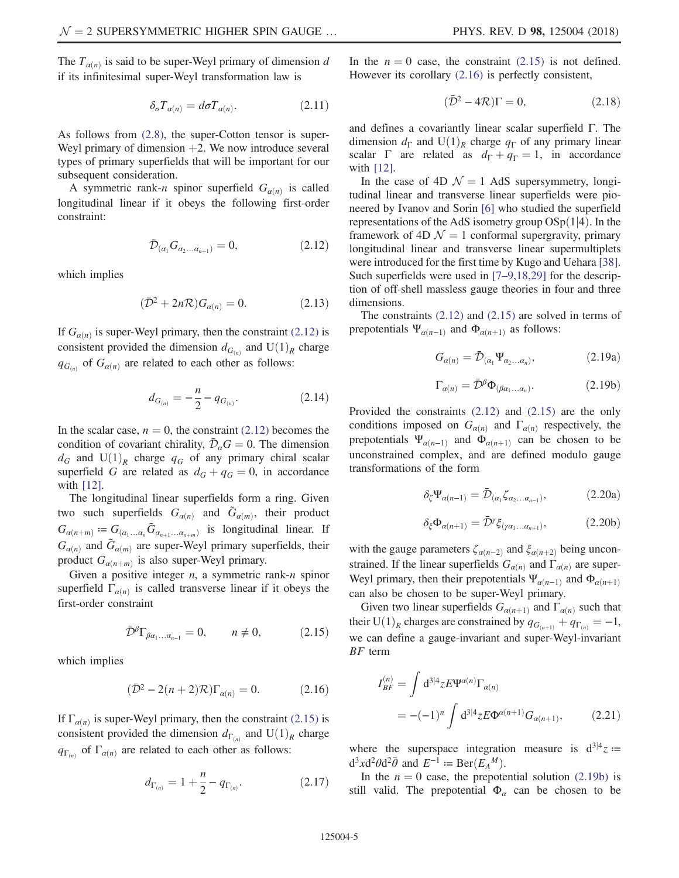The  $T_{\alpha(n)}$  is said to be super-Weyl primary of dimension d if its infinitesimal super-Weyl transformation law is

$$
\delta_{\sigma} T_{\alpha(n)} = d\sigma T_{\alpha(n)}.
$$
\n(2.11)

As follows from [\(2.8\),](#page-3-3) the super-Cotton tensor is super-Weyl primary of dimension  $+2$ . We now introduce several types of primary superfields that will be important for our subsequent consideration.

<span id="page-4-0"></span>A symmetric rank-n spinor superfield  $G_{\alpha(n)}$  is called longitudinal linear if it obeys the following first-order constraint:

$$
\bar{\mathcal{D}}_{(\alpha_1} G_{\alpha_2...\alpha_{n+1})} = 0, \tag{2.12}
$$

which implies

$$
(\bar{\mathcal{D}}^2 + 2n\mathcal{R})G_{\alpha(n)} = 0. \tag{2.13}
$$

<span id="page-4-6"></span>If  $G_{\alpha(n)}$  is super-Weyl primary, then the constraint [\(2.12\)](#page-4-0) is consistent provided the dimension  $d_{G(n)}$  and  $U(1)_R$  charge  $q_{G(n)}$  of  $G_{\alpha(n)}$  are related to each other as follows:

$$
d_{G_{(n)}} = -\frac{n}{2} - q_{G_{(n)}}.\t(2.14)
$$

In the scalar case,  $n = 0$ , the constraint [\(2.12\)](#page-4-0) becomes the condition of covariant chirality,  $\bar{\mathcal{D}}_{\alpha}G = 0$ . The dimension  $d_G$  and  $U(1)_R$  charge  $q_G$  of any primary chiral scalar superfield G are related as  $d_G + q_G = 0$ , in accordance with [\[12\]](#page-24-7).

The longitudinal linear superfields form a ring. Given two such superfields  $G_{\alpha(n)}$  and  $\tilde{G}_{\alpha(m)}$ , their product  $G_{\alpha(n+m)} \coloneqq G_{(\alpha_1...\alpha_n} \tilde{G}_{\alpha_{n+1}...\alpha_{n+m}})$  is longitudinal linear. If  $G_{\alpha(n)}$  and  $\tilde{G}_{\alpha(m)}$  are super-Weyl primary superfields, their product  $G_{\alpha(n+m)}$  is also super-Weyl primary.

<span id="page-4-1"></span>Given a positive integer  $n$ , a symmetric rank- $n$  spinor superfield  $\Gamma_{\alpha(n)}$  is called transverse linear if it obeys the first-order constraint

$$
\bar{\mathcal{D}}^{\beta}\Gamma_{\beta\alpha_1...\alpha_{n-1}} = 0, \qquad n \neq 0, \qquad (2.15)
$$

<span id="page-4-2"></span>which implies

$$
(\bar{\mathcal{D}}^2 - 2(n+2)\mathcal{R})\Gamma_{\alpha(n)} = 0.
$$
 (2.16)

<span id="page-4-5"></span>If  $\Gamma_{\alpha(n)}$  is super-Weyl primary, then the constraint [\(2.15\)](#page-4-1) is consistent provided the dimension  $d_{\Gamma(n)}$  and  $U(1)_R$  charge  $q_{\Gamma(n)}$  of  $\Gamma_{\alpha(n)}$  are related to each other as follows:

$$
d_{\Gamma_{(n)}} = 1 + \frac{n}{2} - q_{\Gamma_{(n)}}.\t(2.17)
$$

<span id="page-4-4"></span>In the  $n = 0$  case, the constraint [\(2.15\)](#page-4-1) is not defined. However its corollary [\(2.16\)](#page-4-2) is perfectly consistent,

$$
(\bar{\mathcal{D}}^2 - 4\mathcal{R})\Gamma = 0,\t(2.18)
$$

and defines a covariantly linear scalar superfield Γ. The dimension  $d_{\Gamma}$  and  $U(1)<sub>R</sub>$  charge  $q_{\Gamma}$  of any primary linear scalar  $\Gamma$  are related as  $d_{\Gamma} + q_{\Gamma} = 1$ , in accordance with [\[12\]](#page-24-7).

In the case of 4D  $\mathcal{N} = 1$  AdS supersymmetry, longitudinal linear and transverse linear superfields were pioneered by Ivanov and Sorin [\[6\]](#page-24-13) who studied the superfield representations of the AdS isometry group  $OSp(1|4)$ . In the framework of 4D  $\mathcal{N} = 1$  conformal supergravity, primary longitudinal linear and transverse linear supermultiplets were introduced for the first time by Kugo and Uehara [\[38\]](#page-25-8). Such superfields were used in [7–[9,18,29\]](#page-24-3) for the description of off-shell massless gauge theories in four and three dimensions.

<span id="page-4-7"></span>The constraints [\(2.12\)](#page-4-0) and [\(2.15\)](#page-4-1) are solved in terms of prepotentials  $\Psi_{\alpha(n-1)}$  and  $\Phi_{\alpha(n+1)}$  as follows:

$$
G_{\alpha(n)} = \bar{\mathcal{D}}_{(\alpha_1} \Psi_{\alpha_2 \dots \alpha_n)}, \tag{2.19a}
$$

$$
\Gamma_{\alpha(n)} = \bar{\mathcal{D}}^{\beta} \Phi_{(\beta \alpha_1 \dots \alpha_n)}.
$$
\n(2.19b)

<span id="page-4-3"></span>Provided the constraints [\(2.12\)](#page-4-0) and [\(2.15\)](#page-4-1) are the only conditions imposed on  $G_{\alpha(n)}$  and  $\Gamma_{\alpha(n)}$  respectively, the prepotentials  $\Psi_{\alpha(n-1)}$  and  $\Phi_{\alpha(n+1)}$  can be chosen to be unconstrained complex, and are defined modulo gauge transformations of the form

$$
\delta_{\zeta} \Psi_{\alpha(n-1)} = \bar{\mathcal{D}}_{(\alpha_1} \zeta_{\alpha_2 \dots \alpha_{n-1})}, \tag{2.20a}
$$

$$
\delta_{\xi} \Phi_{\alpha(n+1)} = \bar{\mathcal{D}}^{\gamma} \xi_{(\gamma \alpha_1 \dots \alpha_{n+1})}, \tag{2.20b}
$$

with the gauge parameters  $\zeta_{\alpha(n-2)}$  and  $\xi_{\alpha(n+2)}$  being unconstrained. If the linear superfields  $G_{\alpha(n)}$  and  $\Gamma_{\alpha(n)}$  are super-Weyl primary, then their prepotentials  $\Psi_{\alpha(n-1)}$  and  $\Phi_{\alpha(n+1)}$ can also be chosen to be super-Weyl primary.

Given two linear superfields  $G_{\alpha(n+1)}$  and  $\Gamma_{\alpha(n)}$  such that their U(1)<sub>R</sub> charges are constrained by  $q_{G_{(n+1)}} + q_{\Gamma_{(n)}} = -1$ , we can define a gauge-invariant and super-Weyl-invariant BF term

$$
I_{BF}^{(n)} = \int d^{3|4}z E \Psi^{\alpha(n)} \Gamma_{\alpha(n)}
$$
  
= -(-1)^n \int d^{3|4}z E \Phi^{\alpha(n+1)} G\_{\alpha(n+1)}, \qquad (2.21)

where the superspace integration measure is  $d^{3/4}z =$  $d^3x d^2\theta d^2\bar{\theta}$  and  $E^{-1} := \text{Ber}(E_A^M)$ .<br>In the  $n = 0$  case, the prepate

In the  $n = 0$  case, the prepotential solution [\(2.19b\)](#page-4-3) is still valid. The prepotential  $\Phi_{\alpha}$  can be chosen to be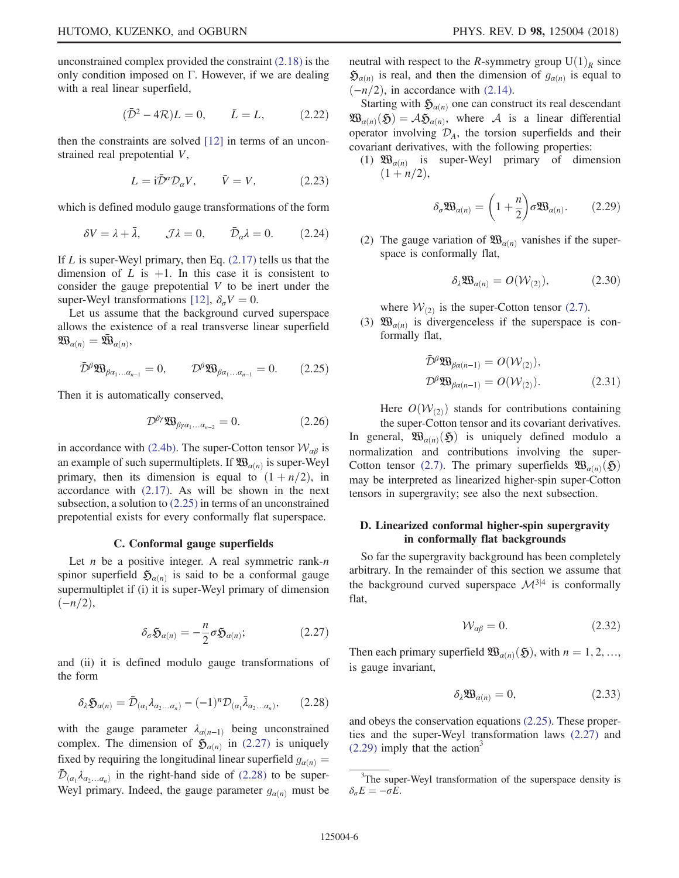<span id="page-5-7"></span>unconstrained complex provided the constraint [\(2.18\)](#page-4-4) is the only condition imposed on Γ. However, if we are dealing with a real linear superfield,

$$
(\bar{\mathcal{D}}^2 - 4\mathcal{R})L = 0, \qquad \bar{L} = L,
$$
 (2.22)

then the constraints are solved [\[12\]](#page-24-7) in terms of an unconstrained real prepotential V,

$$
L = i\bar{\mathcal{D}}^{\alpha} \mathcal{D}_{\alpha} V, \qquad \bar{V} = V, \tag{2.23}
$$

which is defined modulo gauge transformations of the form

$$
\delta V = \lambda + \bar{\lambda}, \qquad \mathcal{J}\lambda = 0, \qquad \bar{\mathcal{D}}_{\alpha}\lambda = 0. \tag{2.24}
$$

If  $L$  is super-Weyl primary, then Eq.  $(2.17)$  tells us that the dimension of L is  $+1$ . In this case it is consistent to consider the gauge prepotential  $V$  to be inert under the super-Weyl transformations [\[12\],](#page-24-7)  $\delta_{\sigma} V = 0$ .

<span id="page-5-0"></span>Let us assume that the background curved superspace allows the existence of a real transverse linear superfield  $\mathfrak{W}_{\alpha(n)}=\bar{\mathfrak{W}}_{\alpha(n)},$ 

$$
\bar{\mathcal{D}}^{\beta} \mathfrak{W}_{\beta \alpha_1 \dots \alpha_{n-1}} = 0, \qquad \mathcal{D}^{\beta} \mathfrak{W}_{\beta \alpha_1 \dots \alpha_{n-1}} = 0. \qquad (2.25)
$$

Then it is automatically conserved,

$$
\mathcal{D}^{\beta\gamma}\mathfrak{W}_{\beta\gamma\alpha_1...\alpha_{n-2}}=0.\tag{2.26}
$$

in accordance with [\(2.4b\).](#page-3-4) The super-Cotton tensor  $W_{\alpha\beta}$  is an example of such supermultiplets. If  $\mathfrak{W}_{\alpha(n)}$  is super-Weyl primary, then its dimension is equal to  $(1 + n/2)$ , in accordance with [\(2.17\).](#page-4-5) As will be shown in the next subsection, a solution to [\(2.25\)](#page-5-0) in terms of an unconstrained prepotential exists for every conformally flat superspace.

#### C. Conformal gauge superfields

<span id="page-5-6"></span><span id="page-5-1"></span>Let  $n$  be a positive integer. A real symmetric rank- $n$ spinor superfield  $\mathfrak{H}_{\alpha(n)}$  is said to be a conformal gauge supermultiplet if (i) it is super-Weyl primary of dimension  $(-n/2),$ 

$$
\delta_{\sigma} \mathfrak{H}_{\alpha(n)} = -\frac{n}{2} \sigma \mathfrak{H}_{\alpha(n)}; \qquad (2.27)
$$

<span id="page-5-2"></span>and (ii) it is defined modulo gauge transformations of the form

$$
\delta_{\lambda} \mathfrak{H}_{\alpha(n)} = \bar{\mathcal{D}}_{(\alpha_1} \lambda_{\alpha_2 \dots \alpha_n)} - (-1)^n \mathcal{D}_{(\alpha_1} \bar{\lambda}_{\alpha_2 \dots \alpha_n)}, \qquad (2.28)
$$

with the gauge parameter  $\lambda_{\alpha(n-1)}$  being unconstrained complex. The dimension of  $\mathfrak{H}_{\alpha(n)}$  in [\(2.27\)](#page-5-1) is uniquely fixed by requiring the longitudinal linear superfield  $g_{\alpha(n)} =$  $\mathcal{D}_{(\alpha_1} \lambda_{\alpha_2 \ldots \alpha_n)}$  in the right-hand side of [\(2.28\)](#page-5-2) to be super-Weyl primary. Indeed, the gauge parameter  $g_{\alpha(n)}$  must be

Starting with  $\mathfrak{H}_{\alpha(n)}$  one can construct its real descendant  $\mathfrak{W}_{\alpha(n)}(\mathfrak{H})=\mathcal{A}\mathfrak{H}_{\alpha(n)},$  where  $\mathcal A$  is a linear differential operator involving  $\mathcal{D}_A$ , the torsion superfields and their covariant derivatives, with the following properties:

 $(-n/2)$ , in accordance with [\(2.14\).](#page-4-6)

<span id="page-5-3"></span>(1)  $\mathfrak{W}_{\alpha(n)}$  is super-Weyl primary of dimension  $(1 + n/2),$ 

$$
\delta_{\sigma} \mathfrak{W}_{\alpha(n)} = \left(1 + \frac{n}{2}\right) \sigma \mathfrak{W}_{\alpha(n)}.
$$
 (2.29)

(2) The gauge variation of  $\mathfrak{W}_{\alpha(n)}$  vanishes if the superspace is conformally flat,

$$
\delta_{\lambda} \mathfrak{W}_{\alpha(n)} = O(\mathcal{W}_{(2)}), \tag{2.30}
$$

where  $W_{(2)}$  is the super-Cotton tensor [\(2.7\).](#page-3-5)

(3)  $\mathfrak{W}_{\alpha(n)}$  is divergenceless if the superspace is conformally flat,

$$
\bar{\mathcal{D}}^{\beta} \mathfrak{W}_{\beta\alpha(n-1)} = O(\mathcal{W}_{(2)}),
$$
  

$$
\mathcal{D}^{\beta} \mathfrak{W}_{\beta\alpha(n-1)} = O(\mathcal{W}_{(2)}).
$$
 (2.31)

Here  $O(W_{(2)})$  stands for contributions containing

the super-Cotton tensor and its covariant derivatives. In general,  $\mathfrak{W}_{\alpha(n)}(\mathfrak{H})$  is uniquely defined modulo a normalization and contributions involving the super-Cotton tensor [\(2.7\)](#page-3-5). The primary superfields  $\mathfrak{W}_{\alpha(n)}(\mathfrak{H})$ may be interpreted as linearized higher-spin super-Cotton tensors in supergravity; see also the next subsection.

# <span id="page-5-8"></span>D. Linearized conformal higher-spin supergravity in conformally flat backgrounds

<span id="page-5-4"></span>So far the supergravity background has been completely arbitrary. In the remainder of this section we assume that the background curved superspace  $\mathcal{M}^{3|4}$  is conformally flat,

$$
W_{\alpha\beta} = 0. \tag{2.32}
$$

Then each primary superfield  $\mathfrak{W}_{\alpha(n)}(\mathfrak{H})$ , with  $n = 1, 2, ...,$ is gauge invariant,

$$
\delta_{\lambda} \mathfrak{W}_{\alpha(n)} = 0, \tag{2.33}
$$

<span id="page-5-5"></span>and obeys the conservation equations [\(2.25\)](#page-5-0). These properties and the super-Weyl transformation laws [\(2.27\)](#page-5-1) and  $(2.29)$  imply that the action<sup>3</sup>

<sup>&</sup>lt;sup>3</sup>The super-Weyl transformation of the superspace density is  $\delta_{\sigma}E = -\sigma E.$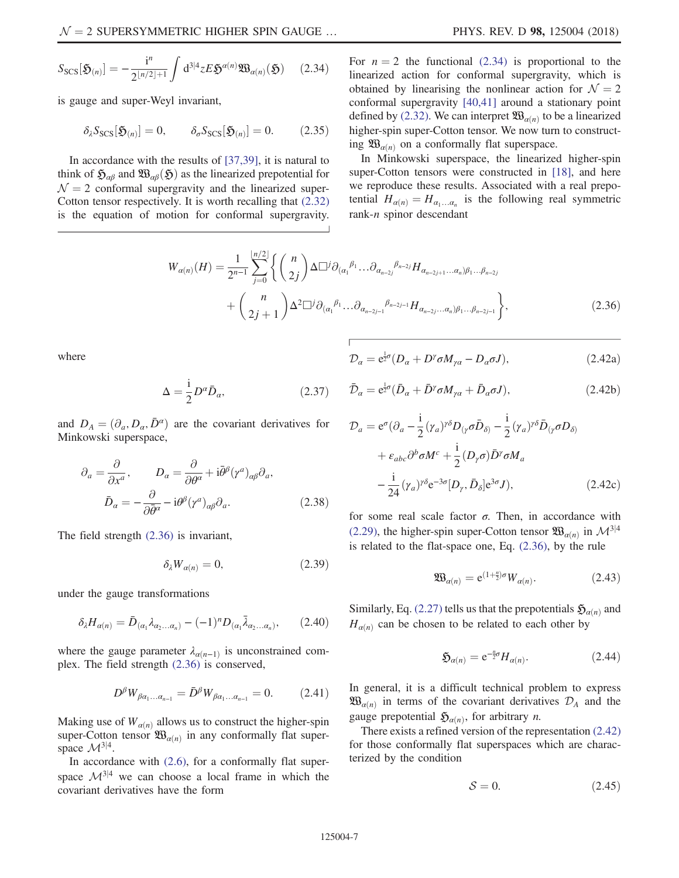$$
S_{\text{SCS}}[\mathfrak{H}_{(n)}] = -\frac{i^n}{2^{\lfloor n/2 \rfloor + 1}} \int d^{3\lfloor n/2 \rfloor} \mathfrak{L} \mathfrak{H}^{\alpha(n)} \mathfrak{W}_{\alpha(n)}(\mathfrak{H}) \qquad (2.34)
$$

is gauge and super-Weyl invariant,

$$
\delta_{\lambda} S_{\text{SCS}}[\mathfrak{H}_{(n)}] = 0, \qquad \delta_{\sigma} S_{\text{SCS}}[\mathfrak{H}_{(n)}] = 0. \tag{2.35}
$$

<span id="page-6-0"></span>In accordance with the results of [\[37,39\],](#page-25-7) it is natural to think of  $\mathfrak{H}_{\alpha\beta}$  and  $\mathfrak{W}_{\alpha\beta}(\mathfrak{H})$  as the linearized prepotential for  $\mathcal{N} = 2$  conformal supergravity and the linearized super-Cotton tensor respectively. It is worth recalling that [\(2.32\)](#page-5-4) is the equation of motion for conformal supergravity. For  $n = 2$  the functional [\(2.34\)](#page-5-5) is proportional to the linearized action for conformal supergravity, which is obtained by linearising the nonlinear action for  $\mathcal{N} = 2$ conformal supergravity [\[40,41\]](#page-25-9) around a stationary point defined by [\(2.32\)](#page-5-4). We can interpret  $\mathfrak{W}_{\alpha(n)}$  to be a linearized higher-spin super-Cotton tensor. We now turn to constructing  $\mathfrak{W}_{\alpha(n)}$  on a conformally flat superspace.

In Minkowski superspace, the linearized higher-spin super-Cotton tensors were constructed in [\[18\]](#page-24-11), and here we reproduce these results. Associated with a real prepotential  $H_{\alpha(n)} = H_{\alpha_1...\alpha_n}$  is the following real symmetric rank-n spinor descendant

$$
W_{\alpha(n)}(H) = \frac{1}{2^{n-1}} \sum_{j=0}^{\lfloor n/2 \rfloor} \left\{ \binom{n}{2j} \Delta \Box^j \partial_{(\alpha_1}^{\beta_1} \dots \partial_{\alpha_{n-2j}}^{\beta_{n-2j}} H_{\alpha_{n-2j+1} \dots \alpha_n) \beta_1 \dots \beta_{n-2j}} + \binom{n}{2j+1} \Delta^2 \Box^j \partial_{(\alpha_1}^{\beta_1} \dots \partial_{\alpha_{n-2j-1}}^{\beta_{n-2j-1}} H_{\alpha_{n-2j} \dots \alpha_n) \beta_1 \dots \beta_{n-2j-1}} \right\},
$$
\n(2.36)

where

$$
\mathcal{D}_{\alpha} = e^{\frac{1}{2}\sigma} (D_{\alpha} + D^{\gamma} \sigma M_{\gamma\alpha} - D_{\alpha} \sigma J), \qquad (2.42a)
$$

$$
\bar{\mathcal{D}}_{\alpha} = e^{\frac{1}{2}\sigma} (\bar{D}_{\alpha} + \bar{D}^{\gamma} \sigma M_{\gamma\alpha} + \bar{D}_{\alpha} \sigma J), \qquad (2.42b)
$$

<span id="page-6-4"></span>and  $D_A = (\partial_a, D_\alpha, \bar{D}^\alpha)$  are the covariant derivatives for Minkowski superspace,

$$
\partial_a = \frac{\partial}{\partial x^a}, \qquad D_\alpha = \frac{\partial}{\partial \theta^\alpha} + i \bar{\theta}^\beta (\gamma^a)_{\alpha\beta} \partial_a,
$$

$$
\bar{D}_\alpha = -\frac{\partial}{\partial \bar{\theta}^\alpha} - i \theta^\beta (\gamma^a)_{\alpha\beta} \partial_a.
$$
(2.38)

The field strength [\(2.36\)](#page-6-0) is invariant,

$$
\delta_{\lambda} W_{\alpha(n)} = 0, \qquad (2.39)
$$

 $\Delta = \frac{1}{2} D^{\alpha} \bar{D}_{\alpha},$ (2.37)

under the gauge transformations

$$
\delta_{\lambda}H_{\alpha(n)}=\bar{D}_{(\alpha_1}\lambda_{\alpha_2...\alpha_n)}-(-1)^nD_{(\alpha_1}\bar{\lambda}_{\alpha_2...\alpha_n)},\qquad(2.40)
$$

where the gauge parameter  $\lambda_{\alpha(n-1)}$  is unconstrained complex. The field strength [\(2.36\)](#page-6-0) is conserved,

$$
D^{\beta}W_{\beta\alpha_1...\alpha_{n-1}} = \bar{D}^{\beta}W_{\beta\alpha_1...\alpha_{n-1}} = 0. \qquad (2.41)
$$

Making use of  $W_{\alpha(n)}$  allows us to construct the higher-spin super-Cotton tensor  $\mathfrak{W}_{\alpha(n)}$  in any conformally flat superspace  $\mathcal{M}^{3|4}$ .

<span id="page-6-1"></span>In accordance with  $(2.6)$ , for a conformally flat superspace  $\mathcal{M}^{3|4}$  we can choose a local frame in which the covariant derivatives have the form

$$
\mathcal{D}_a = e^{\sigma} (\partial_a - \frac{i}{2} (\gamma_a)^{\gamma \delta} D_{(\gamma} \sigma \bar{D}_{\delta)} - \frac{i}{2} (\gamma_a)^{\gamma \delta} \bar{D}_{(\gamma} \sigma D_{\delta)}
$$

$$
+ \varepsilon_{abc} \partial^b \sigma M^c + \frac{i}{2} (D_{\gamma} \sigma) \bar{D}^{\gamma} \sigma M_a
$$

$$
- \frac{i}{24} (\gamma_a)^{\gamma \delta} e^{-3\sigma} [D_{\gamma}, \bar{D}_{\delta}] e^{3\sigma} J), \qquad (2.42c)
$$

<span id="page-6-3"></span>for some real scale factor  $\sigma$ . Then, in accordance with [\(2.29\)](#page-5-3), the higher-spin super-Cotton tensor  $\mathfrak{W}_{\alpha(n)}$  in  $\mathcal{M}^{3|4}$ is related to the flat-space one, Eq. [\(2.36\)](#page-6-0), by the rule

$$
\mathfrak{W}_{\alpha(n)} = e^{(1+\frac{n}{2})\sigma} W_{\alpha(n)}.
$$
\n(2.43)

Similarly, Eq. [\(2.27\)](#page-5-1) tells us that the prepotentials  $\mathfrak{H}_{\alpha(n)}$  and  $H_{\alpha(n)}$  can be chosen to be related to each other by

$$
\mathfrak{H}_{\alpha(n)} = e^{-\frac{n}{2}\sigma} H_{\alpha(n)}.
$$
\n(2.44)

In general, it is a difficult technical problem to express  $\mathfrak{W}_{\alpha(n)}$  in terms of the covariant derivatives  $\mathcal{D}_A$  and the gauge prepotential  $\mathfrak{H}_{\alpha(n)}$ , for arbitrary *n*.

<span id="page-6-2"></span>There exists a refined version of the representation [\(2.42\)](#page-6-1) for those conformally flat superspaces which are characterized by the condition

$$
S = 0.\t(2.45)
$$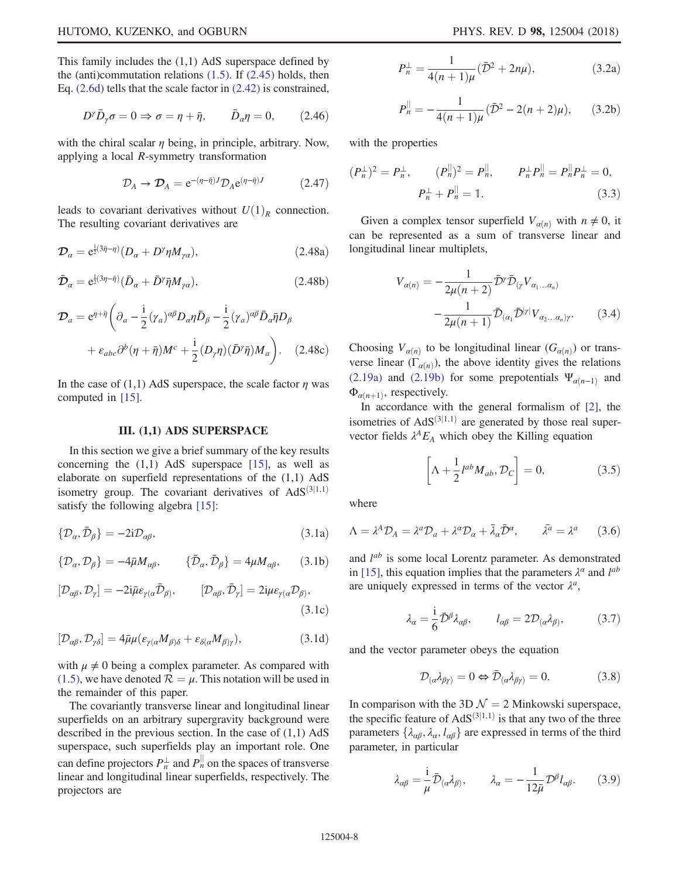This family includes the  $(1,1)$  AdS superspace defined by the (anti)commutation relations  $(1.5)$ . If  $(2.45)$  holds, then Eq. [\(2.6d\)](#page-3-6) tells that the scale factor in [\(2.42\)](#page-6-1) is constrained,

$$
D^{\gamma}\bar{D}_{\gamma}\sigma = 0 \Rightarrow \sigma = \eta + \bar{\eta}, \qquad \bar{D}_{\alpha}\eta = 0, \qquad (2.46)
$$

with the chiral scalar  $\eta$  being, in principle, arbitrary. Now, applying a local R-symmetry transformation

$$
\mathcal{D}_A \to \mathcal{D}_A = e^{-(\eta - \bar{\eta})J} \mathcal{D}_A e^{(\eta - \bar{\eta})J} \tag{2.47}
$$

leads to covariant derivatives without  $U(1)<sub>R</sub>$  connection. The resulting covariant derivatives are

$$
\mathcal{D}_{\alpha} = e^{\frac{1}{2}(3\bar{\eta}-\eta)}(D_{\alpha} + D^{\gamma}\eta M_{\gamma\alpha}), \qquad (2.48a)
$$

$$
\bar{\mathcal{D}}_{\alpha} = e^{\frac{1}{2}(3\eta - \bar{\eta})} (\bar{D}_{\alpha} + \bar{D}^{\gamma} \bar{\eta} M_{\gamma\alpha}), \qquad (2.48b)
$$

$$
\mathcal{D}_{a} = e^{\eta + \bar{\eta}} \left( \partial_{a} - \frac{i}{2} (\gamma_{a})^{\alpha \beta} D_{\alpha} \eta \bar{D}_{\beta} - \frac{i}{2} (\gamma_{a})^{\alpha \beta} \bar{D}_{\alpha} \bar{\eta} D_{\beta} \right. \n+ \varepsilon_{abc} \partial^{b} (\eta + \bar{\eta}) M^{c} + \frac{i}{2} (D_{\gamma} \eta) (\bar{D}^{\gamma} \bar{\eta}) M_{a} \right). \quad (2.48c)
$$

<span id="page-7-0"></span>In the case of (1,1) AdS superspace, the scale factor  $\eta$  was computed in [\[15\].](#page-24-9)

#### III. (1,1) ADS SUPERSPACE

<span id="page-7-3"></span>In this section we give a brief summary of the key results concerning the  $(1,1)$  AdS superspace [\[15\],](#page-24-9) as well as elaborate on superfield representations of the (1,1) AdS isometry group. The covariant derivatives of  $AdS^{(3|1,1)}$ satisfy the following algebra [\[15\]](#page-24-9):

$$
\{\mathcal{D}_{\alpha}, \bar{\mathcal{D}}_{\beta}\} = -2i\mathcal{D}_{\alpha\beta},\tag{3.1a}
$$

$$
\{\mathcal{D}_{\alpha}, \mathcal{D}_{\beta}\} = -4\bar{\mu}M_{\alpha\beta}, \qquad \{\bar{\mathcal{D}}_{\alpha}, \bar{\mathcal{D}}_{\beta}\} = 4\mu M_{\alpha\beta}, \qquad (3.1b)
$$

$$
[\mathcal{D}_{\alpha\beta}, \mathcal{D}_{\gamma}] = -2i\bar{\mu}\varepsilon_{\gamma(\alpha}\bar{\mathcal{D}}_{\beta)}, \qquad [\mathcal{D}_{\alpha\beta}, \bar{\mathcal{D}}_{\gamma}] = 2i\mu\varepsilon_{\gamma(\alpha}\mathcal{D}_{\beta)},
$$
\n(3.1c)

$$
[\mathcal{D}_{\alpha\beta}, \mathcal{D}_{\gamma\delta}] = 4\bar{\mu}\mu(\varepsilon_{\gamma(\alpha}M_{\beta)\delta} + \varepsilon_{\delta(\alpha}M_{\beta)\gamma}), \tag{3.1d}
$$

with  $\mu \neq 0$  being a complex parameter. As compared with [\(1.5\),](#page-2-1) we have denoted  $\mathcal{R} = \mu$ . This notation will be used in the remainder of this paper.

The covariantly transverse linear and longitudinal linear superfields on an arbitrary supergravity background were described in the previous section. In the case of  $(1,1)$  AdS superspace, such superfields play an important role. One can define projectors  $P_n^{\perp}$  and  $P_n^{\parallel}$  on the spaces of transverse linear and longitudinal linear superfields, respectively. The projectors are

$$
P_n^{\perp} = \frac{1}{4(n+1)\mu} (\bar{\mathcal{D}}^2 + 2n\mu),
$$
 (3.2a)

$$
P_n^{\parallel} = -\frac{1}{4(n+1)\mu} (\bar{\mathcal{D}}^2 - 2(n+2)\mu), \qquad (3.2b)
$$

with the properties

$$
(P_n^{\perp})^2 = P_n^{\perp}, \qquad (P_n^{\parallel})^2 = P_n^{\parallel}, \qquad P_n^{\perp} P_n^{\parallel} = P_n^{\parallel} P_n^{\perp} = 0,
$$
  

$$
P_n^{\perp} + P_n^{\parallel} = \mathbb{1}.
$$
 (3.3)

Given a complex tensor superfield  $V_{\alpha(n)}$  with  $n \neq 0$ , it can be represented as a sum of transverse linear and longitudinal linear multiplets,

$$
V_{\alpha(n)} = -\frac{1}{2\mu(n+2)} \bar{\mathcal{D}}^{\gamma} \bar{\mathcal{D}}_{(\gamma} V_{\alpha_1...\alpha_n)} - \frac{1}{2\mu(n+1)} \bar{\mathcal{D}}_{(\alpha_1} \bar{\mathcal{D}}^{|\gamma|} V_{\alpha_2...\alpha_n)\gamma}.
$$
 (3.4)

Choosing  $V_{\alpha(n)}$  to be longitudinal linear  $(G_{\alpha(n)})$  or transverse linear ( $\Gamma_{\alpha(n)}$ ), the above identity gives the relations [\(2.19a\)](#page-4-7) and [\(2.19b\)](#page-4-3) for some prepotentials  $\Psi_{\alpha(n-1)}$  and  $\Phi_{\alpha(n+1)}$ , respectively.

In accordance with the general formalism of [\[2\],](#page-24-14) the isometries of  $AdS^{(3|1,1)}$  are generated by those real supervector fields  $\lambda^A E_A$  which obey the Killing equation

$$
\left[\Lambda + \frac{1}{2} l^{ab} M_{ab}, \mathcal{D}_C\right] = 0, \tag{3.5}
$$

where

$$
\Lambda = \lambda^A \mathcal{D}_A = \lambda^a \mathcal{D}_a + \lambda^a \mathcal{D}_a + \bar{\lambda}_a \bar{\mathcal{D}}^a, \qquad \bar{\lambda}^a = \lambda^a \qquad (3.6)
$$

<span id="page-7-1"></span>and  $l^{ab}$  is some local Lorentz parameter. As demonstrated in [\[15\],](#page-24-9) this equation implies that the parameters  $\lambda^{\alpha}$  and  $l^{ab}$ are uniquely expressed in terms of the vector  $\lambda^a$ ,

$$
\lambda_{\alpha} = \frac{i}{6} \bar{\mathcal{D}}^{\beta} \lambda_{\alpha\beta}, \qquad l_{\alpha\beta} = 2 \mathcal{D}_{(\alpha} \lambda_{\beta)}, \tag{3.7}
$$

and the vector parameter obeys the equation

$$
\mathcal{D}_{(\alpha}\lambda_{\beta\gamma)} = 0 \Leftrightarrow \bar{\mathcal{D}}_{(\alpha}\lambda_{\beta\gamma)} = 0. \tag{3.8}
$$

<span id="page-7-2"></span>In comparison with the 3D  $\mathcal{N} = 2$  Minkowski superspace, the specific feature of  $AdS^{(3|1,1)}$  is that any two of the three parameters  $\{\lambda_{\alpha\beta}, \lambda_{\alpha}, l_{\alpha\beta}\}\$ are expressed in terms of the third parameter, in particular

$$
\lambda_{\alpha\beta} = \frac{1}{\mu} \bar{\mathcal{D}}_{(\alpha} \lambda_{\beta)}, \qquad \lambda_{\alpha} = -\frac{1}{12\bar{\mu}} \mathcal{D}^{\beta} l_{\alpha\beta}.
$$
 (3.9)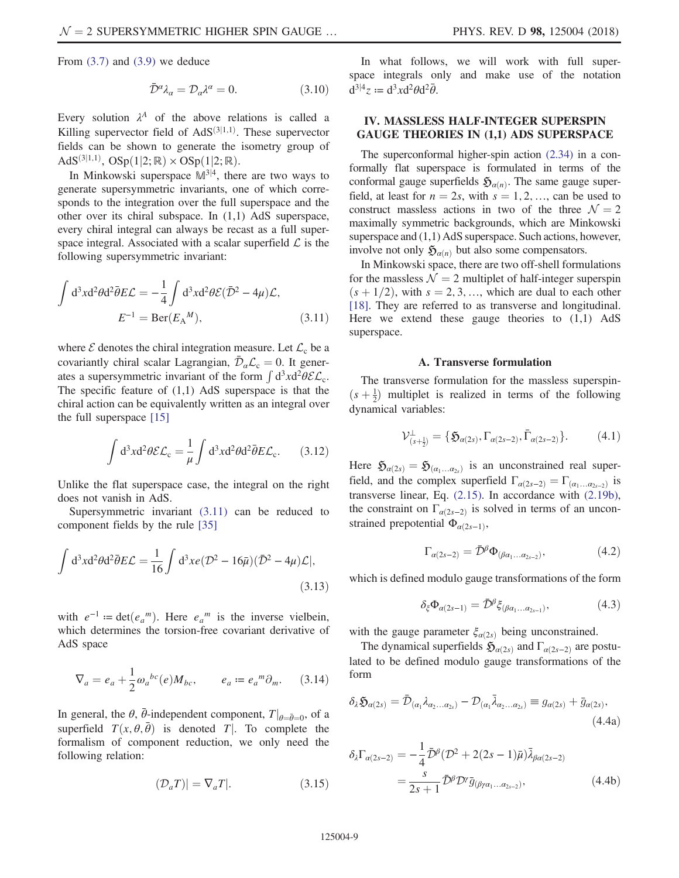From  $(3.7)$  and  $(3.9)$  we deduce

$$
\bar{\mathcal{D}}^{\alpha} \lambda_{\alpha} = \mathcal{D}_{\alpha} \lambda^{\alpha} = 0. \tag{3.10}
$$

Every solution  $\lambda^A$  of the above relations is called a Killing supervector field of  $AdS^{(3|1,1)}$ . These supervector fields can be shown to generate the isometry group of AdS<sup>(3|1,1)</sup>, OSp(1|2; R) × OSp(1|2; R).<br>In Minkowski superpace  $\mathbb{M}^{3|4}$  that

In Minkowski superspace  $M^{3/4}$ , there are two ways to generate supersymmetric invariants, one of which corresponds to the integration over the full superspace and the other over its chiral subspace. In (1,1) AdS superspace, every chiral integral can always be recast as a full superspace integral. Associated with a scalar superfield  $\mathcal L$  is the following supersymmetric invariant:

<span id="page-8-1"></span>
$$
\int d^3x d^2\theta d^2\bar{\theta} E \mathcal{L} = -\frac{1}{4} \int d^3x d^2\theta \mathcal{E} (\bar{\mathcal{D}}^2 - 4\mu) \mathcal{L},
$$
  

$$
E^{-1} = \text{Ber}(E_A^M), \qquad (3.11)
$$

where  $\mathcal E$  denotes the chiral integration measure. Let  $\mathcal L_c$  be a covariantly chiral scalar Lagrangian,  $\bar{\mathcal{D}}_{\alpha} \mathcal{L}_{c} = 0$ . It generates a supersymmetric invariant of the form  $\int d^3x d^2\theta \mathcal{E} \mathcal{L}_c$ . The specific feature of  $(1,1)$  AdS superspace is that the chiral action can be equivalently written as an integral over the full superspace [\[15\]](#page-24-9)

$$
\int d^3x d^2\theta \mathcal{EL}_c = \frac{1}{\mu} \int d^3x d^2\theta d^2\bar{\theta} E \mathcal{L}_c.
$$
 (3.12)

Unlike the flat superspace case, the integral on the right does not vanish in AdS.

Supersymmetric invariant [\(3.11\)](#page-8-1) can be reduced to component fields by the rule [\[35\]](#page-25-6)

$$
\int d^3x d^2\theta d^2\bar{\theta} E \mathcal{L} = \frac{1}{16} \int d^3x e(\mathcal{D}^2 - 16\bar{\mu})(\bar{\mathcal{D}}^2 - 4\mu)\mathcal{L}|,
$$
\n(3.13)

with  $e^{-1}$  = det $(e_{a}^{m})$ . Here  $e_{a}^{m}$  is the inverse vielbein,<br>which determines the torsion-free covariant derivative of which determines the torsion-free covariant derivative of AdS space

$$
\nabla_a = e_a + \frac{1}{2} \omega_a{}^{bc}(e) M_{bc}, \qquad e_a := e_a{}^m \partial_m. \tag{3.14}
$$

In general, the  $\theta$ ,  $\bar{\theta}$ -independent component,  $T|_{\theta = \bar{\theta}=0}$ , of a superfield  $T(x | \theta, \bar{\theta})$  is denoted  $T|$ . To complete the superfield  $T(x, \theta, \bar{\theta})$  is denoted T. To complete the<br>formalism of component reduction, we only need the formalism of component reduction, we only need the following relation:

$$
(\mathcal{D}_a T)| = \nabla_a T|.
$$
 (3.15)

In what follows, we will work with full superspace integrals only and make use of the notation  $d^{3|4}z := d^3x d^2\theta d^2\bar{\theta}.$ 

# <span id="page-8-0"></span>IV. MASSLESS HALF-INTEGER SUPERSPIN GAUGE THEORIES IN (1,1) ADS SUPERSPACE

The superconformal higher-spin action [\(2.34\)](#page-5-5) in a conformally flat superspace is formulated in terms of the conformal gauge superfields  $\mathfrak{H}_{\alpha(n)}$ . The same gauge superfield, at least for  $n = 2s$ , with  $s = 1, 2, \dots$ , can be used to construct massless actions in two of the three  $\mathcal{N} = 2$ maximally symmetric backgrounds, which are Minkowski superspace and  $(1,1)$  AdS superspace. Such actions, however, involve not only  $\mathfrak{H}_{\alpha(n)}$  but also some compensators.

In Minkowski space, there are two off-shell formulations for the massless  $\mathcal{N} = 2$  multiplet of half-integer superspin  $(s + 1/2)$ , with  $s = 2, 3, \dots$ , which are dual to each other [\[18\]](#page-24-11). They are referred to as transverse and longitudinal. Here we extend these gauge theories to  $(1,1)$  AdS superspace.

### A. Transverse formulation

<span id="page-8-6"></span><span id="page-8-4"></span>The transverse formulation for the massless superspin- $(s + \frac{1}{2})$  multiplet is realized in terms of the following<br>dynamical variables: dynamical variables:

$$
\mathcal{V}^{\perp}_{(s+\frac{1}{2})} = \{ \mathfrak{H}_{\alpha(2s)}, \Gamma_{\alpha(2s-2)}, \bar{\Gamma}_{\alpha(2s-2)} \}.
$$
 (4.1)

<span id="page-8-2"></span>Here  $\mathfrak{H}_{\alpha(2s)} = \mathfrak{H}_{(\alpha_1...\alpha_{2s})}$  is an unconstrained real superfield, and the complex superfield  $\Gamma_{\alpha(2s-2)} = \Gamma_{(\alpha_1...\alpha_{s-2})}$  is transverse linear, Eq. [\(2.15\)](#page-4-1). In accordance with [\(2.19b\)](#page-4-3), the constraint on  $\Gamma_{\alpha(2s-2)}$  is solved in terms of an unconstrained prepotential  $\Phi_{\alpha(2s-1)},$ 

$$
\Gamma_{\alpha(2s-2)} = \bar{\mathcal{D}}^{\beta} \Phi_{(\beta\alpha_1...\alpha_{2s-2})},\tag{4.2}
$$

<span id="page-8-7"></span>which is defined modulo gauge transformations of the form

$$
\delta_{\xi} \Phi_{\alpha(2s-1)} = \bar{\mathcal{D}}^{\beta} \xi_{(\beta\alpha_1 \dots \alpha_{2s-1})}, \tag{4.3}
$$

with the gauge parameter  $\xi_{\alpha(2s)}$  being unconstrained.

<span id="page-8-3"></span>The dynamical superfields  $\mathfrak{H}_{\alpha(2s)}$  and  $\Gamma_{\alpha(2s-2)}$  are postulated to be defined modulo gauge transformations of the form

$$
\delta_{\lambda}\mathfrak{H}_{\alpha(2s)} = \bar{\mathcal{D}}_{(\alpha_1}\lambda_{\alpha_2...\alpha_{2s})} - \mathcal{D}_{(\alpha_1}\bar{\lambda}_{\alpha_2...\alpha_{2s})} \equiv g_{\alpha(2s)} + \bar{g}_{\alpha(2s)},
$$
\n(4.4a)

<span id="page-8-5"></span>
$$
\delta_{\lambda} \Gamma_{\alpha(2s-2)} = -\frac{1}{4} \bar{\mathcal{D}}^{\beta} (\mathcal{D}^2 + 2(2s - 1)\bar{\mu}) \bar{\lambda}_{\beta\alpha(2s-2)} \n= \frac{s}{2s+1} \bar{\mathcal{D}}^{\beta} \mathcal{D}^{\gamma} \bar{g}_{(\beta\gamma\alpha_1...\alpha_{2s-2})},
$$
\n(4.4b)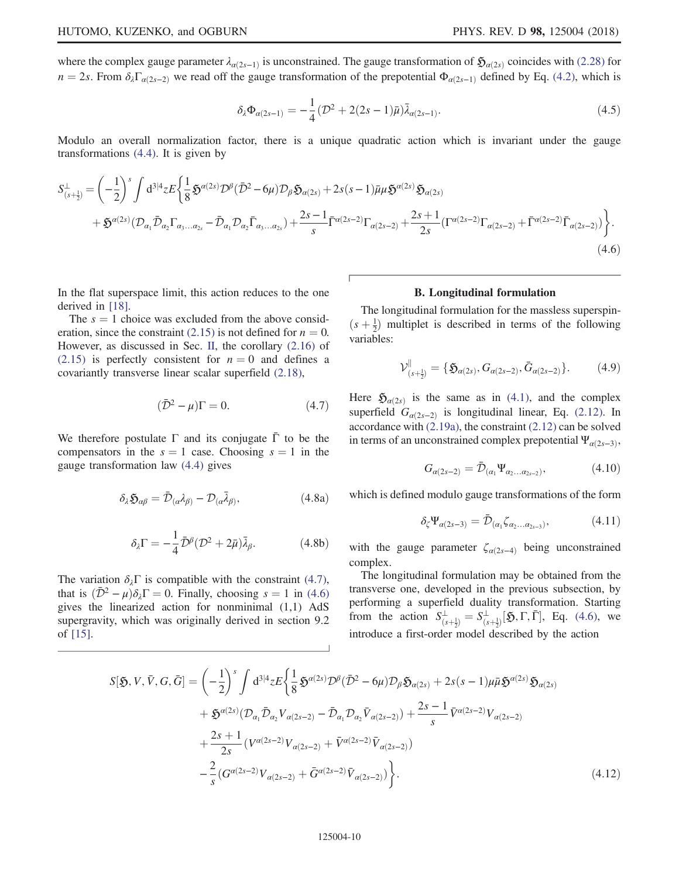<span id="page-9-6"></span>where the complex gauge parameter  $\lambda_{\alpha(2s-1)}$  is unconstrained. The gauge transformation of  $\mathfrak{H}_{\alpha(2s)}$  coincides with [\(2.28\)](#page-5-2) for  $n = 2s$ . From  $\delta_{\lambda} \Gamma_{\alpha(2s-2)}$  we read off the gauge transformation of the prepotential  $\Phi_{\alpha(2s-1)}$  defined by Eq. [\(4.2\),](#page-8-2) which is

$$
\delta_{\lambda} \Phi_{\alpha(2s-1)} = -\frac{1}{4} (\mathcal{D}^2 + 2(2s-1)\bar{\mu}) \bar{\lambda}_{\alpha(2s-1)}.
$$
\n(4.5)

Modulo an overall normalization factor, there is a unique quadratic action which is invariant under the gauge transformations [\(4.4\)](#page-8-3). It is given by

<span id="page-9-2"></span>
$$
S_{(s+\frac{1}{2})}^{\perp} = \left(-\frac{1}{2}\right)^s \int d^{3|4}z E\left\{\frac{1}{8}\mathfrak{H}^{a(2s)}\mathcal{D}^{\beta}(\bar{\mathcal{D}}^2 - 6\mu)\mathcal{D}_{\beta}\mathfrak{H}_{a(2s)} + 2s(s-1)\bar{\mu}\mu\mathfrak{H}^{a(2s)}\mathfrak{H}_{a(2s)}\right.+ \mathfrak{H}^{a(2s)}(\mathcal{D}_{\alpha_1}\bar{\mathcal{D}}_{\alpha_2}\Gamma_{\alpha_3...\alpha_{2s}} - \bar{\mathcal{D}}_{\alpha_1}\mathcal{D}_{\alpha_2}\bar{\Gamma}_{\alpha_3...\alpha_{2s}}) + \frac{2s-1}{s}\bar{\Gamma}^{a(2s-2)}\Gamma_{a(2s-2)} + \frac{2s+1}{2s}(\Gamma^{a(2s-2)}\Gamma_{a(2s-2)} + \bar{\Gamma}^{a(2s-2)}\bar{\Gamma}_{a(2s-2)})\right\}.
$$
\n
$$
(4.6)
$$

In the flat superspace limit, this action reduces to the one derived in [\[18\]](#page-24-11).

<span id="page-9-1"></span>The  $s = 1$  choice was excluded from the above consid-eration, since the constraint [\(2.15\)](#page-4-1) is not defined for  $n = 0$ . However, as discussed in Sec. [II,](#page-2-0) the corollary [\(2.16\)](#page-4-2) of [\(2.15\)](#page-4-1) is perfectly consistent for  $n = 0$  and defines a covariantly transverse linear scalar superfield [\(2.18\)](#page-4-4),

$$
(\bar{\mathcal{D}}^2 - \mu)\Gamma = 0. \tag{4.7}
$$

We therefore postulate  $\Gamma$  and its conjugate  $\bar{\Gamma}$  to be the compensators in the  $s = 1$  case. Choosing  $s = 1$  in the gauge transformation law [\(4.4\)](#page-8-3) gives

$$
\delta_{\lambda} \mathfrak{H}_{\alpha\beta} = \bar{\mathcal{D}}_{(\alpha} \lambda_{\beta)} - \mathcal{D}_{(\alpha} \bar{\lambda}_{\beta)}, \tag{4.8a}
$$

$$
\delta_{\lambda}\Gamma = -\frac{1}{4}\bar{\mathcal{D}}^{\beta}(\mathcal{D}^2 + 2\bar{\mu})\bar{\lambda}_{\beta}.
$$
 (4.8b)

The variation  $\delta_{\lambda} \Gamma$  is compatible with the constraint [\(4.7\)](#page-9-1), that is  $(\bar{\mathcal{D}}^2 - \mu)\delta_\lambda \Gamma = 0$ . Finally, choosing  $s = 1$  in [\(4.6\)](#page-9-2) gives the linearized action for nonminimal (1,1) AdS supergravity, which was originally derived in section 9.2 of [\[15\].](#page-24-9)

### B. Longitudinal formulation

<span id="page-9-0"></span>The longitudinal formulation for the massless superspin- $(s + \frac{1}{2})$  multiplet is described in terms of the following<br>variables: variables:

$$
\mathcal{V}^{\parallel}_{(s+\frac{1}{2})} = \{ \mathfrak{H}_{\alpha(2s)}, G_{\alpha(2s-2)}, \bar{G}_{\alpha(2s-2)} \}.
$$
 (4.9)

<span id="page-9-3"></span>Here  $\mathfrak{H}_{\alpha(2s)}$  is the same as in [\(4.1\)](#page-8-4), and the complex superfield  $G_{\alpha(2s-2)}$  is longitudinal linear, Eq. [\(2.12\).](#page-4-0) In accordance with [\(2.19a\)](#page-4-7), the constraint [\(2.12\)](#page-4-0) can be solved in terms of an unconstrained complex prepotential  $\Psi_{\alpha(2s-3)}$ ,

$$
G_{\alpha(2s-2)} = \bar{\mathcal{D}}_{(\alpha_1} \Psi_{\alpha_2...\alpha_{2s-2})}, \qquad (4.10)
$$

<span id="page-9-5"></span>which is defined modulo gauge transformations of the form

$$
\delta_{\zeta} \Psi_{\alpha(2s-3)} = \bar{\mathcal{D}}_{(\alpha_1} \zeta_{\alpha_2 \dots \alpha_{2s-3})}, \tag{4.11}
$$

with the gauge parameter  $\zeta_{\alpha(2s-4)}$  being unconstrained complex.

The longitudinal formulation may be obtained from the transverse one, developed in the previous subsection, by performing a superfield duality transformation. Starting from the action  $S_{(s+\frac{1}{2})}^{\perp} = S_{(s+\frac{1}{2})}^{\perp}[\mathfrak{H}, \Gamma, \bar{\Gamma}],$  Eq. [\(4.6\),](#page-9-2) we introduce a first-order model described by the action

<span id="page-9-4"></span>
$$
S[\mathfrak{H}, V, \bar{V}, G, \bar{G}] = \left(-\frac{1}{2}\right)^s \int d^{3|4}z E\left\{\frac{1}{8}\mathfrak{H}^{\alpha(2s)}\mathcal{D}^{\beta}(\bar{\mathcal{D}}^2 - 6\mu)\mathcal{D}_{\beta}\mathfrak{H}_{\alpha(2s)} + 2s(s-1)\mu\bar{\mu}\mathfrak{H}^{\alpha(2s)}\mathfrak{H}_{\alpha(2s)}\right.+ \mathfrak{H}^{\alpha(2s)}(\mathcal{D}_{\alpha_1}\bar{\mathcal{D}}_{\alpha_2}V_{\alpha(2s-2)} - \bar{\mathcal{D}}_{\alpha_1}\mathcal{D}_{\alpha_2}\bar{V}_{\alpha(2s-2)}) + \frac{2s-1}{s}\bar{V}^{\alpha(2s-2)}V_{\alpha(2s-2)}+ \frac{2s+1}{2s}\left(V^{\alpha(2s-2)}V_{\alpha(2s-2)} + \bar{V}^{\alpha(2s-2)}\bar{V}_{\alpha(2s-2)}\right)- \frac{2}{s}\left(G^{\alpha(2s-2)}V_{\alpha(2s-2)} + \bar{G}^{\alpha(2s-2)}\bar{V}_{\alpha(2s-2)}\right). \tag{4.12}
$$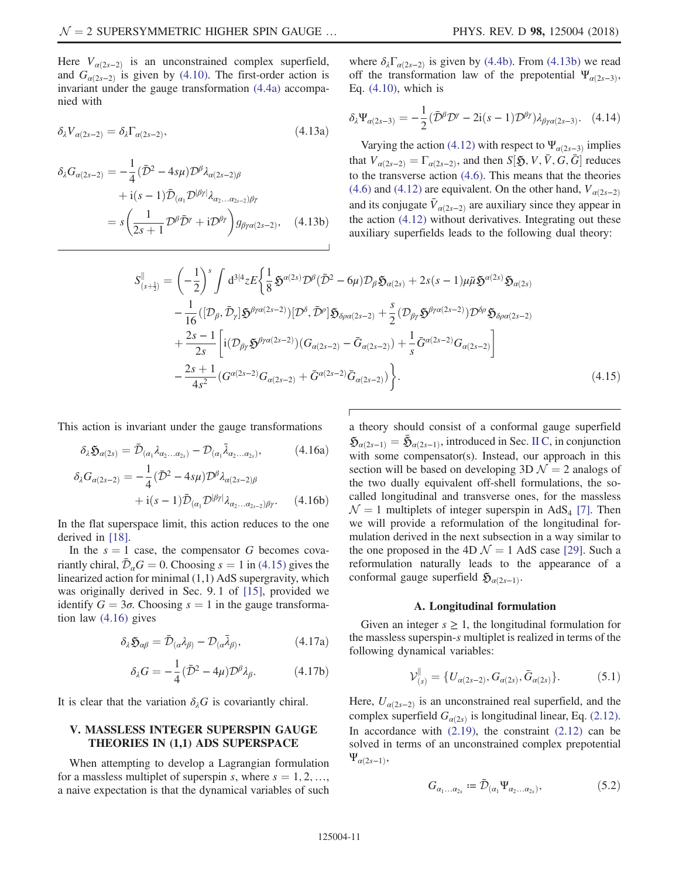Here  $V_{\alpha(2s-2)}$  is an unconstrained complex superfield, and  $G_{\alpha(2s-2)}$  is given by [\(4.10\)](#page-9-3). The first-order action is invariant under the gauge transformation [\(4.4a\)](#page-8-3) accompanied with

$$
\delta_{\lambda} V_{\alpha(2s-2)} = \delta_{\lambda} \Gamma_{\alpha(2s-2)}, \tag{4.13a}
$$

<span id="page-10-2"></span><span id="page-10-1"></span>
$$
\delta_{\lambda}G_{\alpha(2s-2)} = -\frac{1}{4}(\bar{\mathcal{D}}^2 - 4s\mu)\mathcal{D}^{\beta}\lambda_{\alpha(2s-2)\beta} \n+ i(s-1)\bar{\mathcal{D}}_{(\alpha_1}\mathcal{D}^{|\beta\gamma|}\lambda_{\alpha_2...\alpha_{2s-2})\beta\gamma} \n= s\left(\frac{1}{2s+1}\mathcal{D}^{\beta}\bar{\mathcal{D}}^{\gamma} + i\mathcal{D}^{\beta\gamma}\right)g_{\beta\gamma\alpha(2s-2)}, \quad (4.13b)
$$

<span id="page-10-6"></span>where  $\delta_{\lambda} \Gamma_{\alpha(2s-2)}$  is given by [\(4.4b\).](#page-8-5) From [\(4.13b\)](#page-10-1) we read off the transformation law of the prepotential  $\Psi_{\alpha(2s-3)}$ , Eq. [\(4.10\)](#page-9-3), which is

$$
\delta_{\lambda} \Psi_{\alpha(2s-3)} = -\frac{1}{2} (\bar{\mathcal{D}}^{\beta} \mathcal{D}^{\gamma} - 2i(s-1) \mathcal{D}^{\beta \gamma}) \lambda_{\beta \gamma \alpha(2s-3)}. \quad (4.14)
$$

Varying the action [\(4.12\)](#page-9-4) with respect to  $\Psi_{\alpha(2s-3)}$  implies that  $V_{\alpha(2s-2)} = \Gamma_{\alpha(2s-2)}$ , and then  $S[\mathfrak{H}, V, \bar{V}, G, \bar{G}]$  reduces to the transverse action [\(4.6\).](#page-9-2) This means that the theories [\(4.6\)](#page-9-2) and [\(4.12\)](#page-9-4) are equivalent. On the other hand,  $V_{\alpha(2s-2)}$ and its conjugate  $V_{\alpha(2s-2)}$  are auxiliary since they appear in the action [\(4.12\)](#page-9-4) without derivatives. Integrating out these auxiliary superfields leads to the following dual theory:

$$
S_{(s+\frac{1}{2})}^{\parallel} = \left(-\frac{1}{2}\right)^s \int d^{3|4}z E\left\{\frac{1}{8}\mathfrak{H}^{\alpha(2s)}\mathcal{D}^{\beta}(\bar{\mathcal{D}}^2 - 6\mu)\mathcal{D}_{\beta}\mathfrak{H}_{\alpha(2s)} + 2s(s-1)\mu\bar{\mu}\mathfrak{H}^{\alpha(2s)}\mathfrak{H}_{\alpha(2s)}\right.- \frac{1}{16}([\mathcal{D}_{\beta}, \bar{\mathcal{D}}_{\gamma}]\mathfrak{H}^{\beta\gamma\alpha(2s-2)})[\mathcal{D}^{\delta}, \bar{\mathcal{D}}^{\rho}]\mathfrak{H}_{\delta\rho\alpha(2s-2)} + \frac{s}{2}(\mathcal{D}_{\beta\gamma}\mathfrak{H}^{\beta\gamma\alpha(2s-2)})\mathcal{D}^{\delta\rho}\mathfrak{H}_{\delta\rho\alpha(2s-2)}+ \frac{2s-1}{2s}\left[i(\mathcal{D}_{\beta\gamma}\mathfrak{H}^{\beta\gamma\alpha(2s-2)})(G_{\alpha(2s-2)} - \bar{G}_{\alpha(2s-2)}) + \frac{1}{s}\bar{G}^{\alpha(2s-2)}G_{\alpha(2s-2)}\right]- \frac{2s+1}{4s^2}(\mathcal{G}^{\alpha(2s-2)}G_{\alpha(2s-2)} + \bar{\mathcal{G}}^{\alpha(2s-2)}\bar{G}_{\alpha(2s-2)})\bigg\}.
$$
(4.15)

<span id="page-10-3"></span>This action is invariant under the gauge transformations

$$
\delta_{\lambda} \mathfrak{H}_{\alpha(2s)} = \bar{\mathcal{D}}_{(\alpha_1} \lambda_{\alpha_2 \dots \alpha_{2s})} - \mathcal{D}_{(\alpha_1} \bar{\lambda}_{\alpha_2 \dots \alpha_{2s})}, \tag{4.16a}
$$

$$
\delta_{\lambda} G_{\alpha(2s-2)} = -\frac{1}{4} (\bar{\mathcal{D}}^2 - 4s\mu) \mathcal{D}^{\beta} \lambda_{\alpha(2s-2)\beta} \n+ i(s-1) \bar{\mathcal{D}}_{(\alpha_1} \mathcal{D}^{|\beta\gamma|} \lambda_{\alpha_2...\alpha_{2s-2})\beta\gamma}.
$$
\n(4.16b)

In the flat superspace limit, this action reduces to the one derived in [\[18\]](#page-24-11).

In the  $s = 1$  case, the compensator G becomes covariantly chiral,  $\mathcal{D}_{\alpha}G = 0$ . Choosing  $s = 1$  in [\(4.15\)](#page-10-2) gives the linearized action for minimal (1,1) AdS supergravity, which was originally derived in Sec. 9. 1 of [\[15\],](#page-24-9) provided we identify  $G = 3\sigma$ . Choosing  $s = 1$  in the gauge transformation law [\(4.16\)](#page-10-3) gives

$$
\delta_{\lambda} \mathfrak{H}_{\alpha\beta} = \bar{\mathcal{D}}_{(\alpha} \lambda_{\beta)} - \mathcal{D}_{(\alpha} \bar{\lambda}_{\beta)}, \tag{4.17a}
$$

$$
\delta_{\lambda}G = -\frac{1}{4}(\bar{\mathcal{D}}^2 - 4\mu)\mathcal{D}^{\beta}\lambda_{\beta}.
$$
 (4.17b)

It is clear that the variation  $\delta_{\lambda}G$  is covariantly chiral.

# <span id="page-10-0"></span>V. MASSLESS INTEGER SUPERSPIN GAUGE THEORIES IN (1,1) ADS SUPERSPACE

When attempting to develop a Lagrangian formulation for a massless multiplet of superspin s, where  $s = 1, 2, \ldots$ , a naive expectation is that the dynamical variables of such a theory should consist of a conformal gauge superfield  $\mathfrak{H}_{\alpha(2s-1)} = \bar{\mathfrak{H}}_{\alpha(2s-1)}$ , introduced in Sec. [II C](#page-5-6), in conjunction with some compensator(s). Instead, our approach in this section will be based on developing 3D  $\mathcal{N} = 2$  analogs of the two dually equivalent off-shell formulations, the socalled longitudinal and transverse ones, for the massless  $\mathcal{N} = 1$  multiplets of integer superspin in AdS<sub>4</sub> [\[7\]](#page-24-3). Then we will provide a reformulation of the longitudinal formulation derived in the next subsection in a way similar to the one proposed in the 4D  $\mathcal{N} = 1$  AdS case [\[29\].](#page-25-10) Such a reformulation naturally leads to the appearance of a conformal gauge superfield  $\mathfrak{H}_{\alpha(2s-1)}$ .

### A. Longitudinal formulation

<span id="page-10-7"></span><span id="page-10-4"></span>Given an integer  $s \geq 1$ , the longitudinal formulation for the massless superspin-s multiplet is realized in terms of the following dynamical variables:

$$
\mathcal{V}_{(s)}^{\parallel} = \{ U_{\alpha(2s-2)}, G_{\alpha(2s)}, \bar{G}_{\alpha(2s)} \}.
$$
 (5.1)

<span id="page-10-5"></span>Here,  $U_{\alpha(2s-2)}$  is an unconstrained real superfield, and the complex superfield  $G_{\alpha(2s)}$  is longitudinal linear, Eq. [\(2.12\)](#page-4-0). In accordance with  $(2.19)$ , the constraint  $(2.12)$  can be solved in terms of an unconstrained complex prepotential  $\Psi_{\alpha(2s-1)},$ 

$$
G_{\alpha_1...\alpha_2} := \bar{\mathcal{D}}_{(\alpha_1} \Psi_{\alpha_2...\alpha_2)} ,\qquad (5.2)
$$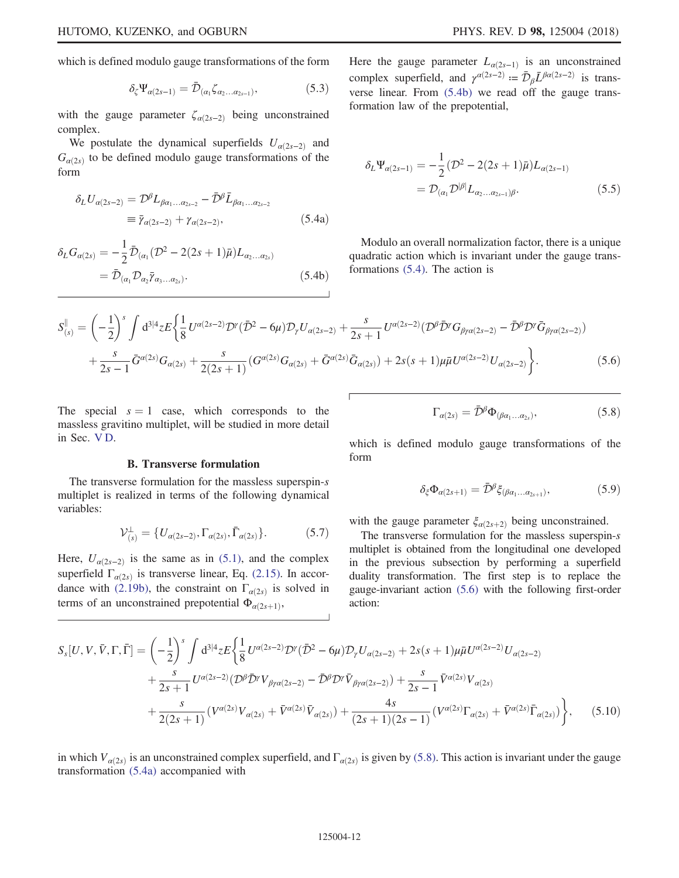which is defined modulo gauge transformations of the form

$$
\delta_{\zeta} \Psi_{\alpha(2s-1)} = \bar{\mathcal{D}}_{(\alpha_1} \zeta_{\alpha_2 \dots \alpha_{2s-1})},\tag{5.3}
$$

with the gauge parameter  $\zeta_{\alpha(2s-2)}$  being unconstrained complex.

<span id="page-11-2"></span>We postulate the dynamical superfields  $U_{\alpha(2s-2)}$  and  $G_{\alpha(2s)}$  to be defined modulo gauge transformations of the form

$$
\delta_L U_{\alpha(2s-2)} = \mathcal{D}^{\beta} L_{\beta\alpha_1...\alpha_{2s-2}} - \bar{\mathcal{D}}^{\beta} \bar{L}_{\beta\alpha_1...\alpha_{2s-2}} \n\equiv \bar{\gamma}_{\alpha(2s-2)} + \gamma_{\alpha(2s-2)},
$$
\n(5.4a)

<span id="page-11-1"></span>
$$
\delta_L G_{\alpha(2s)} = -\frac{1}{2} \bar{\mathcal{D}}_{(\alpha_1} (\mathcal{D}^2 - 2(2s+1)\bar{\mu}) L_{\alpha_2...\alpha_{2s})}
$$
  
=  $\bar{\mathcal{D}}_{(\alpha_1} \mathcal{D}_{\alpha_2} \bar{\gamma}_{\alpha_3...\alpha_{2s})}.$  (5.4b)

Here the gauge parameter  $L_{\alpha(2s-1)}$  is an unconstrained complex superfield, and  $\gamma^{\alpha(2s-2)} := \bar{\mathcal{D}}_{\beta} \bar{L}^{\beta \alpha(2s-2)}$  is transverse linear. From [\(5.4b\)](#page-11-1) we read off the gauge transformation law of the prepotential,

$$
\delta_L \Psi_{\alpha(2s-1)} = -\frac{1}{2} (\mathcal{D}^2 - 2(2s+1)\bar{\mu}) L_{\alpha(2s-1)} \n= \mathcal{D}_{(\alpha_1} \mathcal{D}^{|\beta|} L_{\alpha_2 \dots \alpha_{2s-1}) \beta}.
$$
\n(5.5)

Modulo an overall normalization factor, there is a unique quadratic action which is invariant under the gauge transformations [\(5.4\)](#page-11-2). The action is

<span id="page-11-0"></span>
$$
S_{(s)}^{\parallel} = \left(-\frac{1}{2}\right)^s \int d^{3|4}z E\left\{\frac{1}{8}U^{\alpha(2s-2)}\mathcal{D}^{\gamma}(\bar{\mathcal{D}}^2 - 6\mu)\mathcal{D}_{\gamma}U_{\alpha(2s-2)} + \frac{s}{2s+1}U^{\alpha(2s-2)}(\mathcal{D}^{\beta}\bar{\mathcal{D}}^{\gamma}G_{\beta\gamma\alpha(2s-2)} - \bar{\mathcal{D}}^{\beta}\mathcal{D}^{\gamma}\bar{G}_{\beta\gamma\alpha(2s-2)})\right.\n\left. + \frac{s}{2s-1}\bar{G}^{\alpha(2s)}G_{\alpha(2s)} + \frac{s}{2(2s+1)}(G^{\alpha(2s)}G_{\alpha(2s)} + \bar{G}^{\alpha(2s)}\bar{G}_{\alpha(2s)}) + 2s(s+1)\mu\bar{\mu}U^{\alpha(2s-2)}U_{\alpha(2s-2)}\right\}.
$$
\n(5.6)

The special  $s = 1$  case, which corresponds to the massless gravitino multiplet, will be studied in more detail in Sec. [V D](#page-14-1).

#### B. Transverse formulation

The transverse formulation for the massless superspin-s multiplet is realized in terms of the following dynamical variables:

$$
\mathcal{V}_{(s)}^{\perp} = \{ U_{\alpha(2s-2)}, \Gamma_{\alpha(2s)}, \bar{\Gamma}_{\alpha(2s)} \}.
$$
 (5.7)

<span id="page-11-3"></span>Here,  $U_{\alpha(2s-2)}$  is the same as in [\(5.1\)](#page-10-4), and the complex superfield  $\Gamma_{\alpha(2s)}$  is transverse linear, Eq. [\(2.15\).](#page-4-1) In accor-dance with [\(2.19b\),](#page-4-3) the constraint on  $\Gamma_{\alpha(2s)}$  is solved in terms of an unconstrained prepotential  $\Phi_{\alpha(2s+1)},$ 

$$
\Gamma_{\alpha(2s)} = \bar{\mathcal{D}}^{\beta} \Phi_{(\beta\alpha_1...\alpha_{2s})},\tag{5.8}
$$

which is defined modulo gauge transformations of the form

$$
\delta_{\xi} \Phi_{\alpha(2s+1)} = \bar{\mathcal{D}}^{\beta} \xi_{(\beta\alpha_1 \dots \alpha_{2s+1})}, \tag{5.9}
$$

with the gauge parameter  $\xi_{\alpha(2s+2)}$  being unconstrained.

The transverse formulation for the massless superspin-s multiplet is obtained from the longitudinal one developed in the previous subsection by performing a superfield duality transformation. The first step is to replace the gauge-invariant action [\(5.6\)](#page-11-0) with the following first-order action:

<span id="page-11-4"></span>
$$
S_{s}[U, V, \bar{V}, \Gamma, \bar{\Gamma}] = \left(-\frac{1}{2}\right)^{s} \int d^{3|4}z E\left\{\frac{1}{8}U^{\alpha(2s-2)}\mathcal{D}^{\gamma}(\bar{\mathcal{D}}^{2} - 6\mu)\mathcal{D}_{\gamma}U_{\alpha(2s-2)} + 2s(s+1)\mu\bar{\mu}U^{\alpha(2s-2)}U_{\alpha(2s-2)}\right.+\frac{s}{2s+1}U^{\alpha(2s-2)}(\mathcal{D}^{\beta}\bar{\mathcal{D}}^{\gamma}V_{\beta\gamma\alpha(2s-2)} - \bar{\mathcal{D}}^{\beta}\mathcal{D}^{\gamma}\bar{V}_{\beta\gamma\alpha(2s-2)}) + \frac{s}{2s-1}\bar{V}^{\alpha(2s)}V_{\alpha(2s)}+\frac{s}{2(2s+1)}(V^{\alpha(2s)}V_{\alpha(2s)} + \bar{V}^{\alpha(2s)}\bar{V}_{\alpha(2s)}) + \frac{4s}{(2s+1)(2s-1)}(V^{\alpha(2s)}\Gamma_{\alpha(2s)} + \bar{V}^{\alpha(2s)}\bar{\Gamma}_{\alpha(2s)})\right\},
$$
(5.10)

in which  $V_{\alpha(2s)}$  is an unconstrained complex superfield, and  $\Gamma_{\alpha(2s)}$  is given by [\(5.8\)](#page-11-3). This action is invariant under the gauge transformation [\(5.4a\)](#page-11-2) accompanied with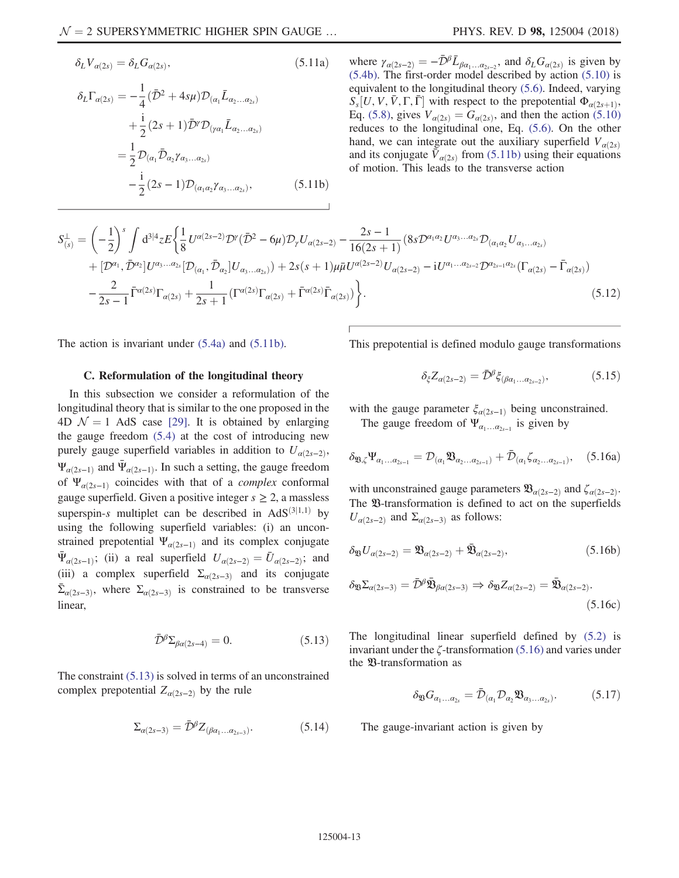$$
\delta_L V_{\alpha(2s)} = \delta_L G_{\alpha(2s)},\tag{5.11a}
$$

<span id="page-12-0"></span>
$$
\delta_L \Gamma_{\alpha(2s)} = -\frac{1}{4} (\bar{\mathcal{D}}^2 + 4s\mu) \mathcal{D}_{(\alpha_1} \bar{L}_{\alpha_2...\alpha_{2s})} \n+ \frac{i}{2} (2s+1) \bar{\mathcal{D}}^{\gamma} \mathcal{D}_{(\gamma\alpha_1} \bar{L}_{\alpha_2...\alpha_{2s})} \n= \frac{1}{2} \mathcal{D}_{(\alpha_1} \bar{\mathcal{D}}_{\alpha_2} \gamma_{\alpha_3...\alpha_{2s})} \n- \frac{i}{2} (2s-1) \mathcal{D}_{(\alpha_1\alpha_2} \gamma_{\alpha_3...\alpha_{2s})},
$$
\n(5.11b)

where  $\gamma_{\alpha(2s-2)} = -\bar{\mathcal{D}}^{\beta} \bar{L}_{\beta\alpha_1...\alpha_{2s-2}}$ , and  $\delta_L G_{\alpha(2s)}$  is given by [\(5.4b\)](#page-11-1). The first-order model described by action [\(5.10\)](#page-11-4) is equivalent to the longitudinal theory [\(5.6\)](#page-11-0). Indeed, varying  $S_s[U, V, V, \Gamma, \Gamma]$  with respect to the prepotential  $\Phi_{\alpha(2s+1)},$ Eq. [\(5.8\)](#page-11-3), gives  $V_{\alpha(2s)} = G_{\alpha(2s)}$ , and then the action [\(5.10\)](#page-11-4) reduces to the longitudinal one, Eq. [\(5.6\).](#page-11-0) On the other hand, we can integrate out the auxiliary superfield  $V_{\alpha(2s)}$ and its conjugate  $V_{\alpha(2s)}$  from [\(5.11b\)](#page-12-0) using their equations of motion. This leads to the transverse action

$$
S_{(s)}^{\perp} = \left(-\frac{1}{2}\right)^s \int d^{3|4}z E\left\{\frac{1}{8}U^{\alpha(2s-2)}\mathcal{D}^{\gamma}(\bar{\mathcal{D}}^2 - 6\mu)\mathcal{D}_{\gamma}U_{\alpha(2s-2)} - \frac{2s-1}{16(2s+1)}(8s\mathcal{D}^{\alpha_1\alpha_2}U^{\alpha_3\ldots\alpha_{2s}}\mathcal{D}_{(\alpha_1\alpha_2}U_{\alpha_3\ldots\alpha_{2s})} + [\mathcal{D}^{\alpha_1}, \bar{\mathcal{D}}^{\alpha_2}]U^{\alpha_3\ldots\alpha_{2s}}[\mathcal{D}_{(\alpha_1}, \bar{\mathcal{D}}_{\alpha_2}]U_{\alpha_3\ldots\alpha_{2s}}) + 2s(s+1)\mu\bar{\mu}U^{\alpha(2s-2)}U_{\alpha(2s-2)} - iU^{\alpha_1\ldots\alpha_{2s-2}}\mathcal{D}^{\alpha_{2s-1}\alpha_{2s}}(\Gamma_{\alpha(2s)} - \bar{\Gamma}_{\alpha(2s)}) - \frac{2}{2s-1}\bar{\Gamma}^{\alpha(2s)}\Gamma_{\alpha(2s)} + \frac{1}{2s+1}(\Gamma^{\alpha(2s)}\Gamma_{\alpha(2s)} + \bar{\Gamma}^{\alpha(2s)}\bar{\Gamma}_{\alpha(2s)})\right\}.
$$
\n
$$
(5.12)
$$

The action is invariant under [\(5.4a\)](#page-11-2) and [\(5.11b\).](#page-12-0)

<span id="page-12-3"></span>This prepotential is defined modulo gauge transformations

### C. Reformulation of the longitudinal theory

In this subsection we consider a reformulation of the longitudinal theory that is similar to the one proposed in the 4D  $\mathcal{N} = 1$  AdS case [\[29\]](#page-25-10). It is obtained by enlarging the gauge freedom [\(5.4\)](#page-11-2) at the cost of introducing new purely gauge superfield variables in addition to  $U_{\alpha(2s-2)}$ ,  $\Psi_{\alpha(2s-1)}$  and  $\Psi_{\alpha(2s-1)}$ . In such a setting, the gauge freedom of  $\Psi_{\alpha(2s-1)}$  coincides with that of a *complex* conformal gauge superfield. Given a positive integer  $s \geq 2$ , a massless superspin-s multiplet can be described in  $AdS^{(3|1,1)}$  by using the following superfield variables: (i) an unconstrained prepotential  $\Psi_{\alpha(2s-1)}$  and its complex conjugate  $\Psi_{\alpha(2s-1)}$ ; (ii) a real superfield  $U_{\alpha(2s-2)} = \bar{U}_{\alpha(2s-2)}$ ; and (iii) a complex superfield  $\Sigma_{\alpha(2s-3)}$  and its conjugate  $\bar{\Sigma}_{\alpha(2s-3)}$ , where  $\Sigma_{\alpha(2s-3)}$  is constrained to be transverse linear,

$$
\bar{\mathcal{D}}^{\beta} \Sigma_{\beta \alpha (2s-4)} = 0. \tag{5.13}
$$

<span id="page-12-1"></span>The constraint [\(5.13\)](#page-12-1) is solved in terms of an unconstrained complex prepotential  $Z_{\alpha(2s-2)}$  by the rule

$$
\Sigma_{\alpha(2s-3)} = \bar{\mathcal{D}}^{\beta} Z_{(\beta\alpha_1 \dots \alpha_{2s-3})}.
$$
 (5.14)

 $\delta_{\xi}Z_{\alpha(2s-2)}=\bar{\mathcal{D}}^{\beta}\xi_{(\beta\alpha_1...\alpha_{2s-2})},$  (5.15)

<span id="page-12-2"></span>with the gauge parameter  $\xi_{\alpha(2s-1)}$  being unconstrained.

The gauge freedom of  $\Psi_{\alpha_1...\alpha_{2s-1}}$  is given by

$$
\delta_{\mathfrak{V},\zeta} \Psi_{\alpha_1...\alpha_{2s-1}} = \mathcal{D}_{(\alpha_1} \mathfrak{V}_{\alpha_2...\alpha_{2s-1})} + \bar{\mathcal{D}}_{(\alpha_1} \zeta_{\alpha_2...\alpha_{2s-1})}, \quad (5.16a)
$$

<span id="page-12-4"></span>with unconstrained gauge parameters  $\mathfrak{V}_{\alpha(2s-2)}$  and  $\zeta_{\alpha(2s-2)}$ . The  $\mathfrak V$ -transformation is defined to act on the superfields  $U_{\alpha(2s-2)}$  and  $\Sigma_{\alpha(2s-3)}$  as follows:

$$
\delta_{\mathfrak{B}} U_{\alpha(2s-2)} = \mathfrak{B}_{\alpha(2s-2)} + \bar{\mathfrak{B}}_{\alpha(2s-2)},
$$
\n(5.16b)

$$
\delta_{\mathfrak{B}} \Sigma_{\alpha(2s-3)} = \bar{\mathcal{D}}^{\beta} \bar{\mathfrak{B}}_{\beta\alpha(2s-3)} \Rightarrow \delta_{\mathfrak{B}} Z_{\alpha(2s-2)} = \bar{\mathfrak{B}}_{\alpha(2s-2)}.
$$
\n(5.16c)

The longitudinal linear superfield defined by [\(5.2\)](#page-10-5) is invariant under the  $\zeta$ -transformation [\(5.16\)](#page-12-2) and varies under the  $\mathfrak V$ -transformation as

$$
\delta_{\mathfrak{B}} G_{\alpha_1 \dots \alpha_{2s}} = \bar{\mathcal{D}}_{(\alpha_1} \mathcal{D}_{\alpha_2} \mathfrak{B}_{\alpha_3 \dots \alpha_{2s})}.
$$
 (5.17)

The gauge-invariant action is given by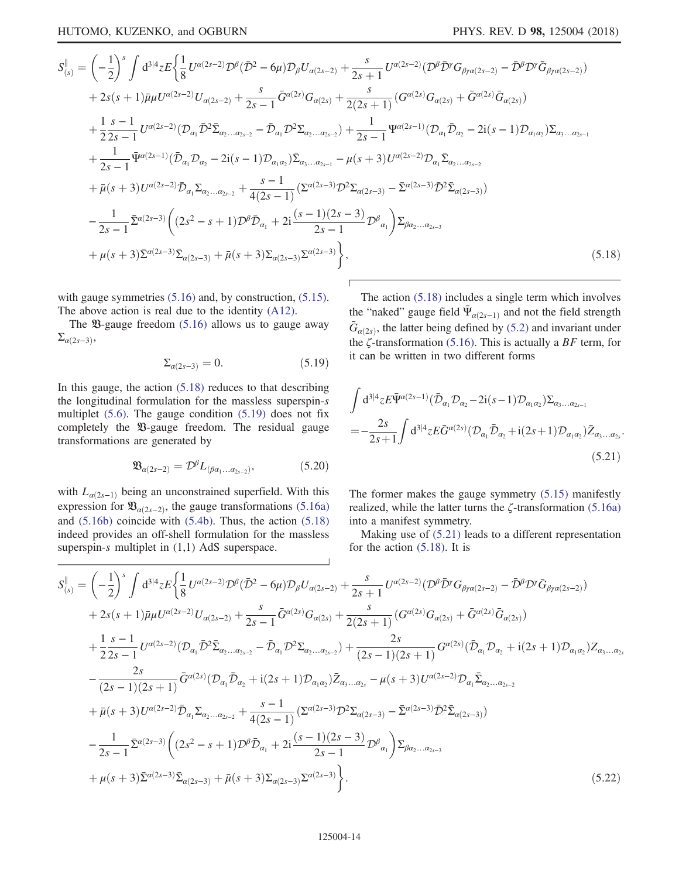<span id="page-13-0"></span>
$$
S_{(s)}^{\parallel} = \left(-\frac{1}{2}\right)^{s} \int d^{3|4}z E\left\{\frac{1}{8}U^{\alpha(2s-2)}\mathcal{D}^{\beta}(\bar{D}^{2} - 6\mu)\mathcal{D}_{\beta}U_{\alpha(2s-2)} + \frac{s}{2s+1}U^{\alpha(2s-2)}(\mathcal{D}^{\beta}\bar{D}^{\gamma}\mathcal{G}_{\beta\gamma\alpha(2s-2)} - \bar{D}^{\beta}\mathcal{D}^{\gamma}\bar{G}_{\beta\gamma\alpha(2s-2)})\right\}
$$
  
+2s(s+1)\bar{\mu}\mu U^{\alpha(2s-2)}U\_{\alpha(2s-2)} + \frac{s}{2s-1}\bar{G}^{\alpha(2s)}G\_{\alpha(2s)} + \frac{s}{2(2s+1)}(G^{\alpha(2s)}G\_{\alpha(2s)} + \bar{G}^{\alpha(2s)}\bar{G}\_{\alpha(2s)})  
+ \frac{1}{2}\frac{s-1}{2s-1}U^{\alpha(2s-2)}(\mathcal{D}\_{\alpha\_{1}}\bar{\mathcal{D}}^{2}\bar{\Sigma}\_{\alpha\_{2}...\alpha\_{2s-2}} - \bar{\mathcal{D}}\_{\alpha\_{1}}\mathcal{D}^{2}\Sigma\_{\alpha\_{2}...\alpha\_{2s-2}}) + \frac{1}{2s-1}\Psi^{\alpha(2s-1)}(\mathcal{D}\_{\alpha\_{1}}\bar{\mathcal{D}}\_{\alpha\_{2}} - 2i(s-1)\mathcal{D}\_{\alpha\_{1}\alpha\_{2}})\Sigma\_{\alpha\_{3}...\alpha\_{2s-1}}  
+ \frac{1}{2s-1}\bar{\Psi}^{\alpha(2s-1)}(\bar{\mathcal{D}}\_{\alpha\_{1}}\mathcal{D}\_{\alpha\_{2}} - 2i(s-1)\mathcal{D}\_{\alpha\_{1}\alpha\_{2}})\bar{\Sigma}\_{\alpha\_{3}...\alpha\_{2s-1}} - \mu(s+3)U^{\alpha(2s-2)}\mathcal{D}\_{\alpha\_{1}}\bar{\Sigma}\_{\alpha\_{2}...\alpha\_{2s-2}}  
+ \bar{\mu}(s+3)U^{\alpha(2s-2)}\bar{\mathcal{D}}\_{\alpha\_{1}}\Sigma\_{\alpha\_{2}...\alpha\_{2s-2}} + \frac{s-1}{4(2s-1)}(\Sigma^{\alpha(2s-3)}\mathcal{D}^{2}\Sigma\_{\alpha(2s-3)} - \bar{\Sigma}^{\alpha(2s-3)}\bar{\mathcal{D}}^{2

with gauge symmetries  $(5.16)$  and, by construction,  $(5.15)$ . The above action is real due to the identity [\(A12\).](#page-21-2)

<span id="page-13-1"></span>The  $\mathfrak{B}$ -gauge freedom [\(5.16\)](#page-12-2) allows us to gauge away  $\Sigma_{\alpha(2s-3)},$ 

$$
\Sigma_{\alpha(2s-3)} = 0. \tag{5.19}
$$

In this gauge, the action  $(5.18)$  reduces to that describing the longitudinal formulation for the massless superspin-s multiplet [\(5.6\).](#page-11-0) The gauge condition [\(5.19\)](#page-13-1) does not fix completely the  $\mathfrak{B}$ -gauge freedom. The residual gauge transformations are generated by

$$
\mathfrak{B}_{\alpha(2s-2)} = \mathcal{D}^{\beta} L_{(\beta\alpha_1...\alpha_{2s-2})},\tag{5.20}
$$

with  $L_{\alpha(2s-1)}$  being an unconstrained superfield. With this expression for  $\mathfrak{B}_{\alpha(2s-2)}$ , the gauge transformations [\(5.16a\)](#page-12-2) and [\(5.16b\)](#page-12-4) coincide with [\(5.4b\).](#page-11-1) Thus, the action [\(5.18\)](#page-13-0) indeed provides an off-shell formulation for the massless superspin-s multiplet in  $(1,1)$  AdS superspace.

The action [\(5.18\)](#page-13-0) includes a single term which involves the "naked" gauge field  $\Psi_{\alpha(2s-1)}$  and not the field strength  $\bar{G}_{\alpha(2s)}$ , the latter being defined by [\(5.2\)](#page-10-5) and invariant under the  $\zeta$ -transformation [\(5.16\).](#page-12-2) This is actually a BF term, for it can be written in two different forms

<span id="page-13-2"></span>
$$
\int d^{3|4}z \mathbf{E} \bar{\Psi}^{\alpha(2s-1)}(\bar{\mathcal{D}}_{\alpha_1} \mathcal{D}_{\alpha_2} - 2i(s-1) \mathcal{D}_{\alpha_1 \alpha_2}) \Sigma_{\alpha_3...\alpha_{2s-1}} \n= -\frac{2s}{2s+1} \int d^{3|4}z \mathbf{E} \bar{G}^{\alpha(2s)}(\mathcal{D}_{\alpha_1} \bar{\mathcal{D}}_{\alpha_2} + i(2s+1) \mathcal{D}_{\alpha_1 \alpha_2}) \bar{Z}_{\alpha_3...\alpha_{2s}}.
$$
\n(5.21)

The former makes the gauge symmetry [\(5.15\)](#page-12-3) manifestly realized, while the latter turns the ζ-transformation [\(5.16a\)](#page-12-2) into a manifest symmetry.

Making use of [\(5.21\)](#page-13-2) leads to a different representation for the action [\(5.18\)](#page-13-0). It is

<span id="page-13-3"></span>
$$
S_{(s)}^{\parallel} = \left(-\frac{1}{2}\right)^{s} \int d^{3|4}z E\left\{\frac{1}{8}U^{\alpha(2s-2)}\mathcal{D}^{\beta}(\bar{\mathcal{D}}^{2} - 6\mu)\mathcal{D}_{\beta}U_{\alpha(2s-2)} + \frac{s}{2s+1}U^{\alpha(2s-2)}(\mathcal{D}^{\beta}\bar{\mathcal{D}}^{r}G_{\beta\gamma\alpha(2s-2)} - \bar{\mathcal{D}}^{\beta}\mathcal{D}^{r}\bar{G}_{\beta\gamma\alpha(2s-2)})\right\}
$$
  
+2s(s+1) $\bar{\mu}\mu U^{\alpha(2s-2)}U_{\alpha(2s-2)} + \frac{s}{2s-1}\bar{G}^{\alpha(2s)}G_{\alpha(2s)} + \frac{s}{2(2s+1)}(G^{\alpha(2s)}G_{\alpha(2s)} + \bar{G}^{\alpha(2s)}\bar{G}_{\alpha(2s)})$   
+ $\frac{1}{2}\frac{s-1}{2s-1}U^{\alpha(2s-2)}(\mathcal{D}_{\alpha_{1}}\bar{\mathcal{D}}^{2}\bar{\Sigma}_{\alpha_{2}...a_{2s-2}} - \bar{\mathcal{D}}_{\alpha_{1}}\mathcal{D}^{2}\Sigma_{\alpha_{2}...a_{2s-2}}) + \frac{2s}{(2s-1)(2s+1)}G^{\alpha(2s)}(\bar{\mathcal{D}}_{\alpha_{1}}\mathcal{D}_{\alpha_{2}} + i(2s+1)\mathcal{D}_{\alpha_{1}\alpha_{2}})Z_{\alpha_{3}...a_{2s}}$   
- $\frac{2s}{(2s-1)(2s+1)}\bar{G}^{\alpha(2s)}(\mathcal{D}_{\alpha_{1}}\bar{\mathcal{D}}_{\alpha_{2}} + i(2s+1)\mathcal{D}_{\alpha_{1}\alpha_{2}})\bar{Z}_{\alpha_{3}...a_{2s}} - \mu(s+3)U^{\alpha(2s-2)}\mathcal{D}_{\alpha_{1}}\bar{\Sigma}_{\alpha_{2}...a_{2s-2}}$   
+ $\bar{\mu}(s+3)U^{\alpha(2s-2)}\bar{\mathcal{D}}_{\alpha_{1}}\Sigma_{\alpha_{2}...a_{2s-2}} + \frac{s-1}{4(2s-1)}(\Sigma^{\alpha(2s-3)}\mathcal{D}^{2}\Sigma_{\alpha(2s-3)} - \$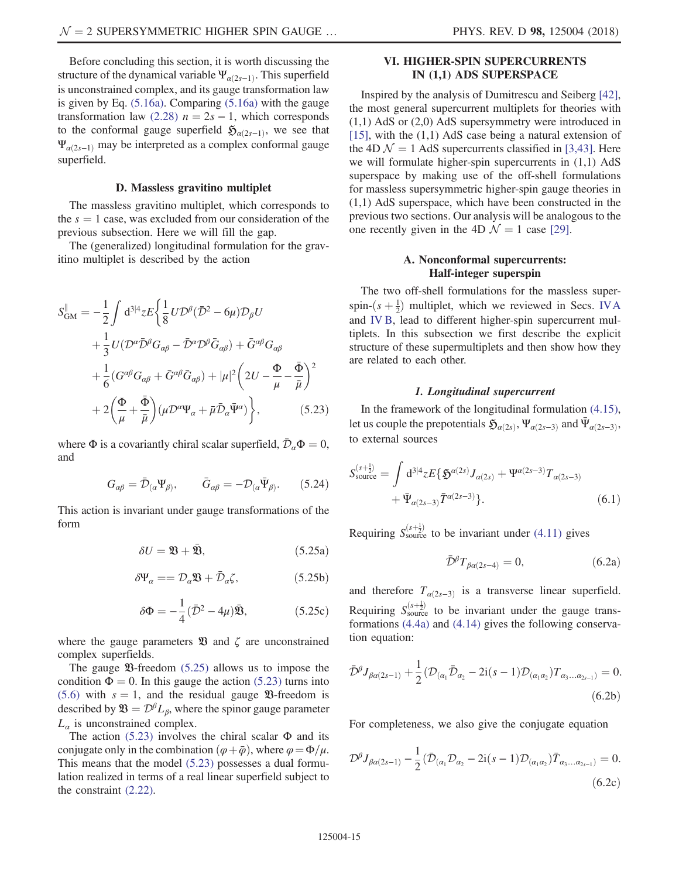Before concluding this section, it is worth discussing the structure of the dynamical variable  $\Psi_{\alpha(2s-1)}$ . This superfield is unconstrained complex, and its gauge transformation law is given by Eq. [\(5.16a\).](#page-12-2) Comparing [\(5.16a\)](#page-12-2) with the gauge transformation law [\(2.28\)](#page-5-2)  $n = 2s - 1$ , which corresponds to the conformal gauge superfield  $\mathfrak{H}_{\alpha(2s-1)}$ , we see that  $\Psi_{\alpha(2s-1)}$  may be interpreted as a complex conformal gauge superfield.

#### D. Massless gravitino multiplet

<span id="page-14-1"></span>The massless gravitino multiplet, which corresponds to the  $s = 1$  case, was excluded from our consideration of the previous subsection. Here we will fill the gap.

<span id="page-14-3"></span>The (generalized) longitudinal formulation for the gravitino multiplet is described by the action

$$
S_{\text{GM}}^{\parallel} = -\frac{1}{2} \int d^{3|4}z E \left\{ \frac{1}{8} U \mathcal{D}^{\beta} (\bar{\mathcal{D}}^2 - 6\mu) \mathcal{D}_{\beta} U + \frac{1}{3} U (\mathcal{D}^{\alpha} \bar{\mathcal{D}}^{\beta} G_{\alpha\beta} - \bar{\mathcal{D}}^{\alpha} \mathcal{D}^{\beta} \bar{G}_{\alpha\beta}) + \bar{G}^{\alpha\beta} G_{\alpha\beta} + \frac{1}{6} (G^{\alpha\beta} G_{\alpha\beta} + \bar{G}^{\alpha\beta} \bar{G}_{\alpha\beta}) + |\mu|^2 \left( 2U - \frac{\Phi}{\mu} - \frac{\bar{\Phi}}{\bar{\mu}} \right)^2 + 2 \left( \frac{\Phi}{\mu} + \frac{\bar{\Phi}}{\bar{\mu}} \right) (\mu \mathcal{D}^{\alpha} \Psi_{\alpha} + \bar{\mu} \bar{\mathcal{D}}_{\alpha} \bar{\Psi}^{\alpha}) \right\}, \tag{5.23}
$$

where  $\Phi$  is a covariantly chiral scalar superfield,  $\bar{\mathcal{D}}_{\alpha} \Phi = 0$ , and

$$
G_{\alpha\beta} = \bar{\mathcal{D}}_{(\alpha}\Psi_{\beta)}, \qquad \bar{G}_{\alpha\beta} = -\mathcal{D}_{(\alpha}\bar{\Psi}_{\beta)}.
$$
 (5.24)

<span id="page-14-2"></span>This action is invariant under gauge transformations of the form

$$
\delta U = \mathfrak{B} + \bar{\mathfrak{B}},\tag{5.25a}
$$

$$
\delta \Psi_{\alpha} = D_{\alpha} \mathfrak{B} + \bar{\mathcal{D}}_{\alpha} \zeta, \qquad (5.25b)
$$

$$
\delta\Phi = -\frac{1}{4}(\bar{\mathcal{D}}^2 - 4\mu)\bar{\mathfrak{B}},\tag{5.25c}
$$

where the gauge parameters  $\mathfrak{B}$  and  $\zeta$  are unconstrained complex superfields.

The gauge  $\mathfrak{B}\text{-}$  freedom [\(5.25\)](#page-14-2) allows us to impose the condition  $\Phi = 0$ . In this gauge the action [\(5.23\)](#page-14-3) turns into [\(5.6\)](#page-11-0) with  $s = 1$ , and the residual gauge **23**-freedom is described by  $\mathfrak{B} = \mathcal{D}^{\beta} L_{\beta}$ , where the spinor gauge parameter  $L_{\alpha}$  is unconstrained complex.

The action  $(5.23)$  involves the chiral scalar  $\Phi$  and its conjugate only in the combination  $(\varphi + \bar{\varphi})$ , where  $\varphi = \Phi/\mu$ . This means that the model [\(5.23\)](#page-14-3) possesses a dual formulation realized in terms of a real linear superfield subject to the constraint [\(2.22\).](#page-5-7)

# <span id="page-14-0"></span>VI. HIGHER-SPIN SUPERCURRENTS IN (1,1) ADS SUPERSPACE

Inspired by the analysis of Dumitrescu and Seiberg [\[42\]](#page-25-11), the most general supercurrent multiplets for theories with (1,1) AdS or (2,0) AdS supersymmetry were introduced in [\[15\]](#page-24-9), with the (1,1) AdS case being a natural extension of the 4D  $\mathcal{N} = 1$  AdS supercurrents classified in [\[3,43\].](#page-24-1) Here we will formulate higher-spin supercurrents in  $(1,1)$  AdS superspace by making use of the off-shell formulations for massless supersymmetric higher-spin gauge theories in (1,1) AdS superspace, which have been constructed in the previous two sections. Our analysis will be analogous to the one recently given in the 4D  $\mathcal{N} = 1$  case [\[29\].](#page-25-10)

### A. Nonconformal supercurrents: Half-integer superspin

The two off-shell formulations for the massless superspin- $(s + \frac{1}{2})$  multiplet, which we reviewed in Secs. [IVA](#page-8-6) and [IV B](#page-9-0), lead to different higher-spin supercurrent multiplets. In this subsection we first describe the explicit structure of these supermultiplets and then show how they are related to each other.

### 1. Longitudinal supercurrent

In the framework of the longitudinal formulation [\(4.15\)](#page-10-2), let us couple the prepotentials  $\mathfrak{H}_{\alpha(2s)}$ ,  $\Psi_{\alpha(2s-3)}$  and  $\bar{\Psi}_{\alpha(2s-3)}$ , to external sources

$$
S_{\text{source}}^{(s+\frac{1}{2})} = \int d^{3|4}z E\{\mathfrak{H}^{a(2s)} J_{a(2s)} + \Psi^{a(2s-3)} T_{a(2s-3)} + \bar{\Psi}_{a(2s-3)} \bar{T}^{a(2s-3)}\}.
$$
\n(6.1)

<span id="page-14-4"></span>Requiring  $S_{\text{source}}^{(s+\frac{1}{2})}$  to be invariant under [\(4.11\)](#page-9-5) gives

$$
\bar{\mathcal{D}}^{\beta}T_{\beta\alpha(2s-4)} = 0, \tag{6.2a}
$$

<span id="page-14-5"></span>and therefore  $T_{\alpha(2s-3)}$  is a transverse linear superfield. Requiring  $S_{\text{source}}^{(s+\frac{1}{2})}$  to be invariant under the gauge transformations [\(4.4a\)](#page-8-3) and [\(4.14\)](#page-10-6) gives the following conservation equation:

$$
\bar{\mathcal{D}}^{\beta} J_{\beta\alpha(2s-1)} + \frac{1}{2} (\mathcal{D}_{(\alpha_1} \bar{\mathcal{D}}_{\alpha_2} - 2i(s-1) \mathcal{D}_{(\alpha_1 \alpha_2)} T_{\alpha_3 \dots \alpha_{2s-1})} = 0.
$$
\n(6.2b)

<span id="page-14-6"></span>For completeness, we also give the conjugate equation

$$
\mathcal{D}^{\beta}J_{\beta\alpha(2s-1)} - \frac{1}{2}(\bar{\mathcal{D}}_{(\alpha_1}\mathcal{D}_{\alpha_2} - 2i(s-1)\mathcal{D}_{(\alpha_1\alpha_2)}\bar{T}_{\alpha_3...\alpha_{2s-1})} = 0.
$$
\n(6.2c)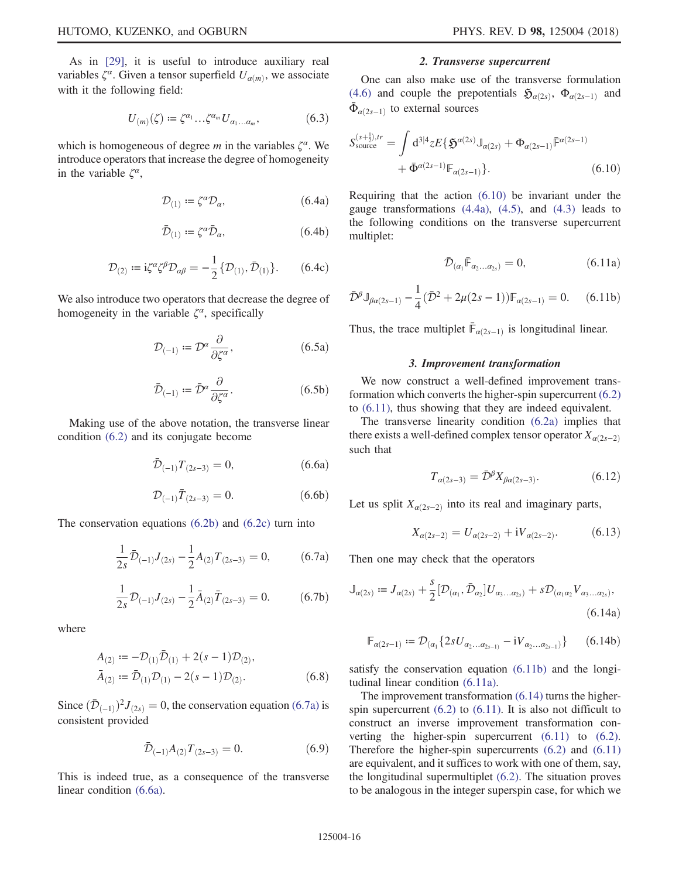<span id="page-15-6"></span>As in [\[29\]](#page-25-10), it is useful to introduce auxiliary real variables  $\zeta^{\alpha}$ . Given a tensor superfield  $U_{\alpha(m)}$ , we associate with it the following field:

$$
U_{(m)}(\zeta) := \zeta^{\alpha_1} \dots \zeta^{\alpha_m} U_{\alpha_1 \dots \alpha_m},\tag{6.3}
$$

which is homogeneous of degree m in the variables  $\zeta^{\alpha}$ . We introduce operators that increase the degree of homogeneity in the variable  $\zeta^{\alpha}$ ,

$$
\mathcal{D}_{(1)} := \zeta^{\alpha} \mathcal{D}_{\alpha}, \tag{6.4a}
$$

$$
\bar{\mathcal{D}}_{(1)} \coloneqq \zeta^{\alpha} \bar{\mathcal{D}}_{\alpha},\tag{6.4b}
$$

$$
\mathcal{D}_{(2)} := i\zeta^{\alpha}\zeta^{\beta}\mathcal{D}_{\alpha\beta} = -\frac{1}{2} \{\mathcal{D}_{(1)}, \bar{\mathcal{D}}_{(1)}\}.
$$
 (6.4c)

We also introduce two operators that decrease the degree of homogeneity in the variable  $\zeta^{\alpha}$ , specifically

$$
\mathcal{D}_{(-1)} := \mathcal{D}^{\alpha} \frac{\partial}{\partial \zeta^{\alpha}},\tag{6.5a}
$$

$$
\bar{\mathcal{D}}_{(-1)} := \bar{\mathcal{D}}^{\alpha} \frac{\partial}{\partial \zeta^{\alpha}}.
$$
\n(6.5b)

<span id="page-15-8"></span><span id="page-15-1"></span>Making use of the above notation, the transverse linear condition [\(6.2\)](#page-14-4) and its conjugate become

$$
\bar{\mathcal{D}}_{(-1)}T_{(2s-3)} = 0, \qquad (6.6a)
$$

$$
\mathcal{D}_{(-1)}\bar{T}_{(2s-3)} = 0. \tag{6.6b}
$$

<span id="page-15-7"></span><span id="page-15-0"></span>The conservation equations [\(6.2b\)](#page-14-5) and [\(6.2c\)](#page-14-6) turn into

$$
\frac{1}{2s}\bar{\mathcal{D}}_{(-1)}J_{(2s)} - \frac{1}{2}A_{(2)}T_{(2s-3)} = 0, \qquad (6.7a)
$$

$$
\frac{1}{2s}\mathcal{D}_{(-1)}J_{(2s)} - \frac{1}{2}\bar{A}_{(2)}\bar{T}_{(2s-3)} = 0.
$$
 (6.7b)

where

$$
A_{(2)} := -\mathcal{D}_{(1)}\bar{\mathcal{D}}_{(1)} + 2(s - 1)\mathcal{D}_{(2)},
$$
  
\n
$$
\bar{A}_{(2)} := \bar{\mathcal{D}}_{(1)}\mathcal{D}_{(1)} - 2(s - 1)\mathcal{D}_{(2)}.
$$
\n(6.8)

Since  $(\bar{\mathcal{D}}_{(-1)})^2 J_{(2s)} = 0$ , the conservation equation [\(6.7a\)](#page-15-0) is consistent provided

$$
\bar{\mathcal{D}}_{(-1)}A_{(2)}T_{(2s-3)} = 0. \tag{6.9}
$$

This is indeed true, as a consequence of the transverse linear condition [\(6.6a\).](#page-15-1)

### 2. Transverse supercurrent

<span id="page-15-2"></span>One can also make use of the transverse formulation [\(4.6\)](#page-9-2) and couple the prepotentials  $\mathfrak{H}_{\alpha(2s)}$ ,  $\Phi_{\alpha(2s-1)}$  and  $\bar{\Phi}_{\alpha(2s-1)}$  to external sources

$$
S_{\text{source}}^{(s+\frac{1}{2}),tr} = \int d^{3|4}z E\{\mathfrak{H}^{a(2s)}\mathbb{J}_{a(2s)} + \Phi_{a(2s-1)}\bar{\mathbb{F}}^{a(2s-1)} + \bar{\Phi}^{a(2s-1)}\mathbb{F}_{a(2s-1)}\}.
$$
\n(6.10)

<span id="page-15-3"></span>Requiring that the action [\(6.10\)](#page-15-2) be invariant under the gauge transformations  $(4.4a)$ ,  $(4.5)$ , and  $(4.3)$  leads to the following conditions on the transverse supercurrent multiplet:

$$
\bar{\mathcal{D}}_{(\alpha_1} \bar{\mathbb{F}}_{\alpha_2 \dots \alpha_{2s})} = 0, \tag{6.11a}
$$

<span id="page-15-4"></span>
$$
\bar{\mathcal{D}}^{\beta} \mathbb{J}_{\beta\alpha(2s-1)} - \frac{1}{4} (\bar{\mathcal{D}}^2 + 2\mu(2s - 1)) \mathbb{F}_{\alpha(2s-1)} = 0. \tag{6.11b}
$$

Thus, the trace multiplet  $\bar{\mathbb{F}}_{\alpha(2s-1)}$  is longitudinal linear.

#### 3. Improvement transformation

We now construct a well-defined improvement transformation which converts the higher-spin supercurrent [\(6.2\)](#page-14-4) to [\(6.11\),](#page-15-3) thus showing that they are indeed equivalent.

The transverse linearity condition [\(6.2a\)](#page-14-4) implies that there exists a well-defined complex tensor operator  $X_{\alpha(2s-2)}$ such that

$$
T_{\alpha(2s-3)} = \bar{\mathcal{D}}^{\beta} X_{\beta\alpha(2s-3)}.
$$
 (6.12)

Let us split  $X_{\alpha(2s-2)}$  into its real and imaginary parts,

$$
X_{\alpha(2s-2)} = U_{\alpha(2s-2)} + iV_{\alpha(2s-2)}.
$$
 (6.13)

<span id="page-15-5"></span>Then one may check that the operators

$$
\mathbb{J}_{\alpha(2s)} := J_{\alpha(2s)} + \frac{s}{2} [\mathcal{D}_{(\alpha_1}, \bar{\mathcal{D}}_{\alpha_2}] U_{\alpha_3 \dots \alpha_{2s}} + s \mathcal{D}_{(\alpha_1 \alpha_2} V_{\alpha_3 \dots \alpha_{2s})},
$$
\n(6.14a)

$$
\mathbb{F}_{\alpha(2s-1)} := \mathcal{D}_{(\alpha_1} \{ 2s U_{\alpha_2 \dots \alpha_{2s-1})} - i V_{\alpha_2 \dots \alpha_{2s-1}} \}
$$
 (6.14b)

satisfy the conservation equation [\(6.11b\)](#page-15-4) and the longitudinal linear condition [\(6.11a\)](#page-15-3).

The improvement transformation [\(6.14\)](#page-15-5) turns the higherspin supercurrent  $(6.2)$  to  $(6.11)$ . It is also not difficult to construct an inverse improvement transformation converting the higher-spin supercurrent [\(6.11\)](#page-15-3) to [\(6.2\)](#page-14-4). Therefore the higher-spin supercurrents [\(6.2\)](#page-14-4) and [\(6.11\)](#page-15-3) are equivalent, and it suffices to work with one of them, say, the longitudinal supermultiplet [\(6.2\).](#page-14-4) The situation proves to be analogous in the integer superspin case, for which we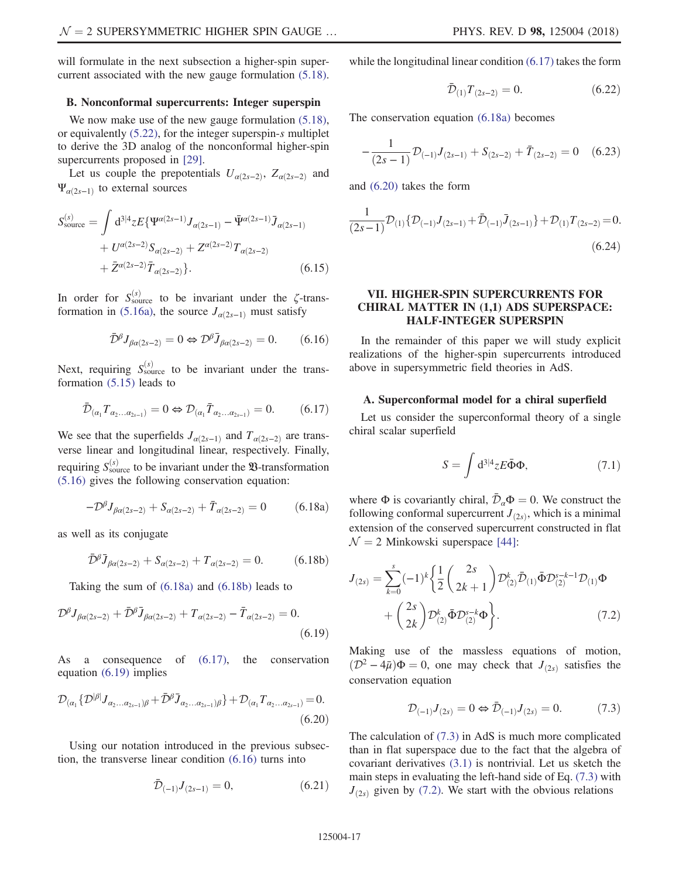will formulate in the next subsection a higher-spin supercurrent associated with the new gauge formulation [\(5.18\)](#page-13-0).

# B. Nonconformal supercurrents: Integer superspin

We now make use of the new gauge formulation  $(5.18)$ , or equivalently [\(5.22\)](#page-13-3), for the integer superspin-s multiplet to derive the 3D analog of the nonconformal higher-spin supercurrents proposed in [\[29\]](#page-25-10).

Let us couple the prepotentials  $U_{\alpha(2s-2)}$ ,  $Z_{\alpha(2s-2)}$  and  $\Psi_{\alpha(2s-1)}$  to external sources

$$
S_{\text{source}}^{(s)} = \int d^{3|4}z E\{\Psi^{\alpha(2s-1)} J_{\alpha(2s-1)} - \bar{\Psi}^{\alpha(2s-1)} \bar{J}_{\alpha(2s-1)} + U^{\alpha(2s-2)} S_{\alpha(2s-2)} + Z^{\alpha(2s-2)} T_{\alpha(2s-2)} + \bar{Z}^{\alpha(2s-2)} \bar{T}_{\alpha(2s-2)}\}.
$$
(6.15)

<span id="page-16-5"></span>In order for  $S_{\text{source}}^{(s)}$  to be invariant under the  $\zeta$ -trans-formation in [\(5.16a\),](#page-12-2) the source  $J_{\alpha(2s-1)}$  must satisfy

$$
\bar{\mathcal{D}}^{\beta} J_{\beta \alpha(2s-2)} = 0 \Leftrightarrow \mathcal{D}^{\beta} \bar{J}_{\beta \alpha(2s-2)} = 0. \qquad (6.16)
$$

<span id="page-16-3"></span>Next, requiring  $S_{\text{source}}^{(s)}$  to be invariant under the transformation [\(5.15\)](#page-12-3) leads to

$$
\bar{\mathcal{D}}_{(\alpha_1} T_{\alpha_2...\alpha_{2s-1})} = 0 \Leftrightarrow \mathcal{D}_{(\alpha_1} \bar{T}_{\alpha_2...\alpha_{2s-1})} = 0. \tag{6.17}
$$

<span id="page-16-1"></span>We see that the superfields  $J_{\alpha(2s-1)}$  and  $T_{\alpha(2s-2)}$  are transverse linear and longitudinal linear, respectively. Finally, requiring  $S_{\text{source}}^{(s)}$  to be invariant under the  $\mathfrak{B}$ -transformation [\(5.16\)](#page-12-2) gives the following conservation equation:

$$
-D^{\beta}J_{\beta\alpha(2s-2)} + S_{\alpha(2s-2)} + \bar{T}_{\alpha(2s-2)} = 0 \qquad (6.18a)
$$

<span id="page-16-2"></span>as well as its conjugate

$$
\bar{\mathcal{D}}^{\beta}\bar{J}_{\beta\alpha(2s-2)} + S_{\alpha(2s-2)} + T_{\alpha(2s-2)} = 0.
$$
 (6.18b)

<span id="page-16-4"></span>Taking the sum of [\(6.18a\)](#page-16-1) and [\(6.18b\)](#page-16-2) leads to

$$
\mathcal{D}^{\beta}J_{\beta\alpha(2s-2)} + \bar{\mathcal{D}}^{\beta}\bar{J}_{\beta\alpha(2s-2)} + T_{\alpha(2s-2)} - \bar{T}_{\alpha(2s-2)} = 0.
$$
\n(6.19)

<span id="page-16-6"></span>As a consequence of [\(6.17\)](#page-16-3), the conservation equation [\(6.19\)](#page-16-4) implies

$$
\mathcal{D}_{(\alpha_1} \{ \mathcal{D}^{|\beta|} J_{\alpha_2 \dots \alpha_{2s-1})\beta} + \bar{\mathcal{D}}^{\beta} \bar{J}_{\alpha_2 \dots \alpha_{2s-1})\beta} \} + \mathcal{D}_{(\alpha_1} T_{\alpha_2 \dots \alpha_{2s-1})} = 0.
$$
\n(6.20)

<span id="page-16-10"></span>Using our notation introduced in the previous subsection, the transverse linear condition [\(6.16\)](#page-16-5) turns into

$$
\bar{\mathcal{D}}_{(-1)}J_{(2s-1)}=0, \qquad (6.21)
$$

<span id="page-16-11"></span>while the longitudinal linear condition [\(6.17\)](#page-16-3) takes the form

$$
\bar{\mathcal{D}}_{(1)} T_{(2s-2)} = 0. \tag{6.22}
$$

<span id="page-16-13"></span>The conservation equation [\(6.18a\)](#page-16-1) becomes

$$
-\frac{1}{(2s-1)}\mathcal{D}_{(-1)}J_{(2s-1)} + S_{(2s-2)} + \bar{T}_{(2s-2)} = 0 \quad (6.23)
$$

<span id="page-16-12"></span>and [\(6.20\)](#page-16-6) takes the form

$$
\frac{1}{(2s-1)}\mathcal{D}_{(1)}\{\mathcal{D}_{(-1)}J_{(2s-1)}+\bar{\mathcal{D}}_{(-1)}\bar{J}_{(2s-1)}\}+\mathcal{D}_{(1)}T_{(2s-2)}=0.
$$
\n(6.24)

# <span id="page-16-0"></span>VII. HIGHER-SPIN SUPERCURRENTS FOR CHIRAL MATTER IN (1,1) ADS SUPERSPACE: HALF-INTEGER SUPERSPIN

In the remainder of this paper we will study explicit realizations of the higher-spin supercurrents introduced above in supersymmetric field theories in AdS.

### A. Superconformal model for a chiral superfield

<span id="page-16-9"></span>Let us consider the superconformal theory of a single chiral scalar superfield

$$
S = \int d^{3|4}z E \bar{\Phi} \Phi, \qquad (7.1)
$$

<span id="page-16-8"></span>where  $\Phi$  is covariantly chiral,  $\bar{\mathcal{D}}_a \Phi = 0$ . We construct the following conformal supercurrent  $J_{(2s)}$ , which is a minimal extension of the conserved supercurrent constructed in flat  $\mathcal{N} = 2$  Minkowski superspace [\[44\]](#page-25-12):

$$
J_{(2s)} = \sum_{k=0}^{s} (-1)^{k} \left\{ \frac{1}{2} \binom{2s}{2k+1} \mathcal{D}_{(2)}^{k} \bar{\mathcal{D}}_{(1)} \bar{\Phi} \mathcal{D}_{(2)}^{s-k-1} \mathcal{D}_{(1)} \Phi + \binom{2s}{2k} \mathcal{D}_{(2)}^{k} \bar{\Phi} \mathcal{D}_{(2)}^{s-k} \Phi \right\}.
$$
 (7.2)

<span id="page-16-7"></span>Making use of the massless equations of motion,  $(\mathcal{D}^2 - 4\bar{\mu})\Phi = 0$ , one may check that  $J_{(2s)}$  satisfies the conservation equation

$$
\mathcal{D}_{(-1)}J_{(2s)} = 0 \Leftrightarrow \bar{\mathcal{D}}_{(-1)}J_{(2s)} = 0. \tag{7.3}
$$

The calculation of [\(7.3\)](#page-16-7) in AdS is much more complicated than in flat superspace due to the fact that the algebra of covariant derivatives [\(3.1\)](#page-7-3) is nontrivial. Let us sketch the main steps in evaluating the left-hand side of Eq. [\(7.3\)](#page-16-7) with  $J_{(2s)}$  given by [\(7.2\).](#page-16-8) We start with the obvious relations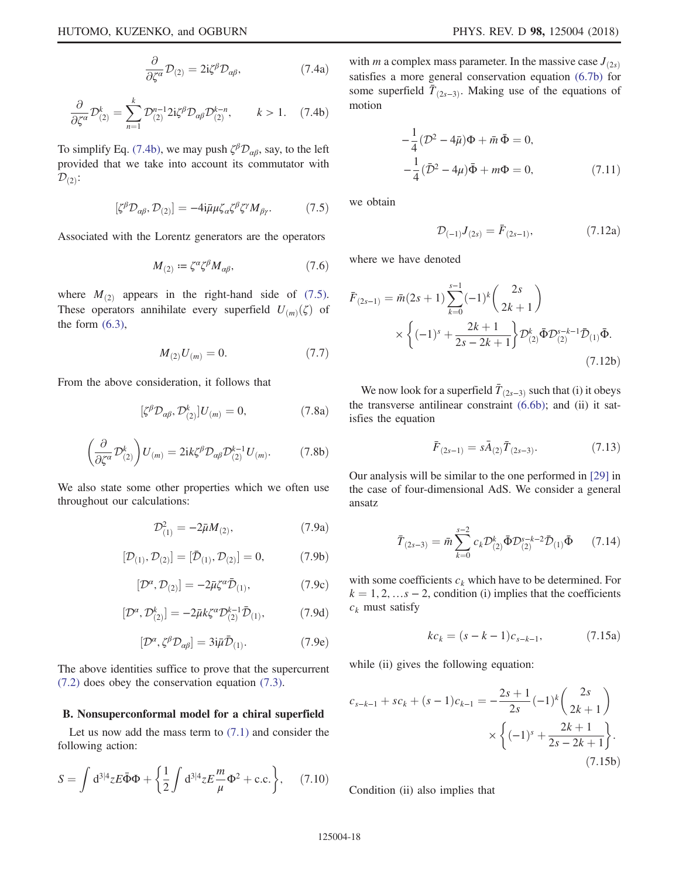$$
\frac{\partial}{\partial \zeta^{\alpha}} \mathcal{D}_{(2)} = 2i \zeta^{\beta} \mathcal{D}_{\alpha\beta},\tag{7.4a}
$$

<span id="page-17-0"></span>
$$
\frac{\partial}{\partial \zeta^{\alpha}} \mathcal{D}_{(2)}^{k} = \sum_{n=1}^{k} \mathcal{D}_{(2)}^{n-1} 2i \zeta^{\beta} \mathcal{D}_{\alpha\beta} \mathcal{D}_{(2)}^{k-n}, \qquad k > 1. \quad (7.4b)
$$

<span id="page-17-1"></span>To simplify Eq. [\(7.4b\),](#page-17-0) we may push  $\zeta^{\beta} \mathcal{D}_{\alpha\beta}$ , say, to the left provided that we take into account its commutator with  $\mathcal{D}_{(2)}$ :

$$
[\zeta^{\beta} \mathcal{D}_{\alpha\beta}, \mathcal{D}_{(2)}] = -4i\bar{\mu}\mu \zeta_{\alpha} \zeta^{\beta} \zeta^{\gamma} M_{\beta\gamma}.
$$
 (7.5)

Associated with the Lorentz generators are the operators

$$
M_{(2)} := \zeta^{\alpha} \zeta^{\beta} M_{\alpha\beta},\tag{7.6}
$$

where  $M_{(2)}$  appears in the right-hand side of [\(7.5\)](#page-17-1). These operators annihilate every superfield  $U_{(m)}(\zeta)$  of the form  $(6.3)$ ,

$$
M_{(2)}U_{(m)}=0.\t\t(7.7)
$$

From the above consideration, it follows that

$$
[\zeta^{\beta} \mathcal{D}_{\alpha\beta}, \mathcal{D}_{(2)}^k] U_{(m)} = 0, \qquad (7.8a)
$$

$$
\left(\frac{\partial}{\partial \zeta^{\alpha}} \mathcal{D}_{(2)}^{k}\right) U_{(m)} = 2i k \zeta^{\beta} \mathcal{D}_{\alpha\beta} \mathcal{D}_{(2)}^{k-1} U_{(m)}.
$$
 (7.8b)

We also state some other properties which we often use throughout our calculations:

$$
\mathcal{D}_{(1)}^2 = -2\bar{\mu}M_{(2)},\tag{7.9a}
$$

$$
[\mathcal{D}_{(1)}, \mathcal{D}_{(2)}] = [\bar{\mathcal{D}}_{(1)}, \mathcal{D}_{(2)}] = 0, \tag{7.9b}
$$

$$
[\mathcal{D}^{\alpha}, \mathcal{D}_{(2)}] = -2\bar{\mu}\zeta^{\alpha}\bar{\mathcal{D}}_{(1)},\tag{7.9c}
$$

$$
[\mathcal{D}^{\alpha}, \mathcal{D}_{(2)}^{k}] = -2\bar{\mu}k\zeta^{\alpha}\mathcal{D}_{(2)}^{k-1}\bar{\mathcal{D}}_{(1)},
$$
 (7.9d)

$$
[\mathcal{D}^{\alpha}, \zeta^{\beta} \mathcal{D}_{\alpha\beta}] = 3i\bar{\mu} \bar{\mathcal{D}}_{(1)}.
$$
 (7.9e)

The above identities suffice to prove that the supercurrent [\(7.2\)](#page-16-8) does obey the conservation equation [\(7.3\)](#page-16-7).

#### B. Nonsuperconformal model for a chiral superfield

<span id="page-17-5"></span>Let us now add the mass term to  $(7.1)$  and consider the following action:

$$
S = \int d^{3|4}z E \bar{\Phi} \Phi + \left\{ \frac{1}{2} \int d^{3|4}z E \frac{m}{\mu} \Phi^2 + \text{c.c.} \right\}, \quad (7.10)
$$

with *m* a complex mass parameter. In the massive case  $J_{(2s)}$ satisfies a more general conservation equation [\(6.7b\)](#page-15-7) for some superfield  $\bar{T}_{(2s-3)}$ . Making use of the equations of motion

$$
-\frac{1}{4}(\mathcal{D}^2 - 4\bar{\mu})\Phi + \bar{m}\,\bar{\Phi} = 0,
$$
  

$$
-\frac{1}{4}(\bar{\mathcal{D}}^2 - 4\mu)\bar{\Phi} + m\Phi = 0,
$$
 (7.11)

we obtain

$$
\mathcal{D}_{(-1)}J_{(2s)} = \bar{F}_{(2s-1)},\tag{7.12a}
$$

where we have denoted

$$
\bar{F}_{(2s-1)} = \bar{m}(2s+1) \sum_{k=0}^{s-1} (-1)^k {2s \choose 2k+1} \times \left\{ (-1)^s + \frac{2k+1}{2s-2k+1} \right\} \mathcal{D}_{(2)}^k \bar{\Phi} \mathcal{D}_{(2)}^{s-k-1} \bar{\mathcal{D}}_{(1)} \bar{\Phi}.
$$
\n(7.12b)

We now look for a superfield  $\overline{T}_{(2s-3)}$  such that (i) it obeys the transverse antilinear constraint [\(6.6b\);](#page-15-8) and (ii) it satisfies the equation

$$
\bar{F}_{(2s-1)} = s\bar{A}_{(2)}\bar{T}_{(2s-3)}.
$$
\n(7.13)

<span id="page-17-4"></span>Our analysis will be similar to the one performed in [\[29\]](#page-25-10) in the case of four-dimensional AdS. We consider a general ansatz

$$
\bar{T}_{(2s-3)} = \bar{m} \sum_{k=0}^{s-2} c_k \mathcal{D}_{(2)}^k \bar{\Phi} \mathcal{D}_{(2)}^{s-k-2} \bar{\mathcal{D}}_{(1)} \bar{\Phi}
$$
 (7.14)

<span id="page-17-2"></span>with some coefficients  $c_k$  which have to be determined. For  $k = 1, 2, \ldots s - 2$ , condition (i) implies that the coefficients  $c_k$  must satisfy

$$
kc_k = (s - k - 1)c_{s - k - 1}, \qquad (7.15a)
$$

while (ii) gives the following equation:

$$
c_{s-k-1} + sc_k + (s-1)c_{k-1} = -\frac{2s+1}{2s}(-1)^k \binom{2s}{2k+1} \times \left\{ (-1)^s + \frac{2k+1}{2s-2k+1} \right\}.
$$
\n(7.15b)

<span id="page-17-3"></span>Condition (ii) also implies that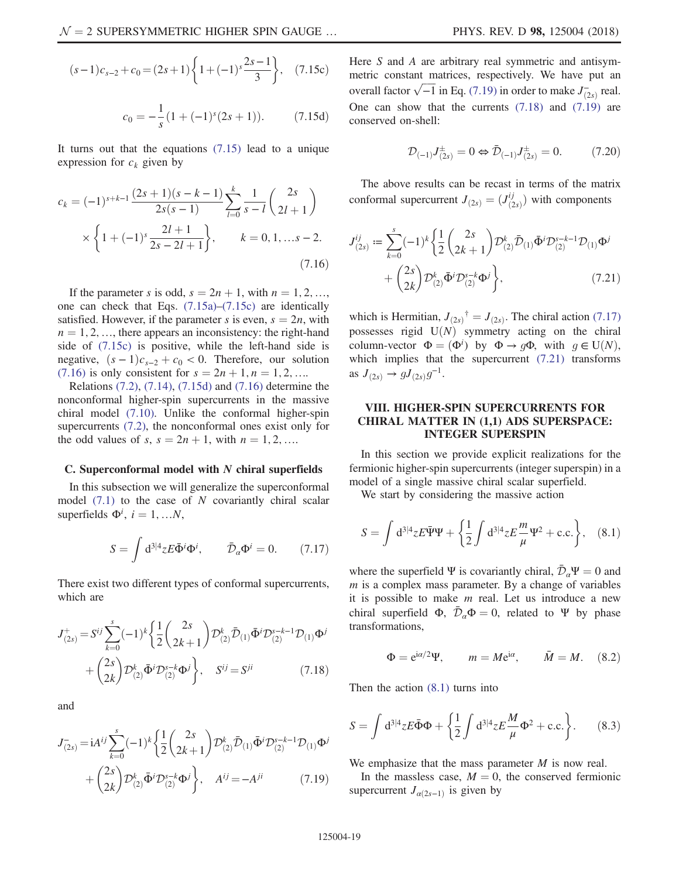<span id="page-18-2"></span>
$$
(s-1)c_{s-2} + c_0 = (2s+1)\left\{1 + (-1)^s \frac{2s-1}{3}\right\},\quad(7.15c)
$$

$$
c_0 = -\frac{1}{s}(1 + (-1)^s(2s + 1)).
$$
 (7.15d)

<span id="page-18-1"></span>It turns out that the equations [\(7.15\)](#page-17-2) lead to a unique expression for  $c_k$  given by

$$
c_k = (-1)^{s+k-1} \frac{(2s+1)(s-k-1)}{2s(s-1)} \sum_{l=0}^k \frac{1}{s-l} {2s \choose 2l+1}
$$

$$
\times \left\{ 1+(-1)^s \frac{2l+1}{2s-2l+1} \right\}, \qquad k=0,1,...s-2.
$$
(7.16)

If the parameter s is odd,  $s = 2n + 1$ , with  $n = 1, 2, \ldots$ , one can check that Eqs. [\(7.15a\)](#page-17-2)–[\(7.15c\)](#page-17-3) are identically satisfied. However, if the parameter s is even,  $s = 2n$ , with  $n = 1, 2, \ldots$ , there appears an inconsistency: the right-hand side of [\(7.15c\)](#page-17-3) is positive, while the left-hand side is negative,  $(s - 1)c_{s-2} + c_0 < 0$ . Therefore, our solution [\(7.16\)](#page-18-1) is only consistent for  $s = 2n + 1, n = 1, 2, ...$ 

Relations [\(7.2\)](#page-16-8), [\(7.14\)](#page-17-4), [\(7.15d\)](#page-18-2) and [\(7.16\)](#page-18-1) determine the nonconformal higher-spin supercurrents in the massive chiral model [\(7.10\).](#page-17-5) Unlike the conformal higher-spin supercurrents [\(7.2\)](#page-16-8), the nonconformal ones exist only for the odd values of s,  $s = 2n + 1$ , with  $n = 1, 2, ...$ 

### C. Superconformal model with  $N$  chiral superfields

<span id="page-18-5"></span>In this subsection we will generalize the superconformal model  $(7.1)$  to the case of N covariantly chiral scalar superfields  $\Phi^i$ ,  $i = 1, ...N$ ,

$$
S = \int d^{3|4}z E \bar{\Phi}^i \Phi^i, \qquad \bar{\mathcal{D}}_a \Phi^i = 0. \qquad (7.17)
$$

<span id="page-18-4"></span>There exist two different types of conformal supercurrents, which are

$$
J_{(2s)}^{+} = S^{ij} \sum_{k=0}^{s} (-1)^{k} \left\{ \frac{1}{2} {2s \choose 2k+1} \mathcal{D}_{(2)}^{k} \bar{\mathcal{D}}_{(1)} \bar{\Phi}^{i} \mathcal{D}_{(2)}^{s-k-1} \mathcal{D}_{(1)} \Phi^{j} + {2s \choose 2k} \mathcal{D}_{(2)}^{k} \bar{\Phi}^{i} \mathcal{D}_{(2)}^{s-k} \Phi^{j} \right\}, \quad S^{ij} = S^{ji}
$$
(7.18)

<span id="page-18-3"></span>and

$$
J_{(2s)}^{-} = iA^{ij} \sum_{k=0}^{s} (-1)^{k} \left\{ \frac{1}{2} {2s \choose 2k+1} \mathcal{D}_{(2)}^{k} \bar{\mathcal{D}}_{(1)} \bar{\Phi}^{i} \mathcal{D}_{(2)}^{s-k-1} \mathcal{D}_{(1)} \Phi^{j} + {2s \choose 2k} \mathcal{D}_{(2)}^{k} \bar{\Phi}^{i} \mathcal{D}_{(2)}^{s-k} \Phi^{j} \right\}, \quad A^{ij} = -A^{ji} \tag{7.19}
$$

Here  $S$  and  $A$  are arbitrary real symmetric and antisymmetric constant matrices, respectively. We have put an overall factor  $\sqrt{-1}$  in Eq. [\(7.19\)](#page-18-3) in order to make  $J_{(2s)}^-$  real.

$$
\mathcal{D}_{(-1)}J_{(2s)}^{\pm} = 0 \Leftrightarrow \bar{\mathcal{D}}_{(-1)}J_{(2s)}^{\pm} = 0. \tag{7.20}
$$

<span id="page-18-6"></span>The above results can be recast in terms of the matrix conformal supercurrent  $J_{(2s)} = (J_{(2s)}^{ij})$  with components

One can show that the currents [\(7.18\)](#page-18-4) and [\(7.19\)](#page-18-3) are

conserved on-shell:

$$
J_{(2s)}^{ij} := \sum_{k=0}^{s} (-1)^k \left\{ \frac{1}{2} \binom{2s}{2k+1} \mathcal{D}_{(2)}^k \bar{\mathcal{D}}_{(1)} \bar{\Phi}^i \mathcal{D}_{(2)}^{s-k-1} \mathcal{D}_{(1)} \Phi^j \right. \\
\left. + \binom{2s}{2k} \mathcal{D}_{(2)}^k \bar{\Phi}^i \mathcal{D}_{(2)}^{s-k} \Phi^j \right\},\tag{7.21}
$$

which is Hermitian,  $J_{(2s)}^{\dagger} = J_{(2s)}$ . The chiral action [\(7.17\)](#page-18-5)<br>nossasses rigid  $J(M)$  symmetry acting on the object possesses rigid  $U(N)$  symmetry acting on the chiral column-vector  $\Phi = (\Phi^i)$  by  $\Phi \to g\Phi$ , with  $g \in U(N)$ ,<br>which implies that the supercurrent (7.21) transforms which implies that the supercurrent  $(7.21)$  transforms as  $J_{(2s)} \to g J_{(2s)} g^{-1}$ .

# <span id="page-18-0"></span>VIII. HIGHER-SPIN SUPERCURRENTS FOR CHIRAL MATTER IN (1,1) ADS SUPERSPACE: INTEGER SUPERSPIN

<span id="page-18-7"></span>In this section we provide explicit realizations for the fermionic higher-spin supercurrents (integer superspin) in a model of a single massive chiral scalar superfield.

We start by considering the massive action

$$
S = \int d^{3|4}z E \bar{\Psi} \Psi + \left\{ \frac{1}{2} \int d^{3|4}z E \frac{m}{\mu} \Psi^2 + \text{c.c.} \right\}, \quad (8.1)
$$

where the superfield Ψ is covariantly chiral,  $\bar{\mathcal{D}}_{\alpha}\Psi = 0$  and  $m$  is a complex mass parameter. By a change of variables it is possible to make  $m$  real. Let us introduce a new chiral superfield  $\Phi$ ,  $\bar{\mathcal{D}}_a \Phi = 0$ , related to Ψ by phase transformations,

<span id="page-18-9"></span>
$$
\Phi = e^{i\alpha/2}\Psi, \qquad m = Me^{i\alpha}, \qquad \bar{M} = M. \quad (8.2)
$$

Then the action [\(8.1\)](#page-18-7) turns into

<span id="page-18-8"></span>
$$
S = \int d^{3|4}z E \bar{\Phi} \Phi + \left\{ \frac{1}{2} \int d^{3|4}z E \frac{M}{\mu} \Phi^2 + \text{c.c.} \right\}.
$$
 (8.3)

We emphasize that the mass parameter  $M$  is now real.

In the massless case,  $M = 0$ , the conserved fermionic supercurrent  $J_{\alpha(2s-1)}$  is given by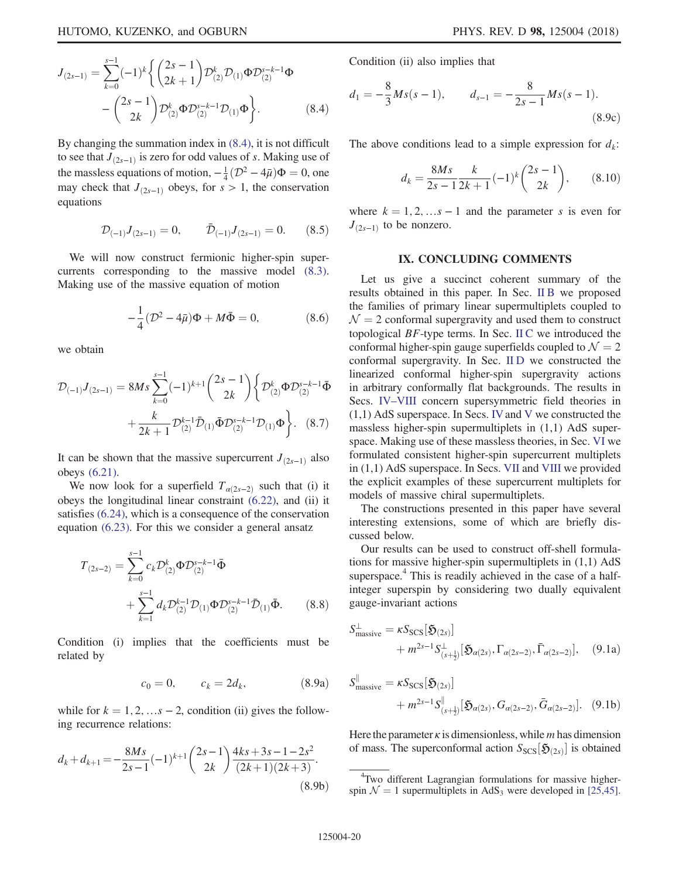$$
J_{(2s-1)} = \sum_{k=0}^{s-1} (-1)^k \left\{ {2s-1 \choose 2k+1} \mathcal{D}_{(2)}^k \mathcal{D}_{(1)} \Phi \mathcal{D}_{(2)}^{s-k-1} \Phi - {2s-1 \choose 2k} \mathcal{D}_{(2)}^k \Phi \mathcal{D}_{(2)}^{s-k-1} \mathcal{D}_{(1)} \Phi \right\}.
$$
 (8.4)

By changing the summation index in [\(8.4\)](#page-18-8), it is not difficult to see that  $J_{(2s-1)}$  is zero for odd values of s. Making use of the massless equations of motion,  $-\frac{1}{4}(\mathcal{D}^2 - 4\bar{\mu})\Phi = 0$ , one<br>may check that  $I_{\text{max}}$  obeys for  $s > 1$ , the conservation may check that  $J_{(2s-1)}$  obeys, for s > 1, the conservation equations

$$
\mathcal{D}_{(-1)}J_{(2s-1)}=0, \qquad \bar{\mathcal{D}}_{(-1)}J_{(2s-1)}=0. \qquad (8.5)
$$

We will now construct fermionic higher-spin supercurrents corresponding to the massive model [\(8.3\)](#page-18-9). Making use of the massive equation of motion

$$
-\frac{1}{4}(\mathcal{D}^2 - 4\bar{\mu})\Phi + M\bar{\Phi} = 0, \qquad (8.6)
$$

we obtain

$$
\mathcal{D}_{(-1)}J_{(2s-1)} = 8Ms \sum_{k=0}^{s-1} (-1)^{k+1} {2s-1 \choose 2k} \left\{ \mathcal{D}_{(2)}^{k} \Phi \mathcal{D}_{(2)}^{s-k-1} \bar{\Phi} + \frac{k}{2k+1} \mathcal{D}_{(2)}^{k-1} \bar{\Phi} \mathcal{D}_{(2)}^{s-k-1} \mathcal{D}_{(1)} \Phi \right\}.
$$
 (8.7)

It can be shown that the massive supercurrent  $J_{(2s-1)}$  also obeys [\(6.21\)](#page-16-10).

We now look for a superfield  $T_{\alpha(2s-2)}$  such that (i) it obeys the longitudinal linear constraint [\(6.22\),](#page-16-11) and (ii) it satisfies [\(6.24\),](#page-16-12) which is a consequence of the conservation equation [\(6.23\).](#page-16-13) For this we consider a general ansatz

$$
T_{(2s-2)} = \sum_{k=0}^{s-1} c_k \mathcal{D}_{(2)}^k \Phi \mathcal{D}_{(2)}^{s-k-1} \bar{\Phi} + \sum_{k=1}^{s-1} d_k \mathcal{D}_{(2)}^{k-1} \mathcal{D}_{(1)} \Phi \mathcal{D}_{(2)}^{s-k-1} \bar{\mathcal{D}}_{(1)} \bar{\Phi}.
$$
 (8.8)

Condition (i) implies that the coefficients must be related by

$$
c_0 = 0,
$$
  $c_k = 2d_k,$  (8.9a)

while for  $k = 1, 2, \ldots s - 2$ , condition (ii) gives the following recurrence relations:

$$
d_k + d_{k+1} = -\frac{8Ms}{2s - 1}(-1)^{k+1} \binom{2s - 1}{2k} \frac{4ks + 3s - 1 - 2s^2}{(2k+1)(2k+3)}.
$$
\n(8.9b)

Condition (ii) also implies that

$$
d_1 = -\frac{8}{3}Ms(s-1), \qquad d_{s-1} = -\frac{8}{2s-1}Ms(s-1).
$$
\n(8.9c)

The above conditions lead to a simple expression for  $d_k$ :

$$
d_k = \frac{8Ms}{2s - 1} \frac{k}{2k + 1} (-1)^k {2s - 1 \choose 2k}, \qquad (8.10)
$$

where  $k = 1, 2, \ldots s - 1$  and the parameter s is even for  $J_{(2s-1)}$  to be nonzero.

### IX. CONCLUDING COMMENTS

<span id="page-19-1"></span>Let us give a succinct coherent summary of the results obtained in this paper. In Sec. [II B](#page-3-7) we proposed the families of primary linear supermultiplets coupled to  $\mathcal{N} = 2$  conformal supergravity and used them to construct topological  $BF$ -type terms. In Sec. [II C](#page-5-6) we introduced the conformal higher-spin gauge superfields coupled to  $\mathcal{N} = 2$ conformal supergravity. In Sec. [II D](#page-5-8) we constructed the linearized conformal higher-spin supergravity actions in arbitrary conformally flat backgrounds. The results in Secs. IV–[VIII](#page-8-0) concern supersymmetric field theories in  $(1,1)$  AdS superspace. In Secs. [IV](#page-8-0) and [V](#page-10-0) we constructed the massless higher-spin supermultiplets in (1,1) AdS superspace. Making use of these massless theories, in Sec. [VI](#page-14-0) we formulated consistent higher-spin supercurrent multiplets in (1,1) AdS superspace. In Secs. [VII](#page-16-0) and [VIII](#page-18-0) we provided the explicit examples of these supercurrent multiplets for models of massive chiral supermultiplets.

The constructions presented in this paper have several interesting extensions, some of which are briefly discussed below.

<span id="page-19-0"></span>Our results can be used to construct off-shell formulations for massive higher-spin supermultiplets in (1,1) AdS superspace.<sup>4</sup> This is readily achieved in the case of a halfinteger superspin by considering two dually equivalent gauge-invariant actions

$$
S_{\text{massive}}^{\perp} = \kappa S_{\text{SCS}}[\mathfrak{H}_{(2s)}] + m^{2s-1} S_{(s+\frac{1}{2})}^{\perp}[\mathfrak{H}_{\alpha(2s)}, \Gamma_{\alpha(2s-2)}, \bar{\Gamma}_{\alpha(2s-2)}], \quad (9.1a)
$$

<span id="page-19-2"></span>
$$
S_{\text{massive}}^{\parallel} = \kappa S_{\text{SCS}}[\mathfrak{H}_{(2s)}] + m^{2s-1} S_{(s+\frac{1}{2})}^{\parallel}[\mathfrak{H}_{\alpha(2s)}, G_{\alpha(2s-2)}, \bar{G}_{\alpha(2s-2)}].
$$
 (9.1b)

Here the parameter  $\kappa$  is dimensionless, while *m* has dimension of mass. The superconformal action  $S_{SCS}[\mathfrak{H}_{(2s)}]$  is obtained

<sup>4</sup> Two different Lagrangian formulations for massive higherspin  $\mathcal{N} = 1$  supermultiplets in AdS<sub>3</sub> were developed in [\[25,45\].](#page-25-13)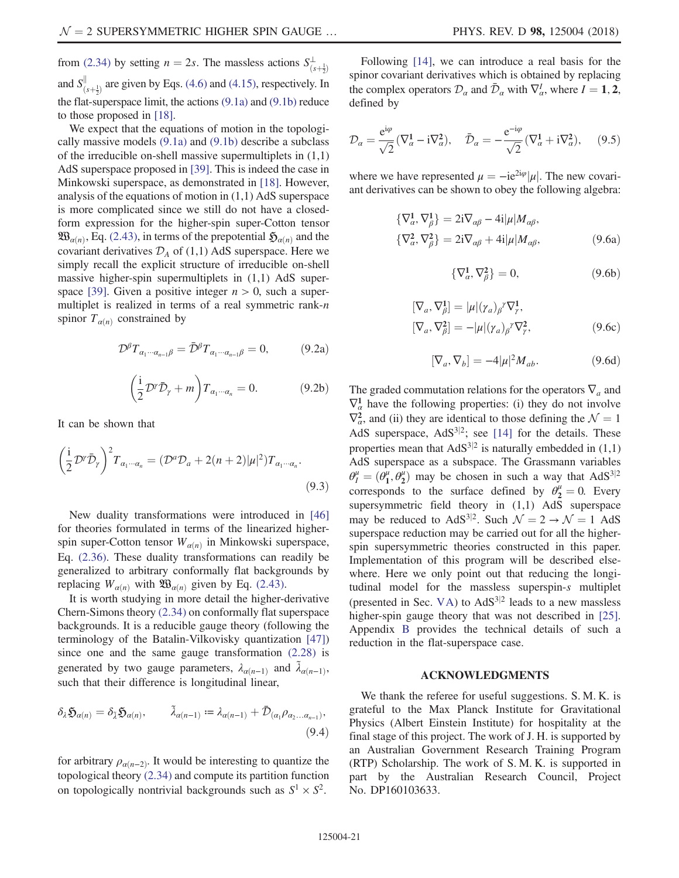from [\(2.34\)](#page-5-5) by setting  $n = 2s$ . The massless actions  $S^{\perp}_{(s+\frac{1}{2})}$  $\mathbf{z}^{\prime}$ and  $S_{(s+\frac{1}{2})}^{||}$  are given by Eqs. [\(4.6\)](#page-9-2) and [\(4.15\),](#page-10-2) respectively. In the flat-superspace limit, the actions [\(9.1a\)](#page-19-0) and [\(9.1b\)](#page-19-2) reduce to those proposed in [\[18\].](#page-24-11)

We expect that the equations of motion in the topologically massive models [\(9.1a\)](#page-19-0) and [\(9.1b\)](#page-19-2) describe a subclass of the irreducible on-shell massive supermultiplets in (1,1) AdS superspace proposed in [\[39\].](#page-25-14) This is indeed the case in Minkowski superspace, as demonstrated in [\[18\].](#page-24-11) However, analysis of the equations of motion in (1,1) AdS superspace is more complicated since we still do not have a closedform expression for the higher-spin super-Cotton tensor  $\mathfrak{W}_{\alpha(n)}$ , Eq. [\(2.43\),](#page-6-3) in terms of the prepotential  $\mathfrak{H}_{\alpha(n)}$  and the covariant derivatives  $\mathcal{D}_A$  of (1,1) AdS superspace. Here we simply recall the explicit structure of irreducible on-shell massive higher-spin supermultiplets in  $(1,1)$  AdS super-space [\[39\]](#page-25-14). Given a positive integer  $n > 0$ , such a supermultiplet is realized in terms of a real symmetric rank- $n$ spinor  $T_{\alpha(n)}$  constrained by

$$
\mathcal{D}^{\beta}T_{\alpha_1\cdots\alpha_{n-1}\beta} = \bar{\mathcal{D}}^{\beta}T_{\alpha_1\cdots\alpha_{n-1}\beta} = 0, \tag{9.2a}
$$

$$
\left(\frac{i}{2}\mathcal{D}^{\gamma}\bar{\mathcal{D}}_{\gamma} + m\right)T_{\alpha_1\cdots\alpha_n} = 0. \tag{9.2b}
$$

It can be shown that

$$
\left(\frac{i}{2}\mathcal{D}^{\gamma}\bar{\mathcal{D}}_{\gamma}\right)^{2}T_{\alpha_{1}\cdots\alpha_{n}} = (\mathcal{D}^{a}\mathcal{D}_{a} + 2(n+2)|\mu|^{2})T_{\alpha_{1}\cdots\alpha_{n}}.
$$
\n(9.3)

New duality transformations were introduced in [\[46\]](#page-25-15) for theories formulated in terms of the linearized higherspin super-Cotton tensor  $W_{\alpha(n)}$  in Minkowski superspace, Eq. [\(2.36\).](#page-6-0) These duality transformations can readily be generalized to arbitrary conformally flat backgrounds by replacing  $W_{\alpha(n)}$  with  $\mathfrak{W}_{\alpha(n)}$  given by Eq. [\(2.43\)](#page-6-3).

It is worth studying in more detail the higher-derivative Chern-Simons theory [\(2.34\)](#page-5-5) on conformally flat superspace backgrounds. It is a reducible gauge theory (following the terminology of the Batalin-Vilkovisky quantization [\[47\]\)](#page-25-16) since one and the same gauge transformation [\(2.28\)](#page-5-2) is generated by two gauge parameters,  $\lambda_{\alpha(n-1)}$  and  $\tilde{\lambda}_{\alpha(n-1)}$ , such that their difference is longitudinal linear,

$$
\delta_{\lambda} \mathfrak{H}_{\alpha(n)} = \delta_{\tilde{\lambda}} \mathfrak{H}_{\alpha(n)}, \qquad \tilde{\lambda}_{\alpha(n-1)} := \lambda_{\alpha(n-1)} + \bar{\mathcal{D}}_{(\alpha_1} \rho_{\alpha_2 \dots \alpha_{n-1})},
$$
\n(9.4)

for arbitrary  $\rho_{\alpha(n-2)}$ . It would be interesting to quantize the topological theory [\(2.34\)](#page-5-5) and compute its partition function on topologically nontrivial backgrounds such as  $S^1 \times S^2$ .

Following [\[14\],](#page-24-8) we can introduce a real basis for the spinor covariant derivatives which is obtained by replacing the complex operators  $\mathcal{D}_{\alpha}$  and  $\bar{\mathcal{D}}_{\alpha}$  with  $\nabla_{\alpha}^{I}$ , where  $I = 1, 2$ , defined by defined by

$$
\mathcal{D}_{\alpha} = \frac{e^{i\varphi}}{\sqrt{2}} (\nabla_{\alpha}^{1} - i\nabla_{\alpha}^{2}), \quad \bar{\mathcal{D}}_{\alpha} = -\frac{e^{-i\varphi}}{\sqrt{2}} (\nabla_{\alpha}^{1} + i\nabla_{\alpha}^{2}), \quad (9.5)
$$

where we have represented  $\mu = -ie^{2i\varphi}|\mu|$ . The new covariant derivatives can be shown to obey the following algebra:

$$
\begin{aligned} \{\nabla^1_{\alpha}, \nabla^1_{\beta}\} &= 2\mathrm{i}\nabla_{\alpha\beta} - 4\mathrm{i}|\mu|M_{\alpha\beta}, \\ \{\nabla^2_{\alpha}, \nabla^2_{\beta}\} &= 2\mathrm{i}\nabla_{\alpha\beta} + 4\mathrm{i}|\mu|M_{\alpha\beta}, \end{aligned} \tag{9.6a}
$$

$$
\{\nabla^1_{\alpha}, \nabla^2_{\beta}\} = 0,\tag{9.6b}
$$

$$
[\nabla_a, \nabla^1_\beta] = |\mu| (\gamma_a)_\beta^{\gamma} \nabla^1_\gamma, [\nabla_a, \nabla^2_\beta] = -|\mu| (\gamma_a)_\beta^{\gamma} \nabla^2_\gamma,
$$
 (9.6c)

$$
[\nabla_a, \nabla_b] = -4|\mu|^2 M_{ab}.
$$
 (9.6d)

The graded commutation relations for the operators  $\nabla_a$  and  $\nabla_{\alpha}^1$  have the following properties: (i) they do not involve  $\nabla^2_{\alpha}$ , and (ii) they are identical to those defining the  $\mathcal{N} = 1$ <br>AdS superspace  $\Delta dS^{3/2}$ , see [14] for the details. These AdS superspace,  $AdS^{3|2}$ ; see [\[14\]](#page-24-8) for the details. These properties mean that  $AdS^{3|2}$  is naturally embedded in (1,1) AdS superspace as a subspace. The Grassmann variables  $\theta_I^{\mu} = (\theta_1^{\mu}, \theta_2^{\mu})$  may be chosen in such a way that AdS<sup>3|2</sup><br>corresponds to the surface defined by  $\theta_1^{\mu} = 0$ . Every corresponds to the surface defined by  $\theta_2^{\mu} = 0$ . Every supersymmetric field theory in  $(1,1)$  AdS superspace may be reduced to AdS<sup>3|2</sup>. Such  $\mathcal{N} = 2 \rightarrow \mathcal{N} = 1$  AdS superspace reduction may be carried out for all the higherspin supersymmetric theories constructed in this paper. Implementation of this program will be described elsewhere. Here we only point out that reducing the longitudinal model for the massless superspin-s multiplet (presented in Sec. [VA\)](#page-10-7) to  $AdS^{3|2}$  leads to a new massless higher-spin gauge theory that was not described in [\[25\]](#page-25-13). Appendix [B](#page-21-1) provides the technical details of such a reduction in the flat-superspace case.

### ACKNOWLEDGMENTS

We thank the referee for useful suggestions. S. M. K. is grateful to the Max Planck Institute for Gravitational Physics (Albert Einstein Institute) for hospitality at the final stage of this project. The work of J. H. is supported by an Australian Government Research Training Program (RTP) Scholarship. The work of S. M. K. is supported in part by the Australian Research Council, Project No. DP160103633.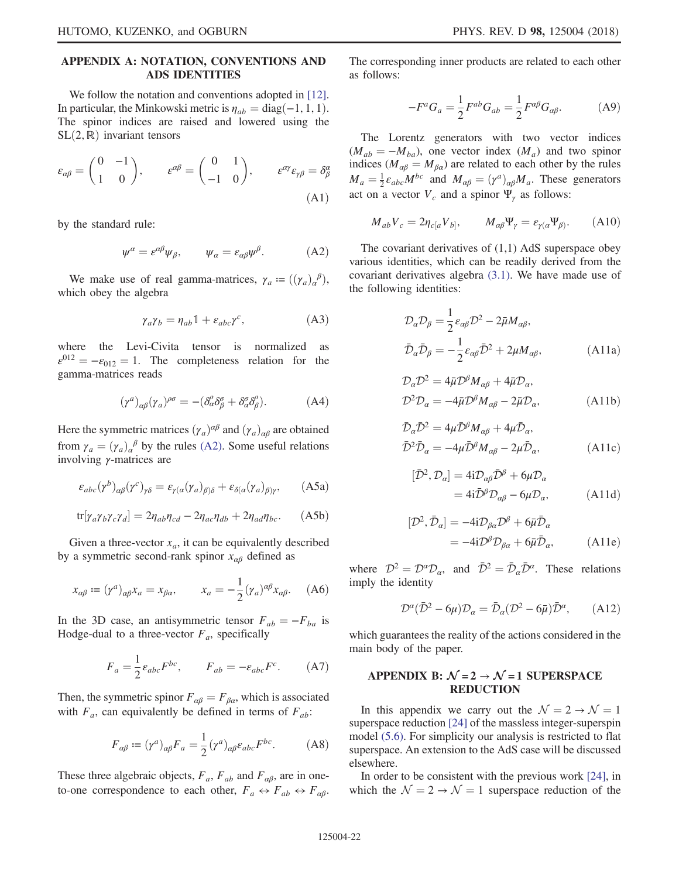# <span id="page-21-0"></span>APPENDIX A: NOTATION, CONVENTIONS AND ADS IDENTITIES

We follow the notation and conventions adopted in [\[12\]](#page-24-7). In particular, the Minkowski metric is  $\eta_{ab} = \text{diag}(-1, 1, 1)$ . The spinor indices are raised and lowered using the  $SL(2,\mathbb{R})$  invariant tensors

$$
\varepsilon_{\alpha\beta} = \begin{pmatrix} 0 & -1 \\ 1 & 0 \end{pmatrix}, \qquad \varepsilon^{\alpha\beta} = \begin{pmatrix} 0 & 1 \\ -1 & 0 \end{pmatrix}, \qquad \varepsilon^{\alpha\gamma}\varepsilon_{\gamma\beta} = \delta_{\beta}^{\alpha}
$$
\n(A1)

<span id="page-21-3"></span>by the standard rule:

$$
\psi^{\alpha} = \varepsilon^{\alpha\beta}\psi_{\beta}, \qquad \psi_{\alpha} = \varepsilon_{\alpha\beta}\psi^{\beta}.
$$
 (A2)

We make use of real gamma-matrices,  $\gamma_a := ((\gamma_a)_a^{\beta})$ , which obey the algebra

$$
\gamma_a \gamma_b = \eta_{ab} \mathbb{1} + \varepsilon_{abc} \gamma^c,\tag{A3}
$$

where the Levi-Civita tensor is normalized as  $\varepsilon^{012} = -\varepsilon_{012} = 1$ . The completeness relation for the gamma-matrices reads

$$
(\gamma^a)_{\alpha\beta}(\gamma_a)^{\rho\sigma} = -(\delta^{\rho}_{\alpha}\delta^{\sigma}_{\beta} + \delta^{\sigma}_{\alpha}\delta^{\rho}_{\beta}). \tag{A4}
$$

Here the symmetric matrices  $(\gamma_a)^{\alpha\beta}$  and  $(\gamma_a)_{\alpha\beta}$  are obtained from  $\gamma_a = (\gamma_a)_a^{\beta}$  by the rules [\(A2\)](#page-21-3). Some useful relations involving *v*-matrices are involving  $\gamma$ -matrices are

$$
\varepsilon_{abc}(\gamma^b)_{\alpha\beta}(\gamma^c)_{\gamma\delta} = \varepsilon_{\gamma(a}(\gamma_a)_{\beta)\delta} + \varepsilon_{\delta(a}(\gamma_a)_{\beta)\gamma},\tag{A5a}
$$

$$
\text{tr}[\gamma_a \gamma_b \gamma_c \gamma_d] = 2\eta_{ab}\eta_{cd} - 2\eta_{ac}\eta_{db} + 2\eta_{ad}\eta_{bc}.
$$
 (A5b)

Given a three-vector  $x_a$ , it can be equivalently described by a symmetric second-rank spinor  $x_{\alpha\beta}$  defined as

$$
x_{\alpha\beta} \coloneqq (\gamma^a)_{\alpha\beta} x_a = x_{\beta\alpha}, \qquad x_a = -\frac{1}{2} (\gamma_a)^{\alpha\beta} x_{\alpha\beta}. \tag{A6}
$$

In the 3D case, an antisymmetric tensor  $F_{ab} = -F_{ba}$  is Hodge-dual to a three-vector  $F_a$ , specifically

$$
F_a = \frac{1}{2} \varepsilon_{abc} F^{bc}, \qquad F_{ab} = -\varepsilon_{abc} F^c. \tag{A7}
$$

Then, the symmetric spinor  $F_{\alpha\beta} = F_{\beta\alpha}$ , which is associated with  $F_a$ , can equivalently be defined in terms of  $F_{ab}$ :

$$
F_{\alpha\beta} \coloneqq (\gamma^a)_{\alpha\beta} F_a = \frac{1}{2} (\gamma^a)_{\alpha\beta} \varepsilon_{abc} F^{bc}.
$$
 (A8)

These three algebraic objects,  $F_a$ ,  $F_{ab}$  and  $F_{\alpha\beta}$ , are in oneto-one correspondence to each other,  $F_a \leftrightarrow F_{ab} \leftrightarrow F_{\alpha\beta}$ . The corresponding inner products are related to each other as follows:

$$
-F^a G_a = \frac{1}{2} F^{ab} G_{ab} = \frac{1}{2} F^{\alpha \beta} G_{\alpha \beta}.
$$
 (A9)

The Lorentz generators with two vector indices  $(M_{ab} = -M_{ba})$ , one vector index  $(M_a)$  and two spinor indices ( $M_{\alpha\beta} = M_{\beta\alpha}$ ) are related to each other by the rules  $M_a = \frac{1}{2} \varepsilon_{abc} M^{bc}$  and  $M_{\alpha\beta} = (\gamma^a)_{\alpha\beta} M_a$ . These generators act on a vector  $V_c$  and a spinor  $\Psi_{\gamma}$  as follows:

$$
M_{ab}V_c = 2\eta_{c[a}V_{b]}, \qquad M_{\alpha\beta}\Psi_{\gamma} = \varepsilon_{\gamma(\alpha}\Psi_{\beta)}.
$$
 (A10)

The covariant derivatives of (1,1) AdS superspace obey various identities, which can be readily derived from the covariant derivatives algebra [\(3.1\).](#page-7-3) We have made use of the following identities:

$$
\mathcal{D}_{a}\mathcal{D}_{\beta} = \frac{1}{2}\varepsilon_{\alpha\beta}\mathcal{D}^{2} - 2\bar{\mu}M_{\alpha\beta},
$$
\n
$$
\bar{\mathcal{D}}_{a}\bar{\mathcal{D}}_{\beta} = -\frac{1}{2}\varepsilon_{\alpha\beta}\bar{\mathcal{D}}^{2} + 2\mu M_{\alpha\beta},
$$
\n(A11a)

$$
\mathcal{D}_{\alpha}\mathcal{D}^{2} = 4\bar{\mu}\mathcal{D}^{\beta}M_{\alpha\beta} + 4\bar{\mu}\mathcal{D}_{\alpha},
$$
  

$$
\mathcal{D}^{2}\mathcal{D}_{\alpha} = -4\bar{\mu}\mathcal{D}^{\beta}M_{\alpha\beta} - 2\bar{\mu}\mathcal{D}_{\alpha},
$$
 (A11b)

$$
\bar{\mathcal{D}}_{\alpha}\bar{\mathcal{D}}^{2} = 4\mu \bar{\mathcal{D}}^{\beta}M_{\alpha\beta} + 4\mu \bar{\mathcal{D}}_{\alpha},
$$
\n
$$
\bar{\mathcal{D}}^{2}\bar{\mathcal{D}}_{\alpha} = -4\mu \bar{\mathcal{D}}^{\beta}M_{\alpha\beta} - 2\mu \bar{\mathcal{D}}_{\alpha},
$$
\n(A11c)

$$
[\bar{\mathcal{D}}^2, \mathcal{D}_\alpha] = 4i \mathcal{D}_{\alpha\beta} \bar{\mathcal{D}}^\beta + 6\mu \mathcal{D}_\alpha
$$
  
=  $4i \bar{\mathcal{D}}^\beta \mathcal{D}_{\alpha\beta} - 6\mu \mathcal{D}_\alpha,$  (A11d)

$$
[\mathcal{D}^2, \bar{\mathcal{D}}_\alpha] = -4i \mathcal{D}_{\beta\alpha} \mathcal{D}^\beta + 6\bar{\mu} \bar{\mathcal{D}}_\alpha
$$
  
=  $-4i \mathcal{D}^\beta \mathcal{D}_{\beta\alpha} + 6\bar{\mu} \bar{\mathcal{D}}_\alpha,$  (A11e)

<span id="page-21-2"></span>where  $\mathcal{D}^2 = \mathcal{D}^{\alpha} \mathcal{D}_{\alpha}$ , and  $\bar{\mathcal{D}}^2 = \bar{\mathcal{D}}_{\alpha} \bar{\mathcal{D}}^{\alpha}$ . These relations imply the identity

$$
\mathcal{D}^{\alpha}(\bar{\mathcal{D}}^2 - 6\mu)\mathcal{D}_{\alpha} = \bar{\mathcal{D}}_{\alpha}(\mathcal{D}^2 - 6\bar{\mu})\bar{\mathcal{D}}^{\alpha}, \qquad (A12)
$$

which guarantees the reality of the actions considered in the main body of the paper.

# <span id="page-21-1"></span>APPENDIX B:  $\mathcal{N} = 2 \rightarrow \mathcal{N} = 1$  SUPERSPACE **REDUCTION**

In this appendix we carry out the  $\mathcal{N} = 2 \rightarrow \mathcal{N} = 1$ superspace reduction [\[24\]](#page-25-2) of the massless integer-superspin model [\(5.6\).](#page-11-0) For simplicity our analysis is restricted to flat superspace. An extension to the AdS case will be discussed elsewhere.

In order to be consistent with the previous work [\[24\]](#page-25-2), in which the  $\mathcal{N} = 2 \rightarrow \mathcal{N} = 1$  superspace reduction of the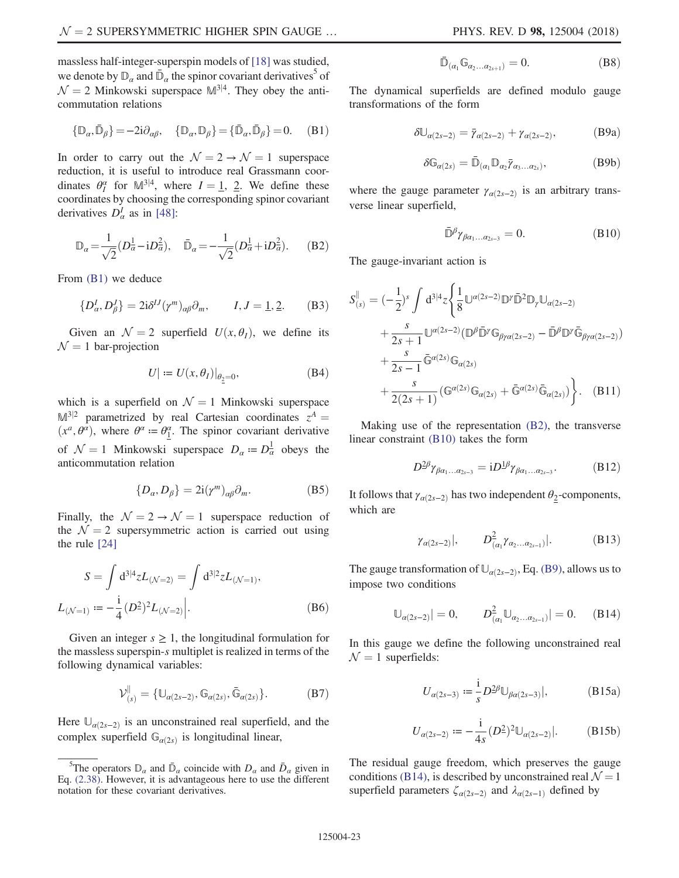massless half-integer-superspin models of [\[18\]](#page-24-11) was studied, we denote by  $\mathbb{D}_{\alpha}$  and  $\bar{\mathbb{D}}_{\alpha}$  the spinor covariant derivatives<sup>5</sup> of  $\mathcal{N} = 2$  Minkowski superspace  $\mathbb{M}^{3|4}$ . They obey the anticommutation relations

<span id="page-22-0"></span>
$$
\{\mathbb{D}_{\alpha}, \bar{\mathbb{D}}_{\beta}\} = -2i\partial_{\alpha\beta}, \quad \{\mathbb{D}_{\alpha}, \mathbb{D}_{\beta}\} = \{\bar{\mathbb{D}}_{\alpha}, \bar{\mathbb{D}}_{\beta}\} = 0. \quad (B1)
$$

In order to carry out the  $\mathcal{N} = 2 \rightarrow \mathcal{N} = 1$  superspace reduction, it is useful to introduce real Grassmann coordinates  $\theta_1^{\alpha}$  for  $\mathbb{M}^{3|4}$ , where  $I = 1, 2$ . We define these coordinates by choosing the corresponding spinor covariant coordinates by choosing the corresponding spinor covariant derivatives  $D_{\alpha}^{I}$  as in [\[48\]:](#page-25-17)

<span id="page-22-1"></span>
$$
\mathbb{D}_{\alpha} = \frac{1}{\sqrt{2}} (D_{\alpha}^{\frac{1}{2}} - i D_{\alpha}^{\frac{2}{2}}), \quad \bar{\mathbb{D}}_{\alpha} = -\frac{1}{\sqrt{2}} (D_{\alpha}^{\frac{1}{2}} + i D_{\alpha}^{\frac{2}{2}}).
$$
 (B2)

From [\(B1\)](#page-22-0) we deduce

$$
\{D^I_{\alpha}, D^J_{\beta}\} = 2i\delta^{IJ}(\gamma^m)_{\alpha\beta}\partial_m, \qquad I, J = \underline{1}, \underline{2}.
$$
 (B3)

Given an  $\mathcal{N} = 2$  superfield  $U(x, \theta_I)$ , we define its  $\mathcal{N} = 1$  bar-projection

$$
U| := U(x, \theta_I)|_{\theta_{\underline{2}} = 0}, \tag{B4}
$$

which is a superfield on  $\mathcal{N} = 1$  Minkowski superspace  $\mathbb{M}^{3|2}$  parametrized by real Cartesian coordinates  $z^A =$  $(x^a, \theta^{\alpha})$ , where  $\theta^{\alpha} = \theta^{\alpha}$ . The spinor covariant derivative of  $\mathcal{N} = 1$  Minkowski superspace  $D_{\alpha} = D_{\alpha}^1$  obeys the anticommutation relation anticommutation relation

$$
\{D_{\alpha}, D_{\beta}\} = 2i(\gamma^{m})_{\alpha\beta}\partial_{m}.
$$
 (B5)

<span id="page-22-8"></span>Finally, the  $\mathcal{N} = 2 \rightarrow \mathcal{N} = 1$  superspace reduction of the  $\mathcal{N} = 2$  supersymmetric action is carried out using the rule [\[24\]](#page-25-2)

$$
S = \int d^{3|4} z L_{(\mathcal{N}=2)} = \int d^{3|2} z L_{(\mathcal{N}=1)},
$$
  

$$
L_{(\mathcal{N}=1)} := -\frac{i}{4} (D^2)^2 L_{(\mathcal{N}=2)}.
$$
 (B6)

Given an integer  $s \geq 1$ , the longitudinal formulation for the massless superspin-s multiplet is realized in terms of the following dynamical variables:

$$
\mathcal{V}^{\parallel}_{(s)} = \{ \mathbb{U}_{\alpha(2s-2)}, \mathbb{G}_{\alpha(2s)}, \bar{\mathbb{G}}_{\alpha(2s)} \}.
$$
 (B7)

Here  $\mathbb{U}_{\alpha(2s-2)}$  is an unconstrained real superfield, and the complex superfield  $\mathbb{G}_{\alpha(2s)}$  is longitudinal linear,

$$
\bar{\mathbb{D}}_{(\alpha_1} \mathbb{G}_{\alpha_2 \dots \alpha_{2s+1})} = 0. \tag{B8}
$$

<span id="page-22-3"></span>The dynamical superfields are defined modulo gauge transformations of the form

$$
\delta \mathbb{U}_{\alpha(2s-2)} = \bar{\gamma}_{\alpha(2s-2)} + \gamma_{\alpha(2s-2)},
$$
 (B9a)

$$
\delta \mathbb{G}_{\alpha(2s)} = \bar{\mathbb{D}}_{(\alpha_1} \mathbb{D}_{\alpha_2} \bar{\gamma}_{\alpha_3 \dots \alpha_{2s})}, \tag{B9b}
$$

<span id="page-22-2"></span>where the gauge parameter  $\gamma_{\alpha(2s-2)}$  is an arbitrary transverse linear superfield,

$$
\bar{\mathbb{D}}^{\beta}\gamma_{\beta\alpha_1...\alpha_{2s-3}}=0. \hspace{1.5cm} (\text{B10})
$$

<span id="page-22-9"></span>The gauge-invariant action is

$$
S_{(s)}^{\parallel} = \left(-\frac{1}{2}\right)^s \int d^{3|4}z \left\{ \frac{1}{8} \mathbb{U}^{\alpha(2s-2)} \mathbb{D}^{\gamma} \bar{\mathbb{D}}^2 \mathbb{D}_{\gamma} \mathbb{U}_{\alpha(2s-2)} + \frac{s}{2s+1} \mathbb{U}^{\alpha(2s-2)} (\mathbb{D}^{\beta} \bar{\mathbb{D}}^{\gamma} \mathbb{G}_{\beta\gamma\alpha(2s-2)} - \bar{\mathbb{D}}^{\beta} \mathbb{D}^{\gamma} \bar{\mathbb{G}}_{\beta\gamma\alpha(2s-2)}) + \frac{s}{2s-1} \bar{\mathbb{G}}^{\alpha(2s)} \mathbb{G}_{\alpha(2s)} + \frac{s}{2(2s+1)} (\mathbb{G}^{\alpha(2s)} \mathbb{G}_{\alpha(2s)} + \bar{\mathbb{G}}^{\alpha(2s)} \bar{\mathbb{G}}_{\alpha(2s)}) \right\}.
$$
 (B11)

Making use of the representation [\(B2\),](#page-22-1) the transverse linear constraint [\(B10\)](#page-22-2) takes the form

$$
D^{2\beta}\gamma_{\beta\alpha_1\ldots\alpha_{2s-3}} = iD^{1\beta}\gamma_{\beta\alpha_1\ldots\alpha_{2s-3}}.\tag{B12}
$$

It follows that  $\gamma_{\alpha(2s-2)}$  has two independent  $\theta_2$ -components, which are

$$
\gamma_{\alpha(2s-2)}|
$$
,  $D^2_{(\alpha_1}\gamma_{\alpha_2...\alpha_{2s-1})}|$ . (B13)

<span id="page-22-4"></span>The gauge transformation of  $\mathbb{U}_{\alpha(2s-2)}$ , Eq. [\(B9\),](#page-22-3) allows us to impose two conditions

$$
\mathbb{U}_{\alpha(2s-2)}| = 0, \qquad D^2_{(\alpha_1} \mathbb{U}_{\alpha_2 \dots \alpha_{2s-1})}| = 0. \qquad (B14)
$$

<span id="page-22-7"></span><span id="page-22-5"></span>In this gauge we define the following unconstrained real  $\mathcal{N} = 1$  superfields:

$$
U_{\alpha(2s-3)} := \frac{1}{s} D^{2\beta} \mathbb{U}_{\beta\alpha(2s-3)}|,\tag{B15a}
$$

$$
U_{\alpha(2s-2)} := -\frac{1}{4s} (D^2)^2 \mathbb{U}_{\alpha(2s-2)}|.
$$
 (B15b)

<span id="page-22-6"></span>The residual gauge freedom, which preserves the gauge conditions [\(B14\)](#page-22-4), is described by unconstrained real  $\mathcal{N} = 1$ superfield parameters  $\zeta_{\alpha(2s-2)}$  and  $\lambda_{\alpha(2s-1)}$  defined by

<sup>&</sup>lt;sup>5</sup>The operators  $\mathbb{D}_{\alpha}$  and  $\bar{\mathbb{D}}_{\alpha}$  coincide with  $D_{\alpha}$  and  $\bar{D}_{\alpha}$  given in Eq. [\(2.38\).](#page-6-4) However, it is advantageous here to use the different notation for these covariant derivatives.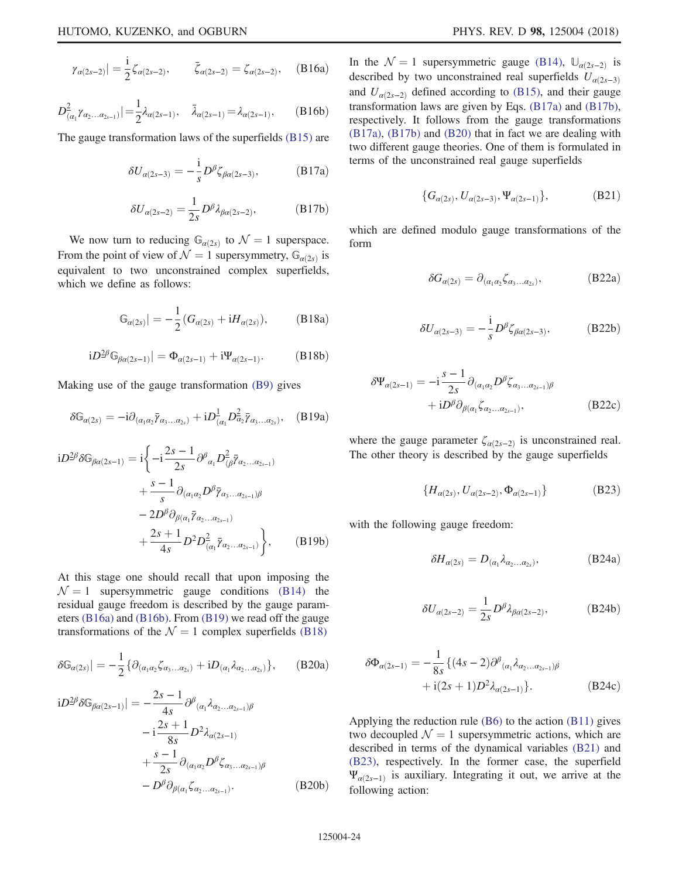$$
\gamma_{\alpha(2s-2)}| = \frac{1}{2}\zeta_{\alpha(2s-2)}, \qquad \bar{\zeta}_{\alpha(2s-2)} = \zeta_{\alpha(2s-2)},
$$
 (B16a)

<span id="page-23-0"></span>
$$
D^2_{(\alpha_1} \gamma_{\alpha_2 \dots \alpha_{2s-1})}| = \frac{1}{2} \lambda_{\alpha(2s-1)}, \quad \bar{\lambda}_{\alpha(2s-1)} = \lambda_{\alpha(2s-1)}, \qquad (B16b)
$$

<span id="page-23-4"></span><span id="page-23-3"></span>The gauge transformation laws of the superfields [\(B15\)](#page-22-5) are

$$
\delta U_{\alpha(2s-3)} = -\frac{1}{s} D^{\beta} \zeta_{\beta\alpha(2s-3)}, \tag{B17a}
$$

$$
\delta U_{\alpha(2s-2)} = \frac{1}{2s} D^{\beta} \lambda_{\beta\alpha(2s-2)},
$$
 (B17b)

<span id="page-23-2"></span>We now turn to reducing  $\mathbb{G}_{\alpha(2s)}$  to  $\mathcal{N} = 1$  superspace. From the point of view of  $\mathcal{N} = 1$  supersymmetry,  $\mathbb{G}_{\alpha(2s)}$  is equivalent to two unconstrained complex superfields, which we define as follows:

$$
\mathbb{G}_{\alpha(2s)}| = -\frac{1}{2} (G_{\alpha(2s)} + i H_{\alpha(2s)}), \quad (\text{B18a})
$$

$$
iD^{2\beta} \mathbb{G}_{\beta\alpha(2s-1)}| = \Phi_{\alpha(2s-1)} + i\Psi_{\alpha(2s-1)}.
$$
 (B18b)

<span id="page-23-1"></span>Making use of the gauge transformation [\(B9\)](#page-22-3) gives

$$
\delta\mathbb{G}_{\alpha(2s)} = -i\partial_{(\alpha_1\alpha_2}\bar{\gamma}_{\alpha_3...\alpha_{2s})} + iD^1_{(\alpha_1}D^2_{\alpha_2}\bar{\gamma}_{\alpha_3...\alpha_{2s})}, \quad (B19a)
$$

$$
iD^{2\beta}\delta\mathbb{G}_{\beta\alpha(2s-1)} = i\left\{-i\frac{2s-1}{2s}\partial^{\beta}{}_{\alpha_{1}}D^{2}_{(\beta}\bar{\gamma}_{\alpha_{2}\dots\alpha_{2s-1})} + \frac{s-1}{s}\partial_{(\alpha_{1}\alpha_{2}}D^{\beta}\bar{\gamma}_{\alpha_{3}\dots\alpha_{2s-1})\beta} -2D^{\beta}\partial_{\beta(\alpha_{1}}\bar{\gamma}_{\alpha_{2}\dots\alpha_{2s-1})} + \frac{2s+1}{4s}D^{2}D^{2}_{(\alpha_{1}}\bar{\gamma}_{\alpha_{2}\dots\alpha_{2s-1})}\right\}, \qquad (B19b)
$$

<span id="page-23-5"></span>At this stage one should recall that upon imposing the  $N = 1$  supersymmetric gauge conditions [\(B14\)](#page-22-4) the residual gauge freedom is described by the gauge parameters [\(B16a\)](#page-22-6) and [\(B16b\).](#page-23-0) From [\(B19\)](#page-23-1) we read off the gauge transformations of the  $\mathcal{N} = 1$  complex superfields [\(B18\)](#page-23-2)

$$
\delta\mathbb{G}_{\alpha(2s)}\big| = -\frac{1}{2} \{ \partial_{(\alpha_1\alpha_2} \zeta_{\alpha_3...\alpha_{2s})} + i D_{(\alpha_1} \lambda_{\alpha_2...\alpha_{2s})} \},\qquad(B20a)
$$

$$
iD^{2\beta} \delta \mathbb{G}_{\beta\alpha(2s-1)}| = -\frac{2s-1}{4s} \partial^{\beta}{}_{(\alpha_1} \lambda_{\alpha_2...\alpha_{2s-1})\beta} - i \frac{2s+1}{8s} D^2 \lambda_{\alpha(2s-1)} + \frac{s-1}{2s} \partial_{(\alpha_1 \alpha_2} D^{\beta} \zeta_{\alpha_3...\alpha_{2s-1})\beta} - D^{\beta} \partial_{\beta(\alpha_1} \zeta_{\alpha_2...\alpha_{2s-1})}. \tag{B20b}
$$

In the  $\mathcal{N} = 1$  supersymmetric gauge [\(B14\)](#page-22-4),  $\mathbb{U}_{\alpha(2s-2)}$  is described by two unconstrained real superfields  $U_{\alpha(2s-3)}$ and  $U_{\alpha(2s-2)}$  defined according to [\(B15\)](#page-22-7), and their gauge transformation laws are given by Eqs. [\(B17a\)](#page-23-3) and [\(B17b\)](#page-23-4), respectively. It follows from the gauge transformations [\(B17a\),](#page-23-3) [\(B17b\)](#page-23-4) and [\(B20\)](#page-23-5) that in fact we are dealing with two different gauge theories. One of them is formulated in terms of the unconstrained real gauge superfields

$$
\{G_{\alpha(2s)}, U_{\alpha(2s-3)}, \Psi_{\alpha(2s-1)}\},\tag{B21}
$$

<span id="page-23-9"></span><span id="page-23-8"></span><span id="page-23-6"></span>which are defined modulo gauge transformations of the form

$$
\delta G_{\alpha(2s)} = \partial_{(\alpha_1 \alpha_2} \zeta_{\alpha_3 \dots \alpha_{2s})}, \qquad (B22a)
$$

$$
\delta U_{\alpha(2s-3)} = -\frac{\mathrm{i}}{s} D^{\beta} \zeta_{\beta\alpha(2s-3)}, \tag{B22b}
$$

$$
\delta \Psi_{\alpha(2s-1)} = -i \frac{s-1}{2s} \partial_{(\alpha_1 \alpha_2} D^{\beta} \zeta_{\alpha_3 \dots \alpha_{2s-1}) \beta} + i D^{\beta} \partial_{\beta(\alpha_1} \zeta_{\alpha_2 \dots \alpha_{2s-1})},
$$
\n(B22c)

<span id="page-23-7"></span>where the gauge parameter  $\zeta_{\alpha(2s-2)}$  is unconstrained real. The other theory is described by the gauge superfields

$$
\{H_{\alpha(2s)}, U_{\alpha(2s-2)}, \Phi_{\alpha(2s-1)}\}\tag{B23}
$$

<span id="page-23-11"></span><span id="page-23-10"></span>with the following gauge freedom:

$$
\delta H_{\alpha(2s)} = D_{(\alpha_1} \lambda_{\alpha_2 \dots \alpha_{2s})}, \tag{B24a}
$$

$$
\delta U_{\alpha(2s-2)} = \frac{1}{2s} D^{\beta} \lambda_{\beta\alpha(2s-2)},
$$
 (B24b)

$$
\delta \Phi_{\alpha(2s-1)} = -\frac{1}{8s} \{ (4s-2) \partial^{\beta}{}_{(\alpha_1} \lambda_{\alpha_2 \dots \alpha_{2s-1}) \beta} + i(2s+1) D^2 \lambda_{\alpha(2s-1)} \}.
$$
 (B24c)

<span id="page-23-12"></span>Applying the reduction rule [\(B6\)](#page-22-8) to the action [\(B11\)](#page-22-9) gives two decoupled  $\mathcal{N} = 1$  supersymmetric actions, which are described in terms of the dynamical variables [\(B21\)](#page-23-6) and [\(B23\)](#page-23-7), respectively. In the former case, the superfield  $\Psi_{\alpha(2s-1)}$  is auxiliary. Integrating it out, we arrive at the following action: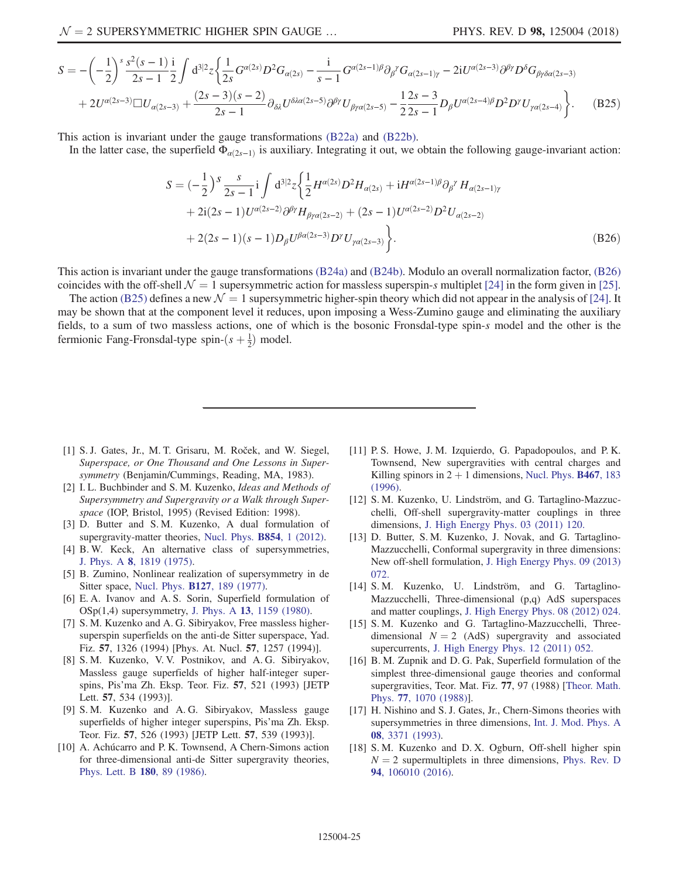$$
S = -\left(-\frac{1}{2}\right)^{s} \frac{s^{2}(s-1)}{2s-1} \frac{1}{2} \int d^{3|2}z \left\{ \frac{1}{2s} G^{\alpha(2s)} D^{2} G_{\alpha(2s)} - \frac{1}{s-1} G^{\alpha(2s-1)\beta} \partial_{\beta}^{\gamma} G_{\alpha(2s-1)\gamma} - 2iU^{\alpha(2s-3)} \partial^{\beta\gamma} D^{\delta} G_{\beta\gamma\delta\alpha(2s-3)} + 2U^{\alpha(2s-3)} \Box U_{\alpha(2s-3)} + \frac{(2s-3)(s-2)}{2s-1} \partial_{\delta\lambda} U^{\delta\lambda\alpha(2s-5)} \partial^{\beta\gamma} U_{\beta\gamma\alpha(2s-5)} - \frac{1}{2} \frac{2s-3}{2s-1} D_{\beta} U^{\alpha(2s-4)\beta} D^{2} D^{\gamma} U_{\gamma\alpha(2s-4)} \right\}.
$$
 (B25)

<span id="page-24-15"></span>This action is invariant under the gauge transformations [\(B22a\)](#page-23-8) and [\(B22b\)](#page-23-9).

In the latter case, the superfield  $\Phi_{\alpha(2s-1)}$  is auxiliary. Integrating it out, we obtain the following gauge-invariant action:

$$
S = \left(-\frac{1}{2}\right)^{S} \frac{s}{2s-1} \mathbf{i} \int d^{3/2} z \left\{ \frac{1}{2} H^{\alpha(2s)} D^{2} H_{\alpha(2s)} + \mathbf{i} H^{\alpha(2s-1)\beta} \partial_{\beta}^{\gamma} H_{\alpha(2s-1)\gamma} + 2\mathbf{i} (2s-1) U^{\alpha(2s-2)} \partial^{\beta}^{\gamma} H_{\beta \gamma \alpha(2s-2)} + (2s-1) U^{\alpha(2s-2)} D^{2} U_{\alpha(2s-2)} + 2(2s-1)(s-1) D_{\beta} U^{\beta \alpha(2s-3)} D^{\gamma} U_{\gamma \alpha(2s-3)} \right\}.
$$
\n(B26)

This action is invariant under the gauge transformations [\(B24a\)](#page-23-10) and [\(B24b\)](#page-23-11). Modulo an overall normalization factor, [\(B26\)](#page-24-15) coincides with the off-shell  $\mathcal{N} = 1$  supersymmetric action for massless superspin-s multiplet [\[24\]](#page-25-2) in the form given in [\[25\]](#page-25-13).

The action [\(B25\)](#page-23-12) defines a new  $\mathcal{N} = 1$  supersymmetric higher-spin theory which did not appear in the analysis of [\[24\].](#page-25-2) It may be shown that at the component level it reduces, upon imposing a Wess-Zumino gauge and eliminating the auxiliary fields, to a sum of two massless actions, one of which is the bosonic Fronsdal-type spin-s model and the other is the fermionic Fang-Fronsdal-type spin- $(s + \frac{1}{2})$  model.

- <span id="page-24-0"></span>[1] S. J. Gates, Jr., M. T. Grisaru, M. Roček, and W. Siegel, Superspace, or One Thousand and One Lessons in Supersymmetry (Benjamin/Cummings, Reading, MA, 1983).
- <span id="page-24-14"></span>[2] I.L. Buchbinder and S. M. Kuzenko, Ideas and Methods of Supersymmetry and Supergravity or a Walk through Superspace (IOP, Bristol, 1995) (Revised Edition: 1998).
- <span id="page-24-1"></span>[3] D. Butter and S.M. Kuzenko, A dual formulation of supergravity-matter theories, [Nucl. Phys.](https://doi.org/10.1016/j.nuclphysb.2011.08.014) **B854**, 1 (2012).
- <span id="page-24-2"></span>[4] B. W. Keck, An alternative class of supersymmetries, J. Phys. A 8[, 1819 \(1975\)](https://doi.org/10.1088/0305-4470/8/11/018).
- [5] B. Zumino, Nonlinear realization of supersymmetry in de Sitter space, Nucl. Phys. B127[, 189 \(1977\)](https://doi.org/10.1016/0550-3213(77)90211-5).
- <span id="page-24-13"></span>[6] E. A. Ivanov and A. S. Sorin, Superfield formulation of OSp(1,4) supersymmetry, J. Phys. A 13[, 1159 \(1980\)](https://doi.org/10.1088/0305-4470/13/4/013).
- <span id="page-24-3"></span>[7] S. M. Kuzenko and A. G. Sibiryakov, Free massless highersuperspin superfields on the anti-de Sitter superspace, Yad. Fiz. 57, 1326 (1994) [Phys. At. Nucl. 57, 1257 (1994)].
- <span id="page-24-4"></span>[8] S. M. Kuzenko, V. V. Postnikov, and A. G. Sibiryakov, Massless gauge superfields of higher half-integer superspins, Pis'ma Zh. Eksp. Teor. Fiz. 57, 521 (1993) [JETP Lett. 57, 534 (1993)].
- [9] S. M. Kuzenko and A. G. Sibiryakov, Massless gauge superfields of higher integer superspins, Pis'ma Zh. Eksp. Teor. Fiz. 57, 526 (1993) [JETP Lett. 57, 539 (1993)].
- <span id="page-24-5"></span>[10] A. Achúcarro and P. K. Townsend, A Chern-Simons action for three-dimensional anti-de Sitter supergravity theories, [Phys. Lett. B](https://doi.org/10.1016/0370-2693(86)90140-1) 180, 89 (1986).
- <span id="page-24-6"></span>[11] P. S. Howe, J. M. Izquierdo, G. Papadopoulos, and P. K. Townsend, New supergravities with central charges and Killing spinors in  $2 + 1$  dimensions, [Nucl. Phys.](https://doi.org/10.1016/0550-3213(96)00091-0) **B467**, 183 [\(1996\).](https://doi.org/10.1016/0550-3213(96)00091-0)
- <span id="page-24-7"></span>[12] S. M. Kuzenko, U. Lindström, and G. Tartaglino-Mazzucchelli, Off-shell supergravity-matter couplings in three dimensions, [J. High Energy Phys. 03 \(2011\) 120.](https://doi.org/10.1007/JHEP03(2011)120)
- <span id="page-24-12"></span>[13] D. Butter, S. M. Kuzenko, J. Novak, and G. Tartaglino-Mazzucchelli, Conformal supergravity in three dimensions: New off-shell formulation, [J. High Energy Phys. 09 \(2013\)](https://doi.org/10.1007/JHEP09(2013)072) [072.](https://doi.org/10.1007/JHEP09(2013)072)
- <span id="page-24-8"></span>[14] S. M. Kuzenko, U. Lindström, and G. Tartaglino-Mazzucchelli, Three-dimensional (p,q) AdS superspaces and matter couplings, [J. High Energy Phys. 08 \(2012\) 024.](https://doi.org/10.1007/JHEP08(2012)024)
- <span id="page-24-9"></span>[15] S. M. Kuzenko and G. Tartaglino-Mazzucchelli, Threedimensional  $N = 2$  (AdS) supergravity and associated supercurrents, [J. High Energy Phys. 12 \(2011\) 052.](https://doi.org/10.1007/JHEP12(2011)052)
- <span id="page-24-10"></span>[16] B. M. Zupnik and D. G. Pak, Superfield formulation of the simplest three-dimensional gauge theories and conformal supergravities, Teor. Mat. Fiz. 77, 97 (1988) [\[Theor. Math.](https://doi.org/10.1007/BF01028682) Phys. 77[, 1070 \(1988\)\]](https://doi.org/10.1007/BF01028682).
- [17] H. Nishino and S. J. Gates, Jr., Chern-Simons theories with supersymmetries in three dimensions, [Int. J. Mod. Phys. A](https://doi.org/10.1142/S0217751X93001363) 08[, 3371 \(1993\)](https://doi.org/10.1142/S0217751X93001363).
- <span id="page-24-11"></span>[18] S. M. Kuzenko and D. X. Ogburn, Off-shell higher spin  $N = 2$  supermultiplets in three dimensions, [Phys. Rev. D](https://doi.org/10.1103/PhysRevD.94.106010) 94[, 106010 \(2016\).](https://doi.org/10.1103/PhysRevD.94.106010)